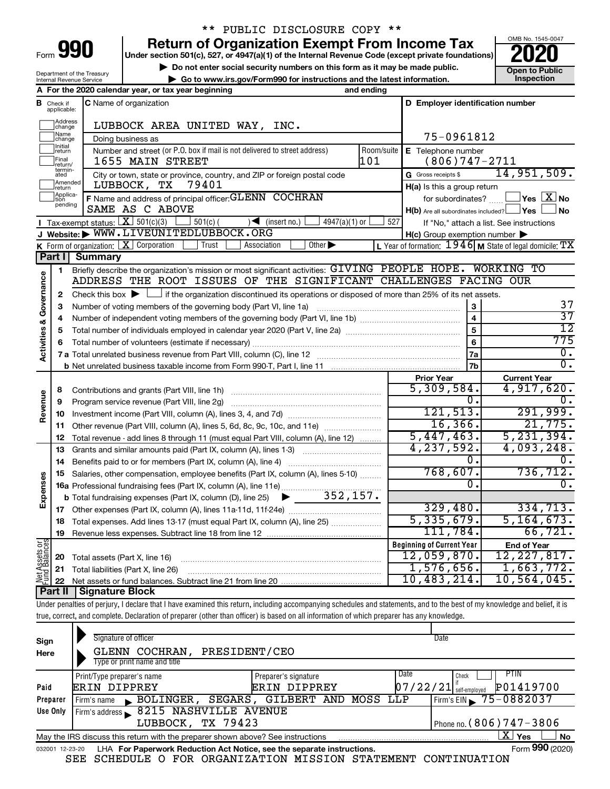| Form |  |  |
|------|--|--|

# \*\* PUBLIC DISCLOSURE COPY \*\*

**990** Return of Organization Exempt From Income Tax <br>
Under section 501(c), 527, or 4947(a)(1) of the Internal Revenue Code (except private foundations)<br> **PO20** 

▶ Do not enter social security numbers on this form as it may be made public. <br>● Go to www.irs.gov/Form990 for instructions and the latest information. **Dependent in the latest** information. **| Go to www.irs.gov/Form990 for instructions and the latest information. Inspection**



Department of the Treasury Internal Revenue Service

|                             |                               | A For the 2020 calendar year, or tax year beginning                                                                                                                        | and ending        |                                                     |                                                             |
|-----------------------------|-------------------------------|----------------------------------------------------------------------------------------------------------------------------------------------------------------------------|-------------------|-----------------------------------------------------|-------------------------------------------------------------|
|                             | <b>B</b> Check if applicable: | C Name of organization                                                                                                                                                     |                   | D Employer identification number                    |                                                             |
|                             | Address<br>change<br>Name     | LUBBOCK AREA UNITED WAY, INC.                                                                                                                                              |                   |                                                     |                                                             |
|                             | change<br>Initial             | Doing business as                                                                                                                                                          |                   | 75-0961812                                          |                                                             |
|                             | return<br>Final<br>return/    | Number and street (or P.O. box if mail is not delivered to street address)<br>1655 MAIN STREET                                                                             | Room/suite<br>101 | E Telephone number<br>$(806)747 - 2711$             |                                                             |
|                             | termin-<br>ated               | City or town, state or province, country, and ZIP or foreign postal code                                                                                                   |                   | G Gross receipts \$                                 | 14,951,509.                                                 |
|                             | Amended                       | 79401<br>LUBBOCK, TX                                                                                                                                                       |                   | H(a) Is this a group return                         |                                                             |
|                             | return<br>Applica-            | F Name and address of principal officer: GLENN COCHRAN                                                                                                                     |                   | for subordinates?                                   | $\Box$ Yes $[\overline{\mathrm{X}}]$ No                     |
|                             | tion<br>pending               | SAME AS C ABOVE                                                                                                                                                            |                   |                                                     | J No                                                        |
|                             |                               | <b>I</b> Tax-exempt status: $X \over 301(c)(3)$<br>$501(c)$ (                                                                                                              | 527               | H(b) Are all subordinates included? Ves             |                                                             |
|                             |                               | $\sqrt{\frac{1}{1}}$ (insert no.)<br>$4947(a)(1)$ or<br>J Website: WWW.LIVEUNITEDLUBBOCK.ORG                                                                               |                   |                                                     | If "No," attach a list. See instructions                    |
|                             |                               |                                                                                                                                                                            |                   | $H(c)$ Group exemption number $\blacktriangleright$ |                                                             |
|                             |                               | Other $\blacktriangleright$<br>K Form of organization: $X$ Corporation<br>Trust<br>Association                                                                             |                   |                                                     | L Year of formation: $1946$ M State of legal domicile: $TX$ |
|                             | Part I                        | <b>Summary</b>                                                                                                                                                             |                   |                                                     |                                                             |
|                             | 1                             | Briefly describe the organization's mission or most significant activities: GIVING PEOPLE HOPE. WORKING TO                                                                 |                   |                                                     |                                                             |
| Activities & Governance     |                               | ADDRESS THE ROOT ISSUES OF THE SIGNIFICANT CHALLENGES FACING OUR                                                                                                           |                   |                                                     |                                                             |
|                             | 2                             | Check this box $\blacktriangleright$ $\Box$ if the organization discontinued its operations or disposed of more than 25% of its net assets.                                |                   |                                                     |                                                             |
|                             | 3                             | Number of voting members of the governing body (Part VI, line 1a)                                                                                                          |                   | 3                                                   | 37                                                          |
|                             | 4                             |                                                                                                                                                                            |                   | $\overline{4}$                                      | $\overline{37}$                                             |
|                             | 5                             |                                                                                                                                                                            |                   | 5                                                   | $\overline{12}$                                             |
|                             | 6                             |                                                                                                                                                                            |                   | 6                                                   | 775                                                         |
|                             |                               |                                                                                                                                                                            |                   | 7a                                                  | $\overline{0}$ .                                            |
|                             |                               |                                                                                                                                                                            |                   | 7b                                                  | $\overline{0}$ .                                            |
|                             |                               |                                                                                                                                                                            |                   | <b>Prior Year</b>                                   | <b>Current Year</b>                                         |
|                             | 8                             | Contributions and grants (Part VIII, line 1h)                                                                                                                              |                   | 5,309,584.                                          | 4,917,620.                                                  |
|                             | 9                             | Program service revenue (Part VIII, line 2g)                                                                                                                               |                   | 0.                                                  |                                                             |
| Revenue                     | 10                            |                                                                                                                                                                            |                   | 121,513.                                            | 291,999.                                                    |
|                             | 11                            | Other revenue (Part VIII, column (A), lines 5, 6d, 8c, 9c, 10c, and 11e)                                                                                                   |                   | 16, 366.                                            | 21,775.                                                     |
|                             | 12                            | Total revenue - add lines 8 through 11 (must equal Part VIII, column (A), line 12)                                                                                         |                   | 5,447,463.                                          | 5, 231, 394.                                                |
|                             | 13                            | Grants and similar amounts paid (Part IX, column (A), lines 1-3)                                                                                                           |                   | 4,237,592.                                          | 4,093,248.                                                  |
|                             | 14                            |                                                                                                                                                                            |                   | 0.                                                  |                                                             |
|                             | 15                            | Salaries, other compensation, employee benefits (Part IX, column (A), lines 5-10)                                                                                          |                   | 768,607.                                            | 736, 712.                                                   |
|                             |                               | 16a Professional fundraising fees (Part IX, column (A), line 11e)                                                                                                          |                   | 0.                                                  | 0.                                                          |
| Expenses                    |                               | <b>b</b> Total fundraising expenses (Part IX, column (D), line 25) $\bullet$ 352, 157.                                                                                     |                   |                                                     |                                                             |
|                             | 17                            |                                                                                                                                                                            |                   | 329,480.                                            | 334,713.                                                    |
|                             | 18                            | Total expenses. Add lines 13-17 (must equal Part IX, column (A), line 25)                                                                                                  |                   | 5,335,679.                                          | 5, 164, 673.                                                |
|                             | 19                            | Revenue less expenses. Subtract line 18 from line 12                                                                                                                       |                   | 111,784.                                            | 66, 721.                                                    |
|                             |                               |                                                                                                                                                                            |                   | <b>Beginning of Current Year</b>                    |                                                             |
| : Assets or  <br>d Balances |                               |                                                                                                                                                                            |                   | 12,059,870.                                         | <b>End of Year</b><br>12, 227, 817.                         |
|                             | 20                            | Total assets (Part X, line 16)                                                                                                                                             |                   | 1,576,656.                                          | 1,663,772.                                                  |
| Net A<br>Eurol              | 21                            | Total liabilities (Part X, line 26)                                                                                                                                        |                   | 10,483,214.                                         | 10, 564, 045.                                               |
|                             | 22                            | <b>Signature Block</b>                                                                                                                                                     |                   |                                                     |                                                             |
|                             | Part II                       |                                                                                                                                                                            |                   |                                                     |                                                             |
|                             |                               | Under penalties of perjury, I declare that I have examined this return, including accompanying schedules and statements, and to the best of my knowledge and belief, it is |                   |                                                     |                                                             |
|                             |                               | true, correct, and complete. Declaration of preparer (other than officer) is based on all information of which preparer has any knowledge.                                 |                   |                                                     |                                                             |
|                             |                               |                                                                                                                                                                            |                   |                                                     |                                                             |

| Sign<br>Here    | Signature of officer<br>PRESIDENT/CEO<br>GLENN COCHRAN,                         |                      | Date                                     |           |
|-----------------|---------------------------------------------------------------------------------|----------------------|------------------------------------------|-----------|
|                 | Type or print name and title                                                    |                      |                                          |           |
|                 | Print/Type preparer's name                                                      | Preparer's signature | PTIN<br>Date<br>Check                    |           |
| Paid            | <b>ERIN DIPPREY</b>                                                             | ERIN DIPPREY         | P01419700<br> 07/22/21 <br>self-emploved |           |
| Preparer        | BOLINGER,<br>SEGARS,<br>Firm's name                                             | GILBERT AND MOSS LLP | Firm's EIN $\sqrt{75-0882037}$           |           |
| Use Only        | Firm's address 8215 NASHVILLE AVENUE                                            |                      |                                          |           |
|                 | LUBBOCK, TX 79423                                                               |                      | Phone no. $(806)$ 747 – 3806             |           |
|                 | May the IRS discuss this return with the preparer shown above? See instructions |                      | x<br>Yes                                 | <b>No</b> |
| 032001 12-23-20 | LHA For Paperwork Reduction Act Notice, see the separate instructions.          |                      | Form 990 (2020)                          |           |

SEE SCHEDULE O FOR ORGANIZATION MISSION STATEMENT CONTINUATION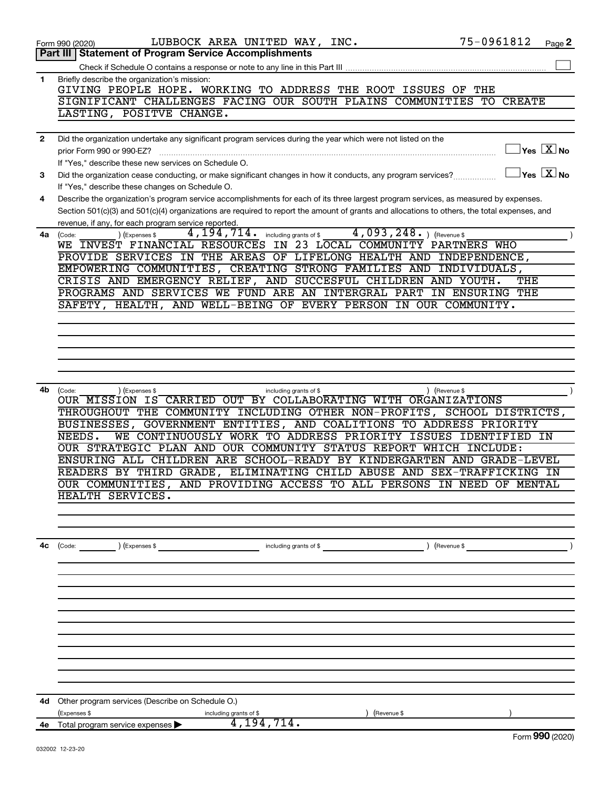|              | LUBBOCK AREA UNITED WAY, INC.<br>Form 990 (2020)                                                                                             | 75-0961812    | Page 2                               |
|--------------|----------------------------------------------------------------------------------------------------------------------------------------------|---------------|--------------------------------------|
|              | <b>Statement of Program Service Accomplishments</b><br>Part III                                                                              |               |                                      |
|              |                                                                                                                                              |               |                                      |
| 1            | Briefly describe the organization's mission:                                                                                                 |               |                                      |
|              | GIVING PEOPLE HOPE. WORKING TO ADDRESS THE ROOT ISSUES OF<br>THE                                                                             | <b>CREATE</b> |                                      |
|              | SIGNIFICANT CHALLENGES FACING OUR SOUTH PLAINS COMMUNITIES TO<br>LASTING, POSITVE CHANGE.                                                    |               |                                      |
|              |                                                                                                                                              |               |                                      |
| $\mathbf{2}$ | Did the organization undertake any significant program services during the year which were not listed on the                                 |               |                                      |
|              | prior Form 990 or 990-EZ?                                                                                                                    |               | $\sqrt{\mathsf{Yes}\ \mathbb{X}}$ No |
|              | If "Yes," describe these new services on Schedule O.                                                                                         |               |                                      |
| 3            | Did the organization cease conducting, or make significant changes in how it conducts, any program services?                                 |               | $\gamma$ es $\boxed{X}$ No           |
|              | If "Yes," describe these changes on Schedule O.                                                                                              |               |                                      |
| 4            | Describe the organization's program service accomplishments for each of its three largest program services, as measured by expenses.         |               |                                      |
|              | Section 501(c)(3) and 501(c)(4) organizations are required to report the amount of grants and allocations to others, the total expenses, and |               |                                      |
|              | revenue, if any, for each program service reported.                                                                                          |               |                                      |
| 4a           | $4,093,248.$ (Revenue \$)<br>4, 194, 714. including grants of \$<br>(Expenses \$<br>(Code:                                                   |               |                                      |
|              | WE INVEST FINANCIAL RESOURCES IN 23 LOCAL COMMUNITY PARTNERS WHO                                                                             |               |                                      |
|              | PROVIDE SERVICES IN THE AREAS OF LIFELONG HEALTH AND INDEPENDENCE,                                                                           |               |                                      |
|              | EMPOWERING COMMUNITIES, CREATING STRONG FAMILIES AND INDIVIDUALS,                                                                            |               |                                      |
|              | CRISIS AND EMERGENCY RELIEF, AND SUCCESFUL CHILDREN AND YOUTH.                                                                               | THE           |                                      |
|              | PROGRAMS AND SERVICES WE FUND ARE AN INTERGRAL PART<br>IN ENSURING                                                                           | THE           |                                      |
|              | AND WELL-BEING OF EVERY PERSON IN OUR COMMUNITY.<br>SAFETY, HEALTH,                                                                          |               |                                      |
|              |                                                                                                                                              |               |                                      |
|              |                                                                                                                                              |               |                                      |
|              |                                                                                                                                              |               |                                      |
|              |                                                                                                                                              |               |                                      |
|              |                                                                                                                                              |               |                                      |
| 4b           | ) (Revenue \$                                                                                                                                |               |                                      |
|              | (Code:<br>) (Expenses \$<br>including grants of \$<br>OUR MISSION IS CARRIED OUT BY COLLABORATING WITH ORGANIZATIONS                         |               |                                      |
|              | THROUGHOUT THE COMMUNITY INCLUDING OTHER NON-PROFITS, SCHOOL DISTRICTS,                                                                      |               |                                      |
|              | GOVERNMENT ENTITIES, AND COALITIONS TO ADDRESS PRIORITY<br>BUSINESSES,                                                                       |               |                                      |
|              | WE CONTINUOUSLY WORK TO ADDRESS PRIORITY ISSUES IDENTIFIED IN<br>NEEDS.                                                                      |               |                                      |
|              | OUR STRATEGIC PLAN AND OUR COMMUNITY STATUS REPORT WHICH INCLUDE:                                                                            |               |                                      |
|              | ENSURING ALL CHILDREN ARE SCHOOL-READY BY KINDERGARTEN AND GRADE-LEVEL                                                                       |               |                                      |
|              | ELIMINATING CHILD ABUSE AND SEX-TRAFFICKING IN<br>READERS BY THIRD GRADE,                                                                    |               |                                      |
|              | OUR COMMUNITIES, AND PROVIDING ACCESS TO ALL PERSONS IN NEED OF MENTAL                                                                       |               |                                      |
|              | HEALTH SERVICES.                                                                                                                             |               |                                      |
|              |                                                                                                                                              |               |                                      |
|              |                                                                                                                                              |               |                                      |
|              |                                                                                                                                              |               |                                      |
| 4с           | $\begin{pmatrix} \text{Code:} \\ \end{pmatrix}$ $\begin{pmatrix} \text{Expenses $} \\ \end{pmatrix}$                                         |               |                                      |
|              |                                                                                                                                              |               |                                      |
|              |                                                                                                                                              |               |                                      |
|              |                                                                                                                                              |               |                                      |
|              |                                                                                                                                              |               |                                      |
|              |                                                                                                                                              |               |                                      |
|              |                                                                                                                                              |               |                                      |
|              |                                                                                                                                              |               |                                      |
|              |                                                                                                                                              |               |                                      |
|              |                                                                                                                                              |               |                                      |
|              |                                                                                                                                              |               |                                      |
|              |                                                                                                                                              |               |                                      |
|              | 4d Other program services (Describe on Schedule O.)                                                                                          |               |                                      |
|              | (Expenses \$<br>including grants of \$<br>Revenue \$                                                                                         |               |                                      |
|              | 4, 194, 714.<br>4e Total program service expenses                                                                                            |               |                                      |
|              |                                                                                                                                              |               | $F_{\alpha r}$ QQO (2020)            |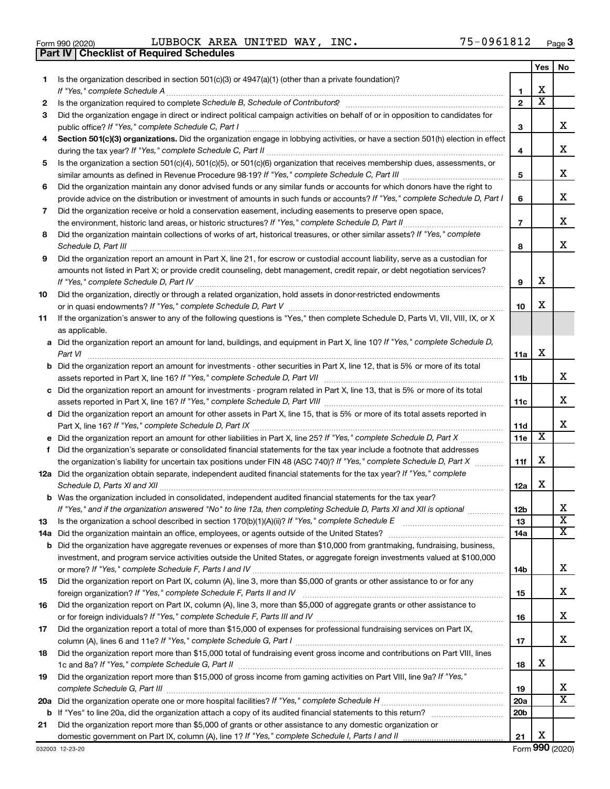|  | Form 990 (2020) |
|--|-----------------|

**Part IV Checklist of Required Schedules**

Form 990 (2020) Page LUBBOCK AREA UNITED WAY, INC. 75-0961812

|    |                                                                                                                                                                                                                                                           |                 | Yes                     | No                      |
|----|-----------------------------------------------------------------------------------------------------------------------------------------------------------------------------------------------------------------------------------------------------------|-----------------|-------------------------|-------------------------|
| 1. | Is the organization described in section 501(c)(3) or 4947(a)(1) (other than a private foundation)?<br>If "Yes," complete Schedule A                                                                                                                      | 1               | х                       |                         |
| 2  |                                                                                                                                                                                                                                                           | $\mathbf{2}$    | $\overline{\mathbf{X}}$ |                         |
| 3  | Did the organization engage in direct or indirect political campaign activities on behalf of or in opposition to candidates for                                                                                                                           |                 |                         |                         |
|    | public office? If "Yes," complete Schedule C, Part I                                                                                                                                                                                                      | 3               |                         | x.                      |
| 4  | Section 501(c)(3) organizations. Did the organization engage in lobbying activities, or have a section 501(h) election in effect                                                                                                                          | 4               |                         | x                       |
| 5  | Is the organization a section 501(c)(4), 501(c)(5), or 501(c)(6) organization that receives membership dues, assessments, or                                                                                                                              |                 |                         |                         |
|    |                                                                                                                                                                                                                                                           | 5               |                         | х                       |
| 6  | Did the organization maintain any donor advised funds or any similar funds or accounts for which donors have the right to<br>provide advice on the distribution or investment of amounts in such funds or accounts? If "Yes," complete Schedule D, Part I | 6               |                         | х                       |
|    | Did the organization receive or hold a conservation easement, including easements to preserve open space,                                                                                                                                                 |                 |                         |                         |
| 7  |                                                                                                                                                                                                                                                           | 7               |                         | x                       |
| 8  | Did the organization maintain collections of works of art, historical treasures, or other similar assets? If "Yes," complete                                                                                                                              |                 |                         |                         |
|    |                                                                                                                                                                                                                                                           | 8               |                         | x                       |
| 9  | Did the organization report an amount in Part X, line 21, for escrow or custodial account liability, serve as a custodian for                                                                                                                             |                 |                         |                         |
|    | amounts not listed in Part X; or provide credit counseling, debt management, credit repair, or debt negotiation services?                                                                                                                                 | 9               | х                       |                         |
| 10 | Did the organization, directly or through a related organization, hold assets in donor-restricted endowments                                                                                                                                              |                 |                         |                         |
|    |                                                                                                                                                                                                                                                           | 10              | х                       |                         |
| 11 | If the organization's answer to any of the following questions is "Yes," then complete Schedule D, Parts VI, VII, VIII, IX, or X<br>as applicable.                                                                                                        |                 |                         |                         |
|    | a Did the organization report an amount for land, buildings, and equipment in Part X, line 10? If "Yes," complete Schedule D,<br>Part VI                                                                                                                  | 11a             | х                       |                         |
|    | <b>b</b> Did the organization report an amount for investments - other securities in Part X, line 12, that is 5% or more of its total                                                                                                                     | 11b             |                         | x                       |
|    | c Did the organization report an amount for investments - program related in Part X, line 13, that is 5% or more of its total                                                                                                                             |                 |                         |                         |
|    |                                                                                                                                                                                                                                                           | 11c             |                         | х                       |
|    | d Did the organization report an amount for other assets in Part X, line 15, that is 5% or more of its total assets reported in                                                                                                                           | 11d             |                         | x                       |
|    |                                                                                                                                                                                                                                                           | 11e             | х                       |                         |
| f  | Did the organization's separate or consolidated financial statements for the tax year include a footnote that addresses                                                                                                                                   |                 |                         |                         |
|    | the organization's liability for uncertain tax positions under FIN 48 (ASC 740)? If "Yes," complete Schedule D, Part X                                                                                                                                    | 11f             | х                       |                         |
|    | 12a Did the organization obtain separate, independent audited financial statements for the tax year? If "Yes," complete                                                                                                                                   | 12a             | х                       |                         |
|    | <b>b</b> Was the organization included in consolidated, independent audited financial statements for the tax year?                                                                                                                                        |                 |                         |                         |
|    | If "Yes," and if the organization answered "No" to line 12a, then completing Schedule D, Parts XI and XII is optional                                                                                                                                     | 12 <sub>b</sub> |                         | х                       |
| 13 | Is the organization a school described in section 170(b)(1)(A)(ii)? If "Yes," complete Schedule E [[[[[[[[[[[[                                                                                                                                            | 13              |                         | $\overline{\textbf{x}}$ |
|    |                                                                                                                                                                                                                                                           | 14a             |                         | X                       |
|    | <b>b</b> Did the organization have aggregate revenues or expenses of more than \$10,000 from grantmaking, fundraising, business,                                                                                                                          |                 |                         |                         |
|    | investment, and program service activities outside the United States, or aggregate foreign investments valued at \$100,000                                                                                                                                |                 |                         |                         |
|    |                                                                                                                                                                                                                                                           | 14b             |                         | x                       |
| 15 | Did the organization report on Part IX, column (A), line 3, more than \$5,000 of grants or other assistance to or for any                                                                                                                                 | 15              |                         | х                       |
| 16 | Did the organization report on Part IX, column (A), line 3, more than \$5,000 of aggregate grants or other assistance to                                                                                                                                  |                 |                         |                         |
|    |                                                                                                                                                                                                                                                           | 16              |                         | х                       |
| 17 | Did the organization report a total of more than \$15,000 of expenses for professional fundraising services on Part IX,                                                                                                                                   |                 |                         |                         |
|    |                                                                                                                                                                                                                                                           | 17              |                         | x                       |
| 18 | Did the organization report more than \$15,000 total of fundraising event gross income and contributions on Part VIII, lines                                                                                                                              |                 |                         |                         |
|    |                                                                                                                                                                                                                                                           | 18              | х                       |                         |
| 19 | Did the organization report more than \$15,000 of gross income from gaming activities on Part VIII, line 9a? If "Yes,"                                                                                                                                    |                 |                         |                         |
|    |                                                                                                                                                                                                                                                           | 19              |                         | х                       |
|    |                                                                                                                                                                                                                                                           | <b>20a</b>      |                         | x                       |
|    |                                                                                                                                                                                                                                                           | 20 <sub>b</sub> |                         |                         |
| 21 | Did the organization report more than \$5,000 of grants or other assistance to any domestic organization or                                                                                                                                               |                 | х                       |                         |
|    |                                                                                                                                                                                                                                                           | 21              |                         |                         |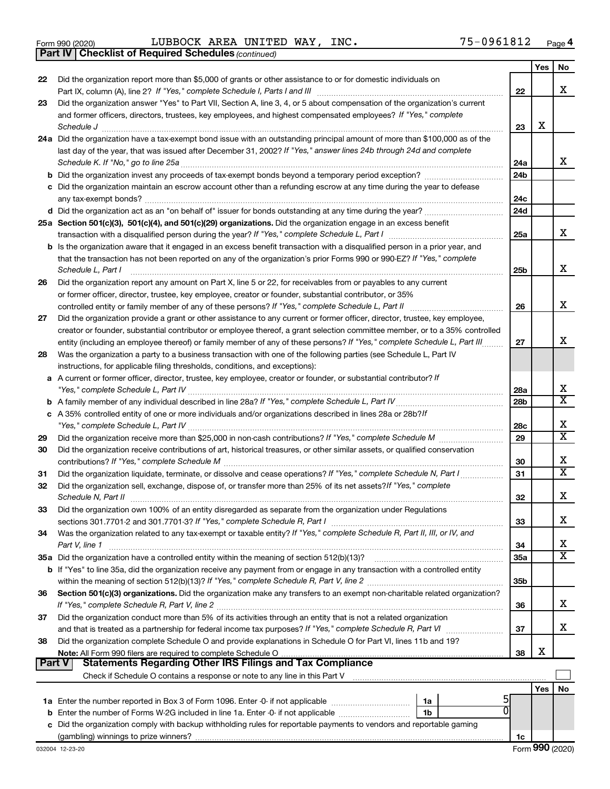|  | Form 990 (2020) |
|--|-----------------|
|  |                 |

*(continued)* **Part IV Checklist of Required Schedules**

Form 990 (2020) Page LUBBOCK AREA UNITED WAY, INC. 75-0961812

|               |                                                                                                                                                                                                                                                            |                 | Yes | No                      |
|---------------|------------------------------------------------------------------------------------------------------------------------------------------------------------------------------------------------------------------------------------------------------------|-----------------|-----|-------------------------|
| 22            | Did the organization report more than \$5,000 of grants or other assistance to or for domestic individuals on                                                                                                                                              |                 |     | x                       |
|               |                                                                                                                                                                                                                                                            | 22              |     |                         |
| 23            | Did the organization answer "Yes" to Part VII, Section A, line 3, 4, or 5 about compensation of the organization's current<br>and former officers, directors, trustees, key employees, and highest compensated employees? If "Yes," complete               |                 |     |                         |
|               | Schedule J                                                                                                                                                                                                                                                 | 23              | X   |                         |
|               | 24a Did the organization have a tax-exempt bond issue with an outstanding principal amount of more than \$100,000 as of the                                                                                                                                |                 |     |                         |
|               | last day of the year, that was issued after December 31, 2002? If "Yes," answer lines 24b through 24d and complete                                                                                                                                         |                 |     |                         |
|               | Schedule K. If "No," go to line 25a                                                                                                                                                                                                                        | 24a             |     | x                       |
|               |                                                                                                                                                                                                                                                            | 24 <sub>b</sub> |     |                         |
|               | c Did the organization maintain an escrow account other than a refunding escrow at any time during the year to defease                                                                                                                                     |                 |     |                         |
|               | any tax-exempt bonds?                                                                                                                                                                                                                                      | 24c             |     |                         |
|               |                                                                                                                                                                                                                                                            | 24 <sub>d</sub> |     |                         |
|               | 25a Section 501(c)(3), 501(c)(4), and 501(c)(29) organizations. Did the organization engage in an excess benefit                                                                                                                                           |                 |     |                         |
|               |                                                                                                                                                                                                                                                            | 25a             |     | x                       |
|               | <b>b</b> Is the organization aware that it engaged in an excess benefit transaction with a disqualified person in a prior year, and                                                                                                                        |                 |     |                         |
|               | that the transaction has not been reported on any of the organization's prior Forms 990 or 990-EZ? If "Yes," complete                                                                                                                                      |                 |     |                         |
|               | Schedule L, Part I                                                                                                                                                                                                                                         | 25b             |     | х                       |
| 26            | Did the organization report any amount on Part X, line 5 or 22, for receivables from or payables to any current                                                                                                                                            |                 |     |                         |
|               | or former officer, director, trustee, key employee, creator or founder, substantial contributor, or 35%                                                                                                                                                    |                 |     | х                       |
|               | controlled entity or family member of any of these persons? If "Yes," complete Schedule L, Part II                                                                                                                                                         | 26              |     |                         |
| 27            | Did the organization provide a grant or other assistance to any current or former officer, director, trustee, key employee,<br>creator or founder, substantial contributor or employee thereof, a grant selection committee member, or to a 35% controlled |                 |     |                         |
|               | entity (including an employee thereof) or family member of any of these persons? If "Yes," complete Schedule L, Part III                                                                                                                                   | 27              |     | x                       |
| 28            | Was the organization a party to a business transaction with one of the following parties (see Schedule L, Part IV                                                                                                                                          |                 |     |                         |
|               | instructions, for applicable filing thresholds, conditions, and exceptions):                                                                                                                                                                               |                 |     |                         |
|               | a A current or former officer, director, trustee, key employee, creator or founder, or substantial contributor? If                                                                                                                                         |                 |     |                         |
|               |                                                                                                                                                                                                                                                            | 28a             |     | х                       |
|               |                                                                                                                                                                                                                                                            | 28 <sub>b</sub> |     | $\overline{\text{X}}$   |
|               | c A 35% controlled entity of one or more individuals and/or organizations described in lines 28a or 28b?If                                                                                                                                                 |                 |     |                         |
|               |                                                                                                                                                                                                                                                            | 28c             |     | х                       |
| 29            |                                                                                                                                                                                                                                                            | 29              |     | $\overline{\textbf{x}}$ |
| 30            | Did the organization receive contributions of art, historical treasures, or other similar assets, or qualified conservation                                                                                                                                |                 |     |                         |
|               |                                                                                                                                                                                                                                                            | 30              |     | х                       |
| 31            | Did the organization liquidate, terminate, or dissolve and cease operations? If "Yes," complete Schedule N, Part I                                                                                                                                         | 31              |     | $\overline{\text{x}}$   |
| 32            | Did the organization sell, exchange, dispose of, or transfer more than 25% of its net assets? If "Yes," complete                                                                                                                                           |                 |     | x                       |
|               | Schedule N, Part II                                                                                                                                                                                                                                        | 32              |     |                         |
| 33            | Did the organization own 100% of an entity disregarded as separate from the organization under Regulations                                                                                                                                                 | 33              |     | х                       |
| 34            | Was the organization related to any tax-exempt or taxable entity? If "Yes," complete Schedule R, Part II, III, or IV, and                                                                                                                                  |                 |     |                         |
|               | Part V, line 1                                                                                                                                                                                                                                             | 34              |     | х                       |
|               |                                                                                                                                                                                                                                                            | 35a             |     | $\overline{\texttt{X}}$ |
|               | b If "Yes" to line 35a, did the organization receive any payment from or engage in any transaction with a controlled entity                                                                                                                                |                 |     |                         |
|               |                                                                                                                                                                                                                                                            | 35b             |     |                         |
| 36            | Section 501(c)(3) organizations. Did the organization make any transfers to an exempt non-charitable related organization?                                                                                                                                 |                 |     |                         |
|               |                                                                                                                                                                                                                                                            | 36              |     | x                       |
| 37            | Did the organization conduct more than 5% of its activities through an entity that is not a related organization                                                                                                                                           |                 |     |                         |
|               | and that is treated as a partnership for federal income tax purposes? If "Yes," complete Schedule R, Part VI                                                                                                                                               | 37              |     | x                       |
| 38            | Did the organization complete Schedule O and provide explanations in Schedule O for Part VI, lines 11b and 19?                                                                                                                                             |                 | х   |                         |
| <b>Part V</b> | Statements Regarding Other IRS Filings and Tax Compliance                                                                                                                                                                                                  | 38              |     |                         |
|               |                                                                                                                                                                                                                                                            |                 |     |                         |
|               |                                                                                                                                                                                                                                                            |                 | Yes | No                      |
|               | 1a                                                                                                                                                                                                                                                         |                 |     |                         |
|               | ΩI<br><b>b</b> Enter the number of Forms W-2G included in line 1a. Enter -0- if not applicable<br>1b                                                                                                                                                       |                 |     |                         |
|               | c Did the organization comply with backup withholding rules for reportable payments to vendors and reportable gaming                                                                                                                                       |                 |     |                         |
|               |                                                                                                                                                                                                                                                            | 1c              |     |                         |
|               |                                                                                                                                                                                                                                                            |                 |     |                         |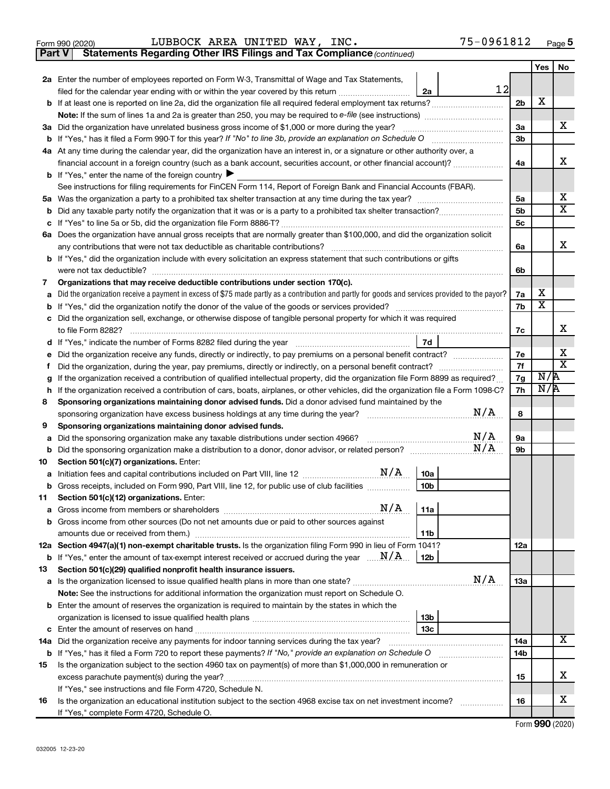|  | Form 990 (2020) |
|--|-----------------|
|  |                 |

**Part V** Statements Regarding Other IRS Filings and Tax Compliance (continued)

|        |                                                                                                                                                                                                                                                                        |                | Yes    | No                      |
|--------|------------------------------------------------------------------------------------------------------------------------------------------------------------------------------------------------------------------------------------------------------------------------|----------------|--------|-------------------------|
|        | 2a Enter the number of employees reported on Form W-3, Transmittal of Wage and Tax Statements,                                                                                                                                                                         |                |        |                         |
|        | 12<br>filed for the calendar year ending with or within the year covered by this return <i>manumumumum</i><br>2a                                                                                                                                                       |                |        |                         |
| b      |                                                                                                                                                                                                                                                                        | 2b             | x      |                         |
|        |                                                                                                                                                                                                                                                                        |                |        |                         |
|        | 3a Did the organization have unrelated business gross income of \$1,000 or more during the year?                                                                                                                                                                       | 3a             |        | x                       |
| b      | If "Yes," has it filed a Form 990-T for this year? If "No" to line 3b, provide an explanation on Schedule O                                                                                                                                                            | 3 <sub>b</sub> |        |                         |
|        | 4a At any time during the calendar year, did the organization have an interest in, or a signature or other authority over, a                                                                                                                                           |                |        |                         |
|        | financial account in a foreign country (such as a bank account, securities account, or other financial account)?                                                                                                                                                       | 4a             |        | х                       |
|        | <b>b</b> If "Yes," enter the name of the foreign country                                                                                                                                                                                                               |                |        |                         |
|        | See instructions for filing requirements for FinCEN Form 114, Report of Foreign Bank and Financial Accounts (FBAR).                                                                                                                                                    |                |        |                         |
| 5а     |                                                                                                                                                                                                                                                                        | 5a             |        | x                       |
| b      |                                                                                                                                                                                                                                                                        | 5 <sub>b</sub> |        | $\overline{\mathtt{x}}$ |
| с      |                                                                                                                                                                                                                                                                        | 5 <sub>c</sub> |        |                         |
|        | 6a Does the organization have annual gross receipts that are normally greater than \$100,000, and did the organization solicit                                                                                                                                         |                |        |                         |
|        | any contributions that were not tax deductible as charitable contributions?                                                                                                                                                                                            | 6a             |        | x                       |
|        | <b>b</b> If "Yes," did the organization include with every solicitation an express statement that such contributions or gifts                                                                                                                                          |                |        |                         |
|        | were not tax deductible?                                                                                                                                                                                                                                               | 6b             |        |                         |
| 7      | Organizations that may receive deductible contributions under section 170(c).                                                                                                                                                                                          |                |        |                         |
| а      | Did the organization receive a payment in excess of \$75 made partly as a contribution and partly for goods and services provided to the payor?                                                                                                                        | 7a             | x<br>X |                         |
| b      |                                                                                                                                                                                                                                                                        | 7b             |        |                         |
| с      | Did the organization sell, exchange, or otherwise dispose of tangible personal property for which it was required                                                                                                                                                      |                |        | x                       |
|        |                                                                                                                                                                                                                                                                        | 7c             |        |                         |
| d      | 7d                                                                                                                                                                                                                                                                     |                |        | х                       |
| е      | Did the organization receive any funds, directly or indirectly, to pay premiums on a personal benefit contract?                                                                                                                                                        | 7е<br>7f       |        | $\overline{\text{X}}$   |
| Ť.     | Did the organization, during the year, pay premiums, directly or indirectly, on a personal benefit contract?                                                                                                                                                           | 7g             | N/R    |                         |
| g<br>h | If the organization received a contribution of qualified intellectual property, did the organization file Form 8899 as required?<br>If the organization received a contribution of cars, boats, airplanes, or other vehicles, did the organization file a Form 1098-C? | 7h             | N/A    |                         |
| 8      | Sponsoring organizations maintaining donor advised funds. Did a donor advised fund maintained by the                                                                                                                                                                   |                |        |                         |
|        | N/A<br>sponsoring organization have excess business holdings at any time during the year?                                                                                                                                                                              | 8              |        |                         |
| 9      | Sponsoring organizations maintaining donor advised funds.                                                                                                                                                                                                              |                |        |                         |
| а      | N/A<br>Did the sponsoring organization make any taxable distributions under section 4966?                                                                                                                                                                              | 9а             |        |                         |
| b      | N/A                                                                                                                                                                                                                                                                    | 9b             |        |                         |
| 10     | Section 501(c)(7) organizations. Enter:                                                                                                                                                                                                                                |                |        |                         |
| а      | 10a                                                                                                                                                                                                                                                                    |                |        |                         |
| b      | 10 <sub>b</sub><br>Gross receipts, included on Form 990, Part VIII, line 12, for public use of club facilities                                                                                                                                                         |                |        |                         |
| 11     | Section 501(c)(12) organizations. Enter:                                                                                                                                                                                                                               |                |        |                         |
|        | N/A<br>  11a<br><b>a</b> Gross income from members or shareholders                                                                                                                                                                                                     |                |        |                         |
|        | <b>b</b> Gross income from other sources (Do not net amounts due or paid to other sources against                                                                                                                                                                      |                |        |                         |
|        | 11b                                                                                                                                                                                                                                                                    |                |        |                         |
|        | 12a Section 4947(a)(1) non-exempt charitable trusts. Is the organization filing Form 990 in lieu of Form 1041?                                                                                                                                                         | 12a            |        |                         |
|        | <b>b</b> If "Yes," enter the amount of tax-exempt interest received or accrued during the year $\ldots$ $\mathbf{N}/\mathbf{A}$<br>  12b                                                                                                                               |                |        |                         |
| 13     | Section 501(c)(29) qualified nonprofit health insurance issuers.                                                                                                                                                                                                       |                |        |                         |
|        | N/A                                                                                                                                                                                                                                                                    | 13a            |        |                         |
|        | Note: See the instructions for additional information the organization must report on Schedule O.                                                                                                                                                                      |                |        |                         |
| b      | Enter the amount of reserves the organization is required to maintain by the states in which the                                                                                                                                                                       |                |        |                         |
|        | 13 <sub>b</sub>                                                                                                                                                                                                                                                        |                |        |                         |
| c      | 13с                                                                                                                                                                                                                                                                    |                |        |                         |
|        | 14a Did the organization receive any payments for indoor tanning services during the tax year?                                                                                                                                                                         | 14a            |        | x                       |
|        | <b>b</b> If "Yes," has it filed a Form 720 to report these payments? If "No," provide an explanation on Schedule O                                                                                                                                                     | 14b            |        |                         |
| 15     | Is the organization subject to the section 4960 tax on payment(s) of more than \$1,000,000 in remuneration or                                                                                                                                                          |                |        |                         |
|        | excess parachute payment(s) during the year?                                                                                                                                                                                                                           | 15             |        | x                       |
|        | If "Yes," see instructions and file Form 4720, Schedule N.                                                                                                                                                                                                             |                |        |                         |
| 16     | Is the organization an educational institution subject to the section 4968 excise tax on net investment income?                                                                                                                                                        | 16             |        | x                       |
|        | If "Yes," complete Form 4720, Schedule O.                                                                                                                                                                                                                              |                |        |                         |

Form (2020) **990**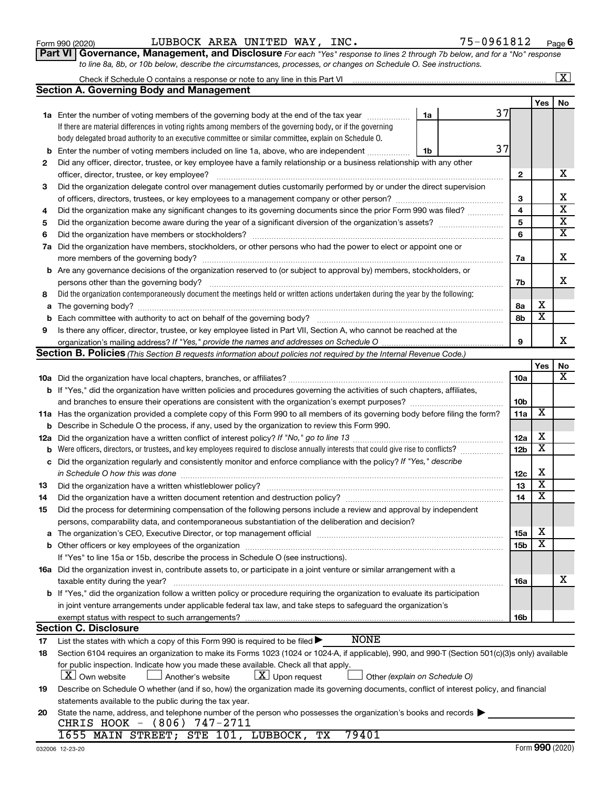|          | 75-0961812<br>LUBBOCK AREA UNITED WAY, INC.<br>Form 990 (2020)                                                                                                                                                                 |                 |                              |                         |
|----------|--------------------------------------------------------------------------------------------------------------------------------------------------------------------------------------------------------------------------------|-----------------|------------------------------|-------------------------|
|          | Part VI Governance, Management, and Disclosure For each "Yes" response to lines 2 through 7b below, and for a "No" response                                                                                                    |                 |                              | Page <sup>(</sup>       |
|          | to line 8a, 8b, or 10b below, describe the circumstances, processes, or changes on Schedule O. See instructions.                                                                                                               |                 |                              |                         |
|          |                                                                                                                                                                                                                                |                 |                              | $\overline{\mathbf{X}}$ |
|          | <b>Section A. Governing Body and Management</b>                                                                                                                                                                                |                 |                              |                         |
|          |                                                                                                                                                                                                                                |                 | Yes                          | No                      |
|          | 37<br>1a Enter the number of voting members of the governing body at the end of the tax year <i>manumer</i><br>1a                                                                                                              |                 |                              |                         |
|          | If there are material differences in voting rights among members of the governing body, or if the governing                                                                                                                    |                 |                              |                         |
|          | body delegated broad authority to an executive committee or similar committee, explain on Schedule O.                                                                                                                          |                 |                              |                         |
| b        | 37<br>Enter the number of voting members included on line 1a, above, who are independent<br>1b                                                                                                                                 |                 |                              |                         |
| 2        | Did any officer, director, trustee, or key employee have a family relationship or a business relationship with any other                                                                                                       |                 |                              |                         |
|          |                                                                                                                                                                                                                                | $\mathbf{2}$    |                              | Х                       |
| 3        | Did the organization delegate control over management duties customarily performed by or under the direct supervision                                                                                                          |                 |                              | X                       |
|          |                                                                                                                                                                                                                                | 3<br>4          |                              | $\overline{\text{x}}$   |
| 4<br>5   | Did the organization make any significant changes to its governing documents since the prior Form 990 was filed?                                                                                                               | 5               |                              | $\overline{\text{x}}$   |
| 6        |                                                                                                                                                                                                                                | 6               |                              | $\overline{\textbf{x}}$ |
| 7a       | Did the organization have members, stockholders, or other persons who had the power to elect or appoint one or                                                                                                                 |                 |                              |                         |
|          |                                                                                                                                                                                                                                | 7a              |                              | X                       |
|          | <b>b</b> Are any governance decisions of the organization reserved to (or subject to approval by) members, stockholders, or                                                                                                    |                 |                              |                         |
|          |                                                                                                                                                                                                                                | 7b              |                              | X                       |
| 8        | Did the organization contemporaneously document the meetings held or written actions undertaken during the year by the following:                                                                                              |                 |                              |                         |
| a        |                                                                                                                                                                                                                                | 8а              | X                            |                         |
| b        |                                                                                                                                                                                                                                | 8b              | $\overline{\mathtt{x}}$      |                         |
| 9        | Is there any officer, director, trustee, or key employee listed in Part VII, Section A, who cannot be reached at the                                                                                                           |                 |                              |                         |
|          |                                                                                                                                                                                                                                | 9               |                              | X                       |
|          | <b>Section B. Policies</b> (This Section B requests information about policies not required by the Internal Revenue Code.)                                                                                                     |                 |                              |                         |
|          |                                                                                                                                                                                                                                |                 | Yes                          | No                      |
|          |                                                                                                                                                                                                                                | 10a             |                              | X                       |
|          | <b>b</b> If "Yes," did the organization have written policies and procedures governing the activities of such chapters, affiliates,                                                                                            |                 |                              |                         |
|          |                                                                                                                                                                                                                                | 10b             |                              |                         |
|          | 11a Has the organization provided a complete copy of this Form 990 to all members of its governing body before filing the form?                                                                                                | 11a             | х                            |                         |
| b        | Describe in Schedule O the process, if any, used by the organization to review this Form 990.                                                                                                                                  |                 |                              |                         |
| 12a      |                                                                                                                                                                                                                                | 12a             | х<br>$\overline{\texttt{x}}$ |                         |
| b        | Were officers, directors, or trustees, and key employees required to disclose annually interests that could give rise to conflicts?                                                                                            | 12 <sub>b</sub> |                              |                         |
| с        | Did the organization regularly and consistently monitor and enforce compliance with the policy? If "Yes," describe                                                                                                             |                 | х                            |                         |
|          | in Schedule O how this was done                                                                                                                                                                                                | 12c             | x                            |                         |
| 13       | Did the organization have a written document retention and destruction policy? [11] manufaction in the organization have a written document retention and destruction policy?                                                  | 13<br>14        | x                            |                         |
| 14<br>15 | Did the process for determining compensation of the following persons include a review and approval by independent                                                                                                             |                 |                              |                         |
|          | persons, comparability data, and contemporaneous substantiation of the deliberation and decision?                                                                                                                              |                 |                              |                         |
| а        | The organization's CEO, Executive Director, or top management official manufactured content of the organization's CEO, Executive Director, or top management official manufactured content of the state of the state of the st | 15a             | х                            |                         |
| b        |                                                                                                                                                                                                                                | 15b             | X                            |                         |
|          | If "Yes" to line 15a or 15b, describe the process in Schedule O (see instructions).                                                                                                                                            |                 |                              |                         |
|          | 16a Did the organization invest in, contribute assets to, or participate in a joint venture or similar arrangement with a                                                                                                      |                 |                              |                         |
|          | taxable entity during the year?                                                                                                                                                                                                | 16a             |                              | х                       |
|          | <b>b</b> If "Yes," did the organization follow a written policy or procedure requiring the organization to evaluate its participation                                                                                          |                 |                              |                         |
|          |                                                                                                                                                                                                                                |                 |                              |                         |
|          | in joint venture arrangements under applicable federal tax law, and take steps to safeguard the organization's                                                                                                                 |                 |                              |                         |

| 19 | Describe on Schedule O whether (and if so, how) the organization made its governing documents, conflict of interest policy, and financial |
|----|-------------------------------------------------------------------------------------------------------------------------------------------|
|    | statements available to the public during the tax year.                                                                                   |
|    | 20 State the name, address, and telephone number of the person who possesses the organization's books and records                         |

|  |  |  |  | CHRIS HOOK - (806) 747-2711 |  |  |  |  |
|--|--|--|--|-----------------------------|--|--|--|--|
|  |  |  |  |                             |  |  |  |  |

|  |  | 1655 MAIN STREET; STE 101, LUBBOCK, TX 79401 |  |
|--|--|----------------------------------------------|--|
|  |  |                                              |  |

 $\boxed{\textbf{X}}$  Own website  $\boxed{\textbf{X}}$  Another's website  $\boxed{\textbf{X}}$  Upon request  $\boxed{\textbf{X}}$  Other

for public inspection. Indicate how you made these available. Check all that apply.<br> $X$  Own website  $\Box$  Another's website  $X$  Upon request

 *(explain on Schedule O)*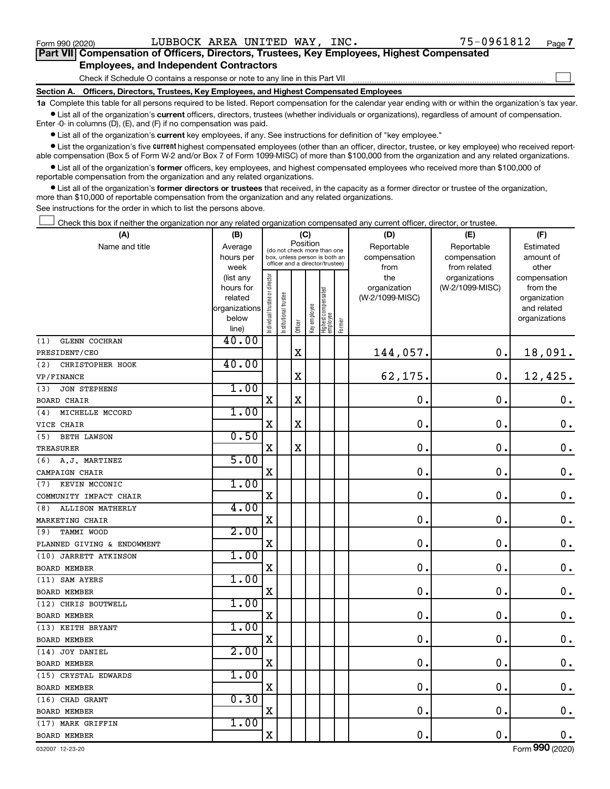$\Box$ 

| Part VII Compensation of Officers, Directors, Trustees, Key Employees, Highest Compensated |  |  |
|--------------------------------------------------------------------------------------------|--|--|
| <b>Employees, and Independent Contractors</b>                                              |  |  |

Check if Schedule O contains a response or note to any line in this Part VII

**Section A. Officers, Directors, Trustees, Key Employees, and Highest Compensated Employees**

**1a**  Complete this table for all persons required to be listed. Report compensation for the calendar year ending with or within the organization's tax year.  $\bullet$  List all of the organization's current officers, directors, trustees (whether individuals or organizations), regardless of amount of compensation.

Enter -0- in columns (D), (E), and (F) if no compensation was paid.

**•** List all of the organization's current key employees, if any. See instructions for definition of "key employee."

• List the organization's five *current* highest compensated employees (other than an officer, director, trustee, or key employee) who received reportable compensation (Box 5 of Form W-2 and/or Box 7 of Form 1099-MISC) of more than \$100,000 from the organization and any related organizations.

 $\bullet$  List all of the organization's former officers, key employees, and highest compensated employees who received more than \$100,000 of reportable compensation from the organization and any related organizations.

**•** List all of the organization's former directors or trustees that received, in the capacity as a former director or trustee of the organization, more than \$10,000 of reportable compensation from the organization and any related organizations.

See instructions for the order in which to list the persons above.

Check this box if neither the organization nor any related organization compensated any current officer, director, or trustee.  $\Box$ 

| (A)                            | (B)                    |                                |                                                                  | (C)         |              |                                 |        | (D)                 | (E)                              | (F)                      |
|--------------------------------|------------------------|--------------------------------|------------------------------------------------------------------|-------------|--------------|---------------------------------|--------|---------------------|----------------------------------|--------------------------|
| Name and title                 | Average                |                                | (do not check more than one                                      | Position    |              |                                 |        | Reportable          | Reportable                       | Estimated                |
|                                | hours per              |                                | box, unless person is both an<br>officer and a director/trustee) |             |              |                                 |        | compensation        | compensation                     | amount of                |
|                                | week                   |                                |                                                                  |             |              |                                 |        | from                | from related                     | other                    |
|                                | (list any<br>hours for |                                |                                                                  |             |              |                                 |        | the<br>organization | organizations<br>(W-2/1099-MISC) | compensation<br>from the |
|                                | related                |                                |                                                                  |             |              |                                 |        | (W-2/1099-MISC)     |                                  | organization             |
|                                | organizations          |                                |                                                                  |             |              |                                 |        |                     |                                  | and related              |
|                                | below                  | Individual trustee or director | Institutional trustee                                            |             | Key employee | Highest compensated<br>employee |        |                     |                                  | organizations            |
|                                | line)                  |                                |                                                                  | Officer     |              |                                 | Former |                     |                                  |                          |
| <b>GLENN COCHRAN</b><br>(1)    | 40.00                  |                                |                                                                  |             |              |                                 |        |                     |                                  |                          |
| PRESIDENT/CEO                  |                        |                                |                                                                  | $\mathbf X$ |              |                                 |        | 144,057.            | $\mathbf 0$ .                    | 18,091.                  |
| (2)<br>CHRISTOPHER HOOK        | 40.00                  |                                |                                                                  |             |              |                                 |        |                     |                                  |                          |
| VP/FINANCE                     |                        |                                |                                                                  | X           |              |                                 |        | 62,175.             | $\mathbf 0$ .                    | 12,425.                  |
| (3)<br><b>JON STEPHENS</b>     | 1.00                   |                                |                                                                  |             |              |                                 |        |                     |                                  |                          |
| <b>BOARD CHAIR</b>             |                        | X                              |                                                                  | $\mathbf X$ |              |                                 |        | $\mathbf 0$         | $\mathbf 0$ .                    | $\mathbf 0$ .            |
| MICHELLE MCCORD<br>(4)         | 1.00                   |                                |                                                                  |             |              |                                 |        |                     |                                  |                          |
| VICE CHAIR                     |                        | X                              |                                                                  | X           |              |                                 |        | $\mathbf 0$ .       | $\mathbf 0$ .                    | $\mathbf 0$ .            |
| <b>BETH LAWSON</b><br>(5)      | 0.50                   |                                |                                                                  |             |              |                                 |        |                     |                                  |                          |
| TREASURER                      |                        | $\mathbf X$                    |                                                                  | $\mathbf X$ |              |                                 |        | $\mathbf 0$         | $\mathbf 0$ .                    | $\mathbf 0$ .            |
| (6) A.J. MARTINEZ              | 5.00                   |                                |                                                                  |             |              |                                 |        |                     |                                  |                          |
| CAMPAIGN CHAIR                 |                        | X                              |                                                                  |             |              |                                 |        | $\mathbf 0$         | $\mathbf 0$ .                    | $\mathbf 0$ .            |
| KEVIN MCCONIC<br>(7)           | 1.00                   |                                |                                                                  |             |              |                                 |        |                     |                                  |                          |
| COMMUNITY IMPACT CHAIR         |                        | X                              |                                                                  |             |              |                                 |        | $\mathbf 0$ .       | $\mathbf 0$ .                    | $\mathbf 0$ .            |
| <b>ALLISON MATHERLY</b><br>(8) | 4.00                   |                                |                                                                  |             |              |                                 |        |                     |                                  |                          |
| MARKETING CHAIR                |                        | $\mathbf X$                    |                                                                  |             |              |                                 |        | $\mathbf 0$ .       | $\mathbf 0$ .                    | $\mathbf 0$ .            |
| TAMMI WOOD<br>(9)              | 2.00                   |                                |                                                                  |             |              |                                 |        |                     |                                  |                          |
| PLANNED GIVING & ENDOWMENT     |                        | X                              |                                                                  |             |              |                                 |        | $\mathbf 0$ .       | $\mathbf 0$ .                    | $\mathbf 0$ .            |
| (10) JARRETT ATKINSON          | 1.00                   |                                |                                                                  |             |              |                                 |        |                     |                                  |                          |
| <b>BOARD MEMBER</b>            |                        | $\mathbf X$                    |                                                                  |             |              |                                 |        | $\mathbf 0$         | $\mathbf 0$ .                    | $\mathbf 0$ .            |
| (11) SAM AYERS                 | 1.00                   |                                |                                                                  |             |              |                                 |        |                     |                                  |                          |
| <b>BOARD MEMBER</b>            |                        | X                              |                                                                  |             |              |                                 |        | $\mathbf 0$ .       | $\mathbf 0$ .                    | $\mathbf 0$ .            |
| (12) CHRIS BOUTWELL            | 1.00                   |                                |                                                                  |             |              |                                 |        |                     |                                  |                          |
| <b>BOARD MEMBER</b>            |                        | X                              |                                                                  |             |              |                                 |        | $\mathbf 0$ .       | $\mathbf 0$ .                    | $\mathbf 0$ .            |
| (13) KEITH BRYANT              | 1.00                   |                                |                                                                  |             |              |                                 |        |                     |                                  |                          |
| <b>BOARD MEMBER</b>            |                        | X                              |                                                                  |             |              |                                 |        | $\mathbf 0$ .       | О.                               | $\mathbf 0$ .            |
| (14) JOY DANIEL                | 2.00                   |                                |                                                                  |             |              |                                 |        |                     |                                  |                          |
| BOARD MEMBER                   |                        | X                              |                                                                  |             |              |                                 |        | 0                   | $\mathbf 0$ .                    | $\boldsymbol{0}$ .       |
| (15) CRYSTAL EDWARDS           | 1.00                   |                                |                                                                  |             |              |                                 |        |                     |                                  |                          |
| BOARD MEMBER                   |                        | X                              |                                                                  |             |              |                                 |        | 0.                  | $\mathbf 0$ .                    | $\boldsymbol{0}$ .       |
| (16) CHAD GRANT                | 0.30                   |                                |                                                                  |             |              |                                 |        |                     |                                  |                          |
| BOARD MEMBER                   |                        | $\mathbf X$                    |                                                                  |             |              |                                 |        | $\mathbf 0$         | $\mathbf 0$ .                    | $\mathbf 0$ .            |
| (17) MARK GRIFFIN              | 1.00                   |                                |                                                                  |             |              |                                 |        |                     |                                  |                          |
| <b>BOARD MEMBER</b>            |                        | $\mathbf X$                    |                                                                  |             |              |                                 |        | $\mathbf 0$ .       | $\mathbf 0$ .                    | $\mathbf 0$ .            |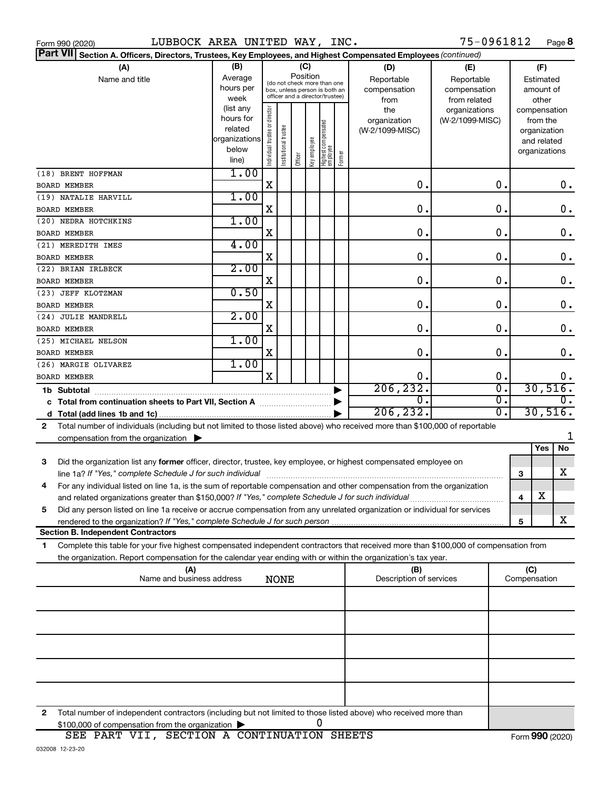|  | Form 990 (2020) |  |
|--|-----------------|--|
|  |                 |  |

|              | Part VII Section A. Officers, Directors, Trustees, Key Employees, and Highest Compensated Employees (continued)                                                                        |                          |                                |                       |         |               |                                                              |        |                         |                  |   |               |               |
|--------------|----------------------------------------------------------------------------------------------------------------------------------------------------------------------------------------|--------------------------|--------------------------------|-----------------------|---------|---------------|--------------------------------------------------------------|--------|-------------------------|------------------|---|---------------|---------------|
|              | (A)                                                                                                                                                                                    | (B)                      |                                |                       |         | (C)           |                                                              |        | (D)                     | (E)              |   | (F)           |               |
|              | Name and title                                                                                                                                                                         | Average                  |                                |                       |         | Position      |                                                              |        | Reportable              | Reportable       |   | Estimated     |               |
|              |                                                                                                                                                                                        | hours per                |                                |                       |         |               | (do not check more than one<br>box, unless person is both an |        | compensation            | compensation     |   | amount of     |               |
|              |                                                                                                                                                                                        | week                     |                                |                       |         |               | officer and a director/trustee)                              |        | from                    | from related     |   | other         |               |
|              |                                                                                                                                                                                        | (list any                |                                |                       |         |               |                                                              |        | the                     | organizations    |   | compensation  |               |
|              |                                                                                                                                                                                        | hours for                |                                |                       |         |               |                                                              |        | organization            | (W-2/1099-MISC)  |   | from the      |               |
|              |                                                                                                                                                                                        | related<br>organizations |                                |                       |         |               |                                                              |        | (W-2/1099-MISC)         |                  |   | organization  |               |
|              |                                                                                                                                                                                        | below                    |                                |                       |         |               |                                                              |        |                         |                  |   | and related   |               |
|              |                                                                                                                                                                                        | line)                    | Individual trustee or director | Institutional trustee | Officer | ea olquue Aey | Highest compensated<br> employee                             | Former |                         |                  |   | organizations |               |
|              | (18) BRENT HOFFMAN                                                                                                                                                                     | 1.00                     |                                |                       |         |               |                                                              |        |                         |                  |   |               |               |
|              | <b>BOARD MEMBER</b>                                                                                                                                                                    |                          | X                              |                       |         |               |                                                              |        | $\mathbf 0$ .           | О.               |   |               | 0.            |
|              | (19) NATALIE HARVILL                                                                                                                                                                   | 1.00                     |                                |                       |         |               |                                                              |        |                         |                  |   |               |               |
|              | <b>BOARD MEMBER</b>                                                                                                                                                                    |                          | х                              |                       |         |               |                                                              |        | $\mathbf 0$ .           | $\mathbf 0$ .    |   |               | $0$ .         |
|              | (20) NEDRA HOTCHKINS                                                                                                                                                                   | 1.00                     |                                |                       |         |               |                                                              |        |                         |                  |   |               |               |
|              | <b>BOARD MEMBER</b>                                                                                                                                                                    |                          | х                              |                       |         |               |                                                              |        | $\mathbf 0$ .           | $\mathbf 0$ .    |   |               | $\mathbf 0$ . |
|              | (21) MEREDITH IMES                                                                                                                                                                     | 4.00                     |                                |                       |         |               |                                                              |        |                         |                  |   |               |               |
|              | <b>BOARD MEMBER</b>                                                                                                                                                                    |                          | х                              |                       |         |               |                                                              |        | $\mathbf 0$ .           | $\mathbf 0$ .    |   |               | $\mathbf 0$ . |
|              | (22) BRIAN IRLBECK                                                                                                                                                                     | 2.00                     |                                |                       |         |               |                                                              |        |                         |                  |   |               |               |
|              | <b>BOARD MEMBER</b>                                                                                                                                                                    |                          | х                              |                       |         |               |                                                              |        | $\mathbf 0$ .           | 0.               |   |               | $\mathbf 0$ . |
|              | (23) JEFF KLOTZMAN                                                                                                                                                                     | 0.50                     |                                |                       |         |               |                                                              |        |                         |                  |   |               |               |
|              | <b>BOARD MEMBER</b>                                                                                                                                                                    |                          | х                              |                       |         |               |                                                              |        | $\mathbf 0$ .           | 0.               |   |               | $0$ .         |
|              | (24) JULIE MANDRELL                                                                                                                                                                    | 2.00                     |                                |                       |         |               |                                                              |        | $\mathbf 0$ .           | 0.               |   |               | 0.            |
|              | <b>BOARD MEMBER</b><br>(25) MICHAEL NELSON                                                                                                                                             | 1.00                     | х                              |                       |         |               |                                                              |        |                         |                  |   |               |               |
|              | <b>BOARD MEMBER</b>                                                                                                                                                                    |                          | X                              |                       |         |               |                                                              |        | $\mathbf 0$ .           | О.               |   |               | $\mathbf 0$ . |
|              | 1.00<br>(26) MARGIE OLIVAREZ                                                                                                                                                           |                          |                                |                       |         |               |                                                              |        |                         |                  |   |               |               |
|              | X<br>0.<br>О.<br><b>BOARD MEMBER</b>                                                                                                                                                   |                          |                                |                       |         |               |                                                              |        | 0.                      |                  |   |               |               |
|              | 206, 232.<br>σ.<br>1b Subtotal                                                                                                                                                         |                          |                                |                       |         |               |                                                              |        | 30,516.                 |                  |   |               |               |
|              | σ.<br>$\mathbf{0}$ .                                                                                                                                                                   |                          |                                |                       |         |               |                                                              |        |                         | $\overline{0}$ . |   |               |               |
|              |                                                                                                                                                                                        |                          |                                |                       |         |               |                                                              |        | 206, 232.               | О.               |   | 30,516.       |               |
| $\mathbf{2}$ | Total number of individuals (including but not limited to those listed above) who received more than \$100,000 of reportable                                                           |                          |                                |                       |         |               |                                                              |        |                         |                  |   |               |               |
|              | compensation from the organization $\blacktriangleright$                                                                                                                               |                          |                                |                       |         |               |                                                              |        |                         |                  |   |               |               |
|              |                                                                                                                                                                                        |                          |                                |                       |         |               |                                                              |        |                         |                  |   | Yes           | <b>No</b>     |
| 3            | Did the organization list any former officer, director, trustee, key employee, or highest compensated employee on                                                                      |                          |                                |                       |         |               |                                                              |        |                         |                  |   |               | х             |
| 4            | line 1a? If "Yes," complete Schedule J for such individual<br>For any individual listed on line 1a, is the sum of reportable compensation and other compensation from the organization |                          |                                |                       |         |               |                                                              |        |                         |                  | 3 |               |               |
|              |                                                                                                                                                                                        |                          |                                |                       |         |               |                                                              |        |                         |                  | 4 | X             |               |
| 5            | Did any person listed on line 1a receive or accrue compensation from any unrelated organization or individual for services                                                             |                          |                                |                       |         |               |                                                              |        |                         |                  |   |               |               |
|              | rendered to the organization? If "Yes," complete Schedule J for such person.                                                                                                           |                          |                                |                       |         |               |                                                              |        |                         |                  | 5 |               | x             |
|              | <b>Section B. Independent Contractors</b>                                                                                                                                              |                          |                                |                       |         |               |                                                              |        |                         |                  |   |               |               |
| 1            | Complete this table for your five highest compensated independent contractors that received more than \$100,000 of compensation from                                                   |                          |                                |                       |         |               |                                                              |        |                         |                  |   |               |               |
|              | the organization. Report compensation for the calendar year ending with or within the organization's tax year.                                                                         |                          |                                |                       |         |               |                                                              |        |                         |                  |   |               |               |
|              | (A)                                                                                                                                                                                    |                          |                                |                       |         |               |                                                              |        | (B)                     |                  |   | (C)           |               |
|              | Name and business address                                                                                                                                                              |                          |                                | <b>NONE</b>           |         |               |                                                              |        | Description of services |                  |   | Compensation  |               |
|              |                                                                                                                                                                                        |                          |                                |                       |         |               |                                                              |        |                         |                  |   |               |               |
|              |                                                                                                                                                                                        |                          |                                |                       |         |               |                                                              |        |                         |                  |   |               |               |
|              |                                                                                                                                                                                        |                          |                                |                       |         |               |                                                              |        |                         |                  |   |               |               |
|              |                                                                                                                                                                                        |                          |                                |                       |         |               |                                                              |        |                         |                  |   |               |               |
|              |                                                                                                                                                                                        |                          |                                |                       |         |               |                                                              |        |                         |                  |   |               |               |
|              |                                                                                                                                                                                        |                          |                                |                       |         |               |                                                              |        |                         |                  |   |               |               |
|              |                                                                                                                                                                                        |                          |                                |                       |         |               |                                                              |        |                         |                  |   |               |               |
|              |                                                                                                                                                                                        |                          |                                |                       |         |               |                                                              |        |                         |                  |   |               |               |
| 2            | Total number of independent contractors (including but not limited to those listed above) who received more than                                                                       |                          |                                |                       |         |               |                                                              |        |                         |                  |   |               |               |
|              | \$100,000 of compensation from the organization                                                                                                                                        |                          |                                |                       |         |               | 0                                                            |        |                         |                  |   |               |               |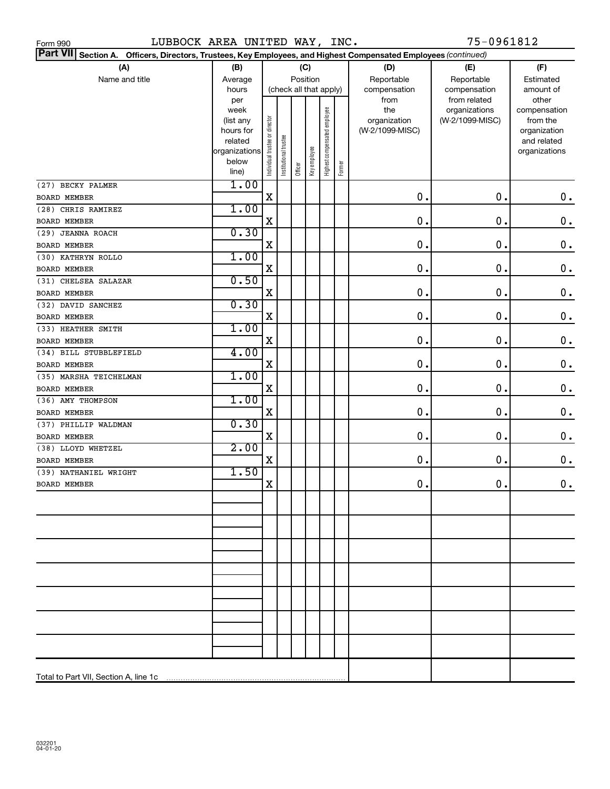| LUBBOCK AREA UNITED WAY, INC.<br>Form 990                                                                                 |                |                                |                       |         |              |                              |        |                 | 75-0961812                       |                       |
|---------------------------------------------------------------------------------------------------------------------------|----------------|--------------------------------|-----------------------|---------|--------------|------------------------------|--------|-----------------|----------------------------------|-----------------------|
| <b>Part VII</b><br>Section A. Officers, Directors, Trustees, Key Employees, and Highest Compensated Employees (continued) |                |                                |                       |         |              |                              |        |                 |                                  |                       |
| (A)                                                                                                                       | (B)            |                                |                       |         | (C)          |                              |        | (D)             | (E)                              | (F)                   |
| Name and title                                                                                                            | Average        |                                | Position              |         |              |                              |        | Reportable      | Reportable                       | Estimated             |
|                                                                                                                           | hours          |                                |                       |         |              | (check all that apply)       |        | compensation    | compensation                     | amount of             |
|                                                                                                                           | per<br>week    |                                |                       |         |              |                              |        | from<br>the     | from related                     | other<br>compensation |
|                                                                                                                           | (list any      |                                |                       |         |              |                              |        | organization    | organizations<br>(W-2/1099-MISC) | from the              |
|                                                                                                                           | hours for      |                                |                       |         |              |                              |        | (W-2/1099-MISC) |                                  | organization          |
|                                                                                                                           | related        |                                |                       |         |              |                              |        |                 |                                  | and related           |
|                                                                                                                           | organizations  |                                |                       |         |              |                              |        |                 |                                  | organizations         |
|                                                                                                                           | below<br>line) | Individual trustee or director | Institutional trustee | Officer | Key employee | Highest compensated employee | Former |                 |                                  |                       |
| (27) BECKY PALMER                                                                                                         | 1.00           |                                |                       |         |              |                              |        |                 |                                  |                       |
| <b>BOARD MEMBER</b>                                                                                                       |                | $\mathbf X$                    |                       |         |              |                              |        | $\mathbf 0$ .   | 0.                               | $\mathbf 0$ .         |
| (28) CHRIS RAMIREZ                                                                                                        | 1.00           |                                |                       |         |              |                              |        |                 |                                  |                       |
| <b>BOARD MEMBER</b>                                                                                                       |                | $\mathbf X$                    |                       |         |              |                              |        | $\mathbf 0$ .   | 0.                               | $\mathbf 0$ .         |
| (29) JEANNA ROACH                                                                                                         | 0.30           |                                |                       |         |              |                              |        |                 |                                  |                       |
| <b>BOARD MEMBER</b>                                                                                                       |                | $\mathbf X$                    |                       |         |              |                              |        | $\mathbf 0$ .   | 0.                               | $\mathbf 0$ .         |
| (30) KATHRYN ROLLO                                                                                                        | 1.00           |                                |                       |         |              |                              |        |                 |                                  |                       |
| <b>BOARD MEMBER</b>                                                                                                       |                | $\mathbf X$                    |                       |         |              |                              |        | $\mathbf 0$ .   | 0.                               | $\mathbf 0$ .         |
| (31) CHELSEA SALAZAR                                                                                                      | 0.50           |                                |                       |         |              |                              |        |                 |                                  |                       |
| <b>BOARD MEMBER</b>                                                                                                       |                | $\mathbf X$                    |                       |         |              |                              |        | $\mathbf 0$ .   | 0.                               | $\mathbf 0$ .         |
| (32) DAVID SANCHEZ                                                                                                        | 0.30           |                                |                       |         |              |                              |        |                 |                                  |                       |
| <b>BOARD MEMBER</b>                                                                                                       |                | $\mathbf X$                    |                       |         |              |                              |        | $\mathbf 0$ .   | 0.                               | $\mathbf 0$ .         |
| (33) HEATHER SMITH                                                                                                        | 1.00           |                                |                       |         |              |                              |        |                 |                                  |                       |
| <b>BOARD MEMBER</b>                                                                                                       |                | $\mathbf X$                    |                       |         |              |                              |        | $\mathbf 0$ .   | 0.                               | $\mathbf 0$ .         |
| (34) BILL STUBBLEFIELD                                                                                                    | 4.00           |                                |                       |         |              |                              |        |                 |                                  |                       |
| <b>BOARD MEMBER</b>                                                                                                       |                | $\mathbf X$                    |                       |         |              |                              |        | $\mathbf 0$ .   | 0.                               | $\mathbf 0$ .         |
| (35) MARSHA TEICHELMAN                                                                                                    | 1.00           | $\mathbf X$                    |                       |         |              |                              |        | $\mathbf 0$ .   |                                  |                       |
| <b>BOARD MEMBER</b>                                                                                                       | 1.00           |                                |                       |         |              |                              |        |                 | 0.                               | $\mathbf 0$ .         |
| (36) AMY THOMPSON<br><b>BOARD MEMBER</b>                                                                                  |                | $\mathbf X$                    |                       |         |              |                              |        | $\mathbf 0$ .   | 0.                               | 0.                    |
| (37) PHILLIP WALDMAN                                                                                                      | 0.30           |                                |                       |         |              |                              |        |                 |                                  |                       |
| <b>BOARD MEMBER</b>                                                                                                       |                | $\mathbf X$                    |                       |         |              |                              |        | $\mathbf 0$ .   | 0.                               | $\mathbf 0$ .         |
| (38) LLOYD WHETZEL                                                                                                        | 2.00           |                                |                       |         |              |                              |        |                 |                                  |                       |
| <b>BOARD MEMBER</b>                                                                                                       |                | $\mathbf X$                    |                       |         |              |                              |        | 0.              | 0.                               | 0.                    |
| (39) NATHANIEL WRIGHT                                                                                                     | 1.50           |                                |                       |         |              |                              |        |                 |                                  |                       |
| BOARD MEMBER                                                                                                              |                | x                              |                       |         |              |                              |        | $0$ .           | $\mathbf 0$ .                    | 0.                    |
|                                                                                                                           |                |                                |                       |         |              |                              |        |                 |                                  |                       |
|                                                                                                                           |                |                                |                       |         |              |                              |        |                 |                                  |                       |
|                                                                                                                           |                |                                |                       |         |              |                              |        |                 |                                  |                       |
|                                                                                                                           |                |                                |                       |         |              |                              |        |                 |                                  |                       |
|                                                                                                                           |                |                                |                       |         |              |                              |        |                 |                                  |                       |
|                                                                                                                           |                |                                |                       |         |              |                              |        |                 |                                  |                       |
|                                                                                                                           |                |                                |                       |         |              |                              |        |                 |                                  |                       |
|                                                                                                                           |                |                                |                       |         |              |                              |        |                 |                                  |                       |
|                                                                                                                           |                |                                |                       |         |              |                              |        |                 |                                  |                       |
|                                                                                                                           |                |                                |                       |         |              |                              |        |                 |                                  |                       |
|                                                                                                                           |                |                                |                       |         |              |                              |        |                 |                                  |                       |
|                                                                                                                           |                |                                |                       |         |              |                              |        |                 |                                  |                       |
|                                                                                                                           |                |                                |                       |         |              |                              |        |                 |                                  |                       |
|                                                                                                                           |                |                                |                       |         |              |                              |        |                 |                                  |                       |
| Total to Part VII, Section A, line 1c                                                                                     |                |                                |                       |         |              |                              |        |                 |                                  |                       |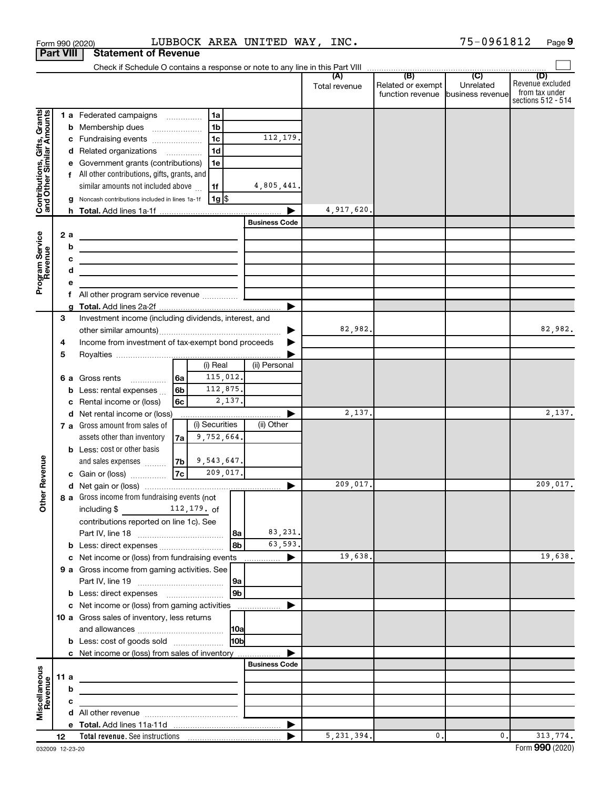|                                                           |                  |    | Form 990 (2020)                                                             |      |                      |               | LUBBOCK AREA UNITED WAY, INC. |                      |                          | 75-0961812       | Page 9                  |
|-----------------------------------------------------------|------------------|----|-----------------------------------------------------------------------------|------|----------------------|---------------|-------------------------------|----------------------|--------------------------|------------------|-------------------------|
|                                                           | <b>Part VIII</b> |    | <b>Statement of Revenue</b>                                                 |      |                      |               |                               |                      |                          |                  |                         |
|                                                           |                  |    |                                                                             |      |                      |               |                               |                      |                          |                  |                         |
|                                                           |                  |    |                                                                             |      |                      |               |                               | (A)<br>Total revenue | (B)<br>Related or exempt | (C)<br>Unrelated | (D)<br>Revenue excluded |
|                                                           |                  |    |                                                                             |      |                      |               |                               |                      | function revenue         | business revenue | from tax under          |
|                                                           |                  |    |                                                                             |      |                      |               |                               |                      |                          |                  | sections 512 - 514      |
| Contributions, Gifts, Grants<br>and Other Similar Amounts |                  |    | 1 a Federated campaigns                                                     |      | 1a                   |               |                               |                      |                          |                  |                         |
|                                                           |                  |    | <b>b</b> Membership dues                                                    |      | 1 <sub>b</sub>       |               | 112,179.                      |                      |                          |                  |                         |
|                                                           |                  |    | c Fundraising events                                                        |      | 1 <sub>c</sub><br>1d |               |                               |                      |                          |                  |                         |
|                                                           |                  |    | d Related organizations<br>e Government grants (contributions)              |      | 1e                   |               |                               |                      |                          |                  |                         |
|                                                           |                  |    | f All other contributions, gifts, grants, and                               |      |                      |               |                               |                      |                          |                  |                         |
|                                                           |                  |    | similar amounts not included above                                          |      | 1f                   |               | 4,805,441.                    |                      |                          |                  |                         |
|                                                           |                  |    | g Noncash contributions included in lines 1a-1f                             |      | 1g                   |               |                               |                      |                          |                  |                         |
|                                                           |                  |    |                                                                             |      |                      |               |                               | 4,917,620.           |                          |                  |                         |
|                                                           |                  |    |                                                                             |      |                      |               | <b>Business Code</b>          |                      |                          |                  |                         |
|                                                           | 2 a              |    | <u> 1989 - Andrea Andrew Maria (h. 1989).</u>                               |      |                      |               |                               |                      |                          |                  |                         |
|                                                           |                  | b  |                                                                             |      |                      |               |                               |                      |                          |                  |                         |
|                                                           |                  | с  | <u> 1989 - Johann Barbara, martxa alemaniar arg</u>                         |      |                      |               |                               |                      |                          |                  |                         |
|                                                           |                  | d  | <u> 1989 - Johann Stein, mars an deus an deus Amerikaansk kommunister (</u> |      |                      |               |                               |                      |                          |                  |                         |
| Program Service<br>Revenue                                |                  | е  |                                                                             |      |                      |               |                               |                      |                          |                  |                         |
|                                                           |                  | f. | All other program service revenue                                           |      |                      |               |                               |                      |                          |                  |                         |
|                                                           |                  |    |                                                                             |      |                      |               | ▶                             |                      |                          |                  |                         |
|                                                           | З                |    | Investment income (including dividends, interest, and                       |      |                      |               |                               |                      |                          |                  |                         |
|                                                           |                  |    |                                                                             |      |                      |               | ▶                             | 82,982.              |                          |                  | 82,982.                 |
|                                                           | 4                |    | Income from investment of tax-exempt bond proceeds                          |      |                      |               | ▶                             |                      |                          |                  |                         |
|                                                           | 5                |    |                                                                             |      |                      |               |                               |                      |                          |                  |                         |
|                                                           |                  |    |                                                                             |      | (i) Real             |               | (ii) Personal                 |                      |                          |                  |                         |
|                                                           |                  |    | 6 a Gross rents<br>$\overline{\phantom{a}}$                                 | 6a   | 115,012.             |               |                               |                      |                          |                  |                         |
|                                                           |                  |    | <b>b</b> Less: rental expenses                                              | 6b   | 112,875.             | 2,137.        |                               |                      |                          |                  |                         |
|                                                           |                  | c  | Rental income or (loss)<br>d Net rental income or (loss)                    | 6с   |                      |               |                               | 2,137.               |                          |                  | 2,137.                  |
|                                                           |                  |    | 7 a Gross amount from sales of                                              |      | (i) Securities       |               | (ii) Other                    |                      |                          |                  |                         |
|                                                           |                  |    | assets other than inventory                                                 | 7a l | 9,752,664.           |               |                               |                      |                          |                  |                         |
|                                                           |                  |    | <b>b</b> Less: cost or other basis                                          |      |                      |               |                               |                      |                          |                  |                         |
|                                                           |                  |    | and sales expenses                                                          | 7b   | 9,543,647.           |               |                               |                      |                          |                  |                         |
| wenue                                                     |                  |    | c Gain or (loss)                                                            | 7c   | 209,017.             |               |                               |                      |                          |                  |                         |
| Œ                                                         |                  |    |                                                                             |      |                      |               |                               | 209,017.             |                          |                  | 209,017.                |
| Other                                                     |                  |    | 8 a Gross income from fundraising events (not                               |      |                      |               |                               |                      |                          |                  |                         |
|                                                           |                  |    | including $\frac{2}{3}$ 112, 179. of                                        |      |                      |               |                               |                      |                          |                  |                         |
|                                                           |                  |    | contributions reported on line 1c). See                                     |      |                      |               |                               |                      |                          |                  |                         |
|                                                           |                  |    |                                                                             |      |                      | l 8a          | 83,231.                       |                      |                          |                  |                         |
|                                                           |                  |    | b Less: direct expenses                                                     |      |                      | 8b            | 63,593.                       |                      |                          |                  |                         |
|                                                           |                  |    | c Net income or (loss) from fundraising events                              |      |                      |               | ▶                             | 19,638.              |                          |                  | 19,638.                 |
|                                                           |                  |    | 9 a Gross income from gaming activities. See                                |      |                      |               |                               |                      |                          |                  |                         |
|                                                           |                  |    |                                                                             |      |                      | 9а            |                               |                      |                          |                  |                         |
|                                                           |                  |    |                                                                             |      |                      | 9b            |                               |                      |                          |                  |                         |
|                                                           |                  |    | c Net income or (loss) from gaming activities                               |      |                      |               | ▶                             |                      |                          |                  |                         |
|                                                           |                  |    | 10 a Gross sales of inventory, less returns                                 |      |                      |               |                               |                      |                          |                  |                         |
|                                                           |                  |    | <b>b</b> Less: cost of goods sold                                           |      |                      | 10a <br>l10bl |                               |                      |                          |                  |                         |
|                                                           |                  |    | c Net income or (loss) from sales of inventory                              |      |                      |               |                               |                      |                          |                  |                         |
|                                                           |                  |    |                                                                             |      |                      |               | <b>Business Code</b>          |                      |                          |                  |                         |
| Miscellaneous<br>Revenue                                  | 11 a             |    |                                                                             |      |                      |               |                               |                      |                          |                  |                         |
|                                                           |                  | b  |                                                                             |      |                      |               |                               |                      |                          |                  |                         |
|                                                           |                  | c  |                                                                             |      |                      |               |                               |                      |                          |                  |                         |
|                                                           |                  |    |                                                                             |      |                      |               |                               |                      |                          |                  |                         |
|                                                           |                  |    |                                                                             |      |                      |               | ▶                             |                      |                          |                  |                         |
|                                                           | 12               |    |                                                                             |      |                      |               |                               | 5, 231, 394.         | 0.                       | 0.               | 313,774.                |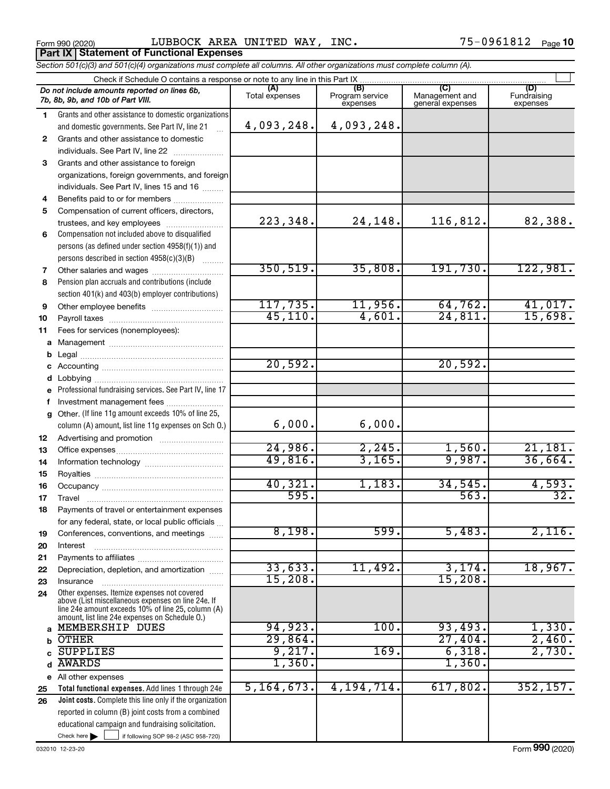Form 990 (2020)  $\qquad \qquad \text{LUBBOCK AREA UNITED WAY, INC.} \qquad \qquad \qquad 75-0961812 \quad \text{Page}$ **Part IX Statement of Functional Expenses**

*Section 501(c)(3) and 501(c)(4) organizations must complete all columns. All other organizations must complete column (A).*

|              | Do not include amounts reported on lines 6b,<br>7b, 8b, 9b, and 10b of Part VIII.                    | (A)<br>Total expenses | (B)<br>Program service<br>expenses | (C)<br>Management and<br>general expenses | (D)<br>Fundraising<br>expenses |
|--------------|------------------------------------------------------------------------------------------------------|-----------------------|------------------------------------|-------------------------------------------|--------------------------------|
| 1.           | Grants and other assistance to domestic organizations                                                |                       |                                    |                                           |                                |
|              | and domestic governments. See Part IV, line 21                                                       | 4,093,248.            | 4,093,248.                         |                                           |                                |
| $\mathbf{2}$ | Grants and other assistance to domestic                                                              |                       |                                    |                                           |                                |
|              | individuals. See Part IV, line 22                                                                    |                       |                                    |                                           |                                |
| 3            | Grants and other assistance to foreign                                                               |                       |                                    |                                           |                                |
|              | organizations, foreign governments, and foreign                                                      |                       |                                    |                                           |                                |
|              | individuals. See Part IV, lines 15 and 16                                                            |                       |                                    |                                           |                                |
| 4            | Benefits paid to or for members                                                                      |                       |                                    |                                           |                                |
| 5            | Compensation of current officers, directors,                                                         |                       |                                    |                                           |                                |
|              | trustees, and key employees                                                                          | 223,348.              | 24,148.                            | 116,812.                                  | 82,388.                        |
| 6            | Compensation not included above to disqualified                                                      |                       |                                    |                                           |                                |
|              | persons (as defined under section 4958(f)(1)) and                                                    |                       |                                    |                                           |                                |
|              | persons described in section 4958(c)(3)(B)                                                           |                       |                                    |                                           |                                |
| 7            | Other salaries and wages                                                                             | 350, 519.             | 35,808.                            | 191,730.                                  | 122,981.                       |
| 8            | Pension plan accruals and contributions (include                                                     |                       |                                    |                                           |                                |
|              | section 401(k) and 403(b) employer contributions)                                                    |                       |                                    |                                           |                                |
| 9            |                                                                                                      | 117,735.              | 11,956.                            | 64, 762.                                  | 41,017.                        |
| 10           |                                                                                                      | 45, 110.              | 4,601.                             | 24,811.                                   | 15,698.                        |
| 11           | Fees for services (nonemployees):                                                                    |                       |                                    |                                           |                                |
| а            |                                                                                                      |                       |                                    |                                           |                                |
| b            |                                                                                                      | 20,592.               |                                    | 20,592.                                   |                                |
| с            |                                                                                                      |                       |                                    |                                           |                                |
| d            |                                                                                                      |                       |                                    |                                           |                                |
| е            | Professional fundraising services. See Part IV, line 17                                              |                       |                                    |                                           |                                |
| f            | Investment management fees<br>Other. (If line 11g amount exceeds 10% of line 25,                     |                       |                                    |                                           |                                |
| g            | column (A) amount, list line 11g expenses on Sch O.)                                                 | 6,000.                | 6,000.                             |                                           |                                |
|              |                                                                                                      |                       |                                    |                                           |                                |
| 12<br>13     |                                                                                                      | 24,986.               | 2,245.                             | 1,560.                                    | 21,181.                        |
| 14           |                                                                                                      | 49,816.               | 3,165.                             | 9,987.                                    | 36,664.                        |
| 15           |                                                                                                      |                       |                                    |                                           |                                |
| 16           |                                                                                                      | 40,321.               | 1,183.                             | 34,545.                                   | 4,593.                         |
| 17           | Travel                                                                                               | 595.                  |                                    | 563.                                      | $\overline{32}$ .              |
| 18           | Payments of travel or entertainment expenses                                                         |                       |                                    |                                           |                                |
|              | for any federal, state, or local public officials                                                    |                       |                                    |                                           |                                |
| 19           | Conferences, conventions, and meetings                                                               | 8,198.                | 599.                               | 5,483.                                    | 2,116.                         |
| 20           | Interest                                                                                             |                       |                                    |                                           |                                |
| 21           |                                                                                                      |                       |                                    |                                           |                                |
| 22           | Depreciation, depletion, and amortization                                                            | 33,633.               | 11,492.                            | 3,174.                                    | 18,967.                        |
| 23           | Insurance                                                                                            | 15,208.               |                                    | 15,208                                    |                                |
| 24           | Other expenses. Itemize expenses not covered<br>above (List miscellaneous expenses on line 24e. If   |                       |                                    |                                           |                                |
|              | line 24e amount exceeds 10% of line 25, column (A)<br>amount, list line 24e expenses on Schedule O.) |                       |                                    |                                           |                                |
| a            | MEMBERSHIP DUES                                                                                      | 94,923.               | 100.                               | 93,493.                                   | 1,330.                         |
| b            | <b>OTHER</b>                                                                                         | 29,864.               |                                    | 27,404.                                   | 2,460.                         |
|              | <b>SUPPLIES</b>                                                                                      | 9,217.                | 169.                               | 6,318.                                    | 2,730.                         |
| d            | <b>AWARDS</b>                                                                                        | 1,360.                |                                    | 1,360.                                    |                                |
|              | e All other expenses                                                                                 |                       |                                    |                                           |                                |
| 25           | Total functional expenses. Add lines 1 through 24e                                                   | 5, 164, 673.          | 4, 194, 714.                       | 617,802.                                  | 352, 157.                      |
| 26           | Joint costs. Complete this line only if the organization                                             |                       |                                    |                                           |                                |
|              | reported in column (B) joint costs from a combined                                                   |                       |                                    |                                           |                                |
|              | educational campaign and fundraising solicitation.                                                   |                       |                                    |                                           |                                |
|              | Check here $\blacktriangleright$<br>if following SOP 98-2 (ASC 958-720)                              |                       |                                    |                                           |                                |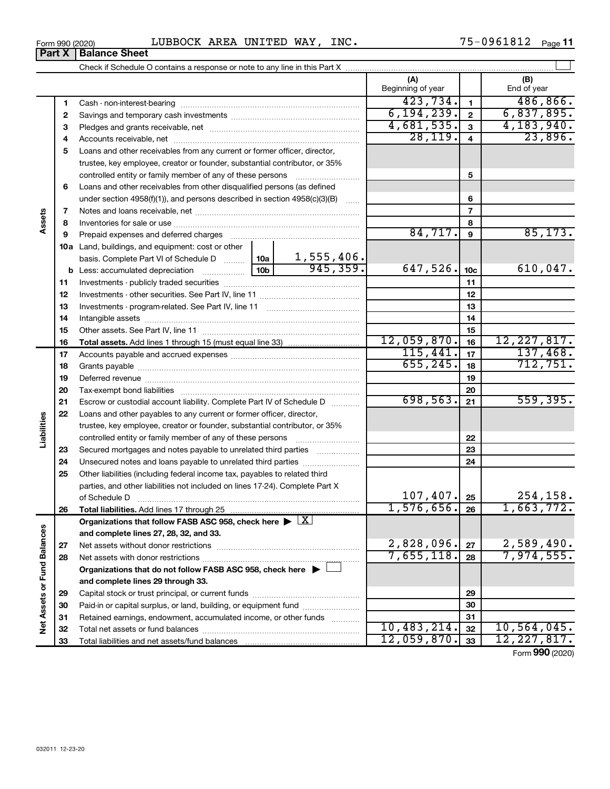| 0961812<br><b>AREA</b><br>WAY,<br>INC.<br>LUBBOCK<br>UNITED<br>Form 990 (2020)<br>ັ | Page |
|-------------------------------------------------------------------------------------|------|
|-------------------------------------------------------------------------------------|------|

| (A)<br>(B)<br>Beginning of year<br>End of year<br>423,734.<br>486, 866.<br>$\mathbf{1}$<br>1<br>6, 194, 239.<br>6,837,895.<br>$\mathbf{2}$<br>2<br>4,681,535.<br>4,183,940.<br>3<br>3<br>28, 119.<br>23,896.<br>4<br>4<br>Loans and other receivables from any current or former officer, director,<br>5<br>trustee, key employee, creator or founder, substantial contributor, or 35%<br>controlled entity or family member of any of these persons<br>5<br>Loans and other receivables from other disqualified persons (as defined<br>6<br>under section 4958(f)(1)), and persons described in section 4958(c)(3)(B)<br>6<br>$\overline{\phantom{a}}$<br>7<br>Assets<br>8<br>8<br>84,717.<br>85, 173.<br>9<br>9<br><b>10a</b> Land, buildings, and equipment: cost or other<br>1,555,406.<br>basis. Complete Part VI of Schedule D  10a<br>945,359.<br>647,526.<br>610,047.<br>10 <sub>c</sub><br>11<br>11<br>12<br>12<br>13<br>13<br>14<br>14<br>15<br>15<br>12,059,870.<br>12, 227, 817.<br>16<br>16<br>115,441.<br>137,468.<br>17<br>17<br>655, 245.<br>712,751.<br>18<br>18<br>19<br>19<br>20<br>20<br>698,563.<br>559,395.<br>21<br>21<br>Escrow or custodial account liability. Complete Part IV of Schedule D<br>22<br>Loans and other payables to any current or former officer, director,<br>Liabilities<br>trustee, key employee, creator or founder, substantial contributor, or 35%<br>22<br>controlled entity or family member of any of these persons<br>Secured mortgages and notes payable to unrelated third parties<br>23<br>23<br>24<br>24<br>Other liabilities (including federal income tax, payables to related third<br>25<br>parties, and other liabilities not included on lines 17-24). Complete Part X<br>107,407.<br>254,158.<br>25<br>of Schedule D<br>1,576,656.<br>1,663,772.<br>26<br>26<br>Organizations that follow FASB ASC 958, check here $\blacktriangleright \lfloor \underline{X} \rfloor$<br>Net Assets or Fund Balances<br>and complete lines 27, 28, 32, and 33.<br>2,828,096.<br>2,589,490.<br>27<br>27<br>7,655,118.<br>7,974,555.<br>28<br>28<br>Organizations that do not follow FASB ASC 958, check here ▶ □<br>and complete lines 29 through 33.<br>29<br>29<br>Paid-in or capital surplus, or land, building, or equipment fund<br>30<br>30<br>31<br>31<br>Retained earnings, endowment, accumulated income, or other funds<br>10,483,214.<br>10, 564, 045.<br>32<br>32 |  |  |  |  |  |
|-----------------------------------------------------------------------------------------------------------------------------------------------------------------------------------------------------------------------------------------------------------------------------------------------------------------------------------------------------------------------------------------------------------------------------------------------------------------------------------------------------------------------------------------------------------------------------------------------------------------------------------------------------------------------------------------------------------------------------------------------------------------------------------------------------------------------------------------------------------------------------------------------------------------------------------------------------------------------------------------------------------------------------------------------------------------------------------------------------------------------------------------------------------------------------------------------------------------------------------------------------------------------------------------------------------------------------------------------------------------------------------------------------------------------------------------------------------------------------------------------------------------------------------------------------------------------------------------------------------------------------------------------------------------------------------------------------------------------------------------------------------------------------------------------------------------------------------------------------------------------------------------------------------------------------------------------------------------------------------------------------------------------------------------------------------------------------------------------------------------------------------------------------------------------------------------------------------------------------------------------------------------------------------------------------------------------------------------------------------------------------------------------------------------------------|--|--|--|--|--|
|                                                                                                                                                                                                                                                                                                                                                                                                                                                                                                                                                                                                                                                                                                                                                                                                                                                                                                                                                                                                                                                                                                                                                                                                                                                                                                                                                                                                                                                                                                                                                                                                                                                                                                                                                                                                                                                                                                                                                                                                                                                                                                                                                                                                                                                                                                                                                                                                                             |  |  |  |  |  |
|                                                                                                                                                                                                                                                                                                                                                                                                                                                                                                                                                                                                                                                                                                                                                                                                                                                                                                                                                                                                                                                                                                                                                                                                                                                                                                                                                                                                                                                                                                                                                                                                                                                                                                                                                                                                                                                                                                                                                                                                                                                                                                                                                                                                                                                                                                                                                                                                                             |  |  |  |  |  |
|                                                                                                                                                                                                                                                                                                                                                                                                                                                                                                                                                                                                                                                                                                                                                                                                                                                                                                                                                                                                                                                                                                                                                                                                                                                                                                                                                                                                                                                                                                                                                                                                                                                                                                                                                                                                                                                                                                                                                                                                                                                                                                                                                                                                                                                                                                                                                                                                                             |  |  |  |  |  |
|                                                                                                                                                                                                                                                                                                                                                                                                                                                                                                                                                                                                                                                                                                                                                                                                                                                                                                                                                                                                                                                                                                                                                                                                                                                                                                                                                                                                                                                                                                                                                                                                                                                                                                                                                                                                                                                                                                                                                                                                                                                                                                                                                                                                                                                                                                                                                                                                                             |  |  |  |  |  |
|                                                                                                                                                                                                                                                                                                                                                                                                                                                                                                                                                                                                                                                                                                                                                                                                                                                                                                                                                                                                                                                                                                                                                                                                                                                                                                                                                                                                                                                                                                                                                                                                                                                                                                                                                                                                                                                                                                                                                                                                                                                                                                                                                                                                                                                                                                                                                                                                                             |  |  |  |  |  |
|                                                                                                                                                                                                                                                                                                                                                                                                                                                                                                                                                                                                                                                                                                                                                                                                                                                                                                                                                                                                                                                                                                                                                                                                                                                                                                                                                                                                                                                                                                                                                                                                                                                                                                                                                                                                                                                                                                                                                                                                                                                                                                                                                                                                                                                                                                                                                                                                                             |  |  |  |  |  |
|                                                                                                                                                                                                                                                                                                                                                                                                                                                                                                                                                                                                                                                                                                                                                                                                                                                                                                                                                                                                                                                                                                                                                                                                                                                                                                                                                                                                                                                                                                                                                                                                                                                                                                                                                                                                                                                                                                                                                                                                                                                                                                                                                                                                                                                                                                                                                                                                                             |  |  |  |  |  |
|                                                                                                                                                                                                                                                                                                                                                                                                                                                                                                                                                                                                                                                                                                                                                                                                                                                                                                                                                                                                                                                                                                                                                                                                                                                                                                                                                                                                                                                                                                                                                                                                                                                                                                                                                                                                                                                                                                                                                                                                                                                                                                                                                                                                                                                                                                                                                                                                                             |  |  |  |  |  |
|                                                                                                                                                                                                                                                                                                                                                                                                                                                                                                                                                                                                                                                                                                                                                                                                                                                                                                                                                                                                                                                                                                                                                                                                                                                                                                                                                                                                                                                                                                                                                                                                                                                                                                                                                                                                                                                                                                                                                                                                                                                                                                                                                                                                                                                                                                                                                                                                                             |  |  |  |  |  |
|                                                                                                                                                                                                                                                                                                                                                                                                                                                                                                                                                                                                                                                                                                                                                                                                                                                                                                                                                                                                                                                                                                                                                                                                                                                                                                                                                                                                                                                                                                                                                                                                                                                                                                                                                                                                                                                                                                                                                                                                                                                                                                                                                                                                                                                                                                                                                                                                                             |  |  |  |  |  |
|                                                                                                                                                                                                                                                                                                                                                                                                                                                                                                                                                                                                                                                                                                                                                                                                                                                                                                                                                                                                                                                                                                                                                                                                                                                                                                                                                                                                                                                                                                                                                                                                                                                                                                                                                                                                                                                                                                                                                                                                                                                                                                                                                                                                                                                                                                                                                                                                                             |  |  |  |  |  |
|                                                                                                                                                                                                                                                                                                                                                                                                                                                                                                                                                                                                                                                                                                                                                                                                                                                                                                                                                                                                                                                                                                                                                                                                                                                                                                                                                                                                                                                                                                                                                                                                                                                                                                                                                                                                                                                                                                                                                                                                                                                                                                                                                                                                                                                                                                                                                                                                                             |  |  |  |  |  |
|                                                                                                                                                                                                                                                                                                                                                                                                                                                                                                                                                                                                                                                                                                                                                                                                                                                                                                                                                                                                                                                                                                                                                                                                                                                                                                                                                                                                                                                                                                                                                                                                                                                                                                                                                                                                                                                                                                                                                                                                                                                                                                                                                                                                                                                                                                                                                                                                                             |  |  |  |  |  |
|                                                                                                                                                                                                                                                                                                                                                                                                                                                                                                                                                                                                                                                                                                                                                                                                                                                                                                                                                                                                                                                                                                                                                                                                                                                                                                                                                                                                                                                                                                                                                                                                                                                                                                                                                                                                                                                                                                                                                                                                                                                                                                                                                                                                                                                                                                                                                                                                                             |  |  |  |  |  |
|                                                                                                                                                                                                                                                                                                                                                                                                                                                                                                                                                                                                                                                                                                                                                                                                                                                                                                                                                                                                                                                                                                                                                                                                                                                                                                                                                                                                                                                                                                                                                                                                                                                                                                                                                                                                                                                                                                                                                                                                                                                                                                                                                                                                                                                                                                                                                                                                                             |  |  |  |  |  |
|                                                                                                                                                                                                                                                                                                                                                                                                                                                                                                                                                                                                                                                                                                                                                                                                                                                                                                                                                                                                                                                                                                                                                                                                                                                                                                                                                                                                                                                                                                                                                                                                                                                                                                                                                                                                                                                                                                                                                                                                                                                                                                                                                                                                                                                                                                                                                                                                                             |  |  |  |  |  |
|                                                                                                                                                                                                                                                                                                                                                                                                                                                                                                                                                                                                                                                                                                                                                                                                                                                                                                                                                                                                                                                                                                                                                                                                                                                                                                                                                                                                                                                                                                                                                                                                                                                                                                                                                                                                                                                                                                                                                                                                                                                                                                                                                                                                                                                                                                                                                                                                                             |  |  |  |  |  |
|                                                                                                                                                                                                                                                                                                                                                                                                                                                                                                                                                                                                                                                                                                                                                                                                                                                                                                                                                                                                                                                                                                                                                                                                                                                                                                                                                                                                                                                                                                                                                                                                                                                                                                                                                                                                                                                                                                                                                                                                                                                                                                                                                                                                                                                                                                                                                                                                                             |  |  |  |  |  |
|                                                                                                                                                                                                                                                                                                                                                                                                                                                                                                                                                                                                                                                                                                                                                                                                                                                                                                                                                                                                                                                                                                                                                                                                                                                                                                                                                                                                                                                                                                                                                                                                                                                                                                                                                                                                                                                                                                                                                                                                                                                                                                                                                                                                                                                                                                                                                                                                                             |  |  |  |  |  |
|                                                                                                                                                                                                                                                                                                                                                                                                                                                                                                                                                                                                                                                                                                                                                                                                                                                                                                                                                                                                                                                                                                                                                                                                                                                                                                                                                                                                                                                                                                                                                                                                                                                                                                                                                                                                                                                                                                                                                                                                                                                                                                                                                                                                                                                                                                                                                                                                                             |  |  |  |  |  |
|                                                                                                                                                                                                                                                                                                                                                                                                                                                                                                                                                                                                                                                                                                                                                                                                                                                                                                                                                                                                                                                                                                                                                                                                                                                                                                                                                                                                                                                                                                                                                                                                                                                                                                                                                                                                                                                                                                                                                                                                                                                                                                                                                                                                                                                                                                                                                                                                                             |  |  |  |  |  |
|                                                                                                                                                                                                                                                                                                                                                                                                                                                                                                                                                                                                                                                                                                                                                                                                                                                                                                                                                                                                                                                                                                                                                                                                                                                                                                                                                                                                                                                                                                                                                                                                                                                                                                                                                                                                                                                                                                                                                                                                                                                                                                                                                                                                                                                                                                                                                                                                                             |  |  |  |  |  |
|                                                                                                                                                                                                                                                                                                                                                                                                                                                                                                                                                                                                                                                                                                                                                                                                                                                                                                                                                                                                                                                                                                                                                                                                                                                                                                                                                                                                                                                                                                                                                                                                                                                                                                                                                                                                                                                                                                                                                                                                                                                                                                                                                                                                                                                                                                                                                                                                                             |  |  |  |  |  |
|                                                                                                                                                                                                                                                                                                                                                                                                                                                                                                                                                                                                                                                                                                                                                                                                                                                                                                                                                                                                                                                                                                                                                                                                                                                                                                                                                                                                                                                                                                                                                                                                                                                                                                                                                                                                                                                                                                                                                                                                                                                                                                                                                                                                                                                                                                                                                                                                                             |  |  |  |  |  |
|                                                                                                                                                                                                                                                                                                                                                                                                                                                                                                                                                                                                                                                                                                                                                                                                                                                                                                                                                                                                                                                                                                                                                                                                                                                                                                                                                                                                                                                                                                                                                                                                                                                                                                                                                                                                                                                                                                                                                                                                                                                                                                                                                                                                                                                                                                                                                                                                                             |  |  |  |  |  |
|                                                                                                                                                                                                                                                                                                                                                                                                                                                                                                                                                                                                                                                                                                                                                                                                                                                                                                                                                                                                                                                                                                                                                                                                                                                                                                                                                                                                                                                                                                                                                                                                                                                                                                                                                                                                                                                                                                                                                                                                                                                                                                                                                                                                                                                                                                                                                                                                                             |  |  |  |  |  |
|                                                                                                                                                                                                                                                                                                                                                                                                                                                                                                                                                                                                                                                                                                                                                                                                                                                                                                                                                                                                                                                                                                                                                                                                                                                                                                                                                                                                                                                                                                                                                                                                                                                                                                                                                                                                                                                                                                                                                                                                                                                                                                                                                                                                                                                                                                                                                                                                                             |  |  |  |  |  |
|                                                                                                                                                                                                                                                                                                                                                                                                                                                                                                                                                                                                                                                                                                                                                                                                                                                                                                                                                                                                                                                                                                                                                                                                                                                                                                                                                                                                                                                                                                                                                                                                                                                                                                                                                                                                                                                                                                                                                                                                                                                                                                                                                                                                                                                                                                                                                                                                                             |  |  |  |  |  |
|                                                                                                                                                                                                                                                                                                                                                                                                                                                                                                                                                                                                                                                                                                                                                                                                                                                                                                                                                                                                                                                                                                                                                                                                                                                                                                                                                                                                                                                                                                                                                                                                                                                                                                                                                                                                                                                                                                                                                                                                                                                                                                                                                                                                                                                                                                                                                                                                                             |  |  |  |  |  |
|                                                                                                                                                                                                                                                                                                                                                                                                                                                                                                                                                                                                                                                                                                                                                                                                                                                                                                                                                                                                                                                                                                                                                                                                                                                                                                                                                                                                                                                                                                                                                                                                                                                                                                                                                                                                                                                                                                                                                                                                                                                                                                                                                                                                                                                                                                                                                                                                                             |  |  |  |  |  |
|                                                                                                                                                                                                                                                                                                                                                                                                                                                                                                                                                                                                                                                                                                                                                                                                                                                                                                                                                                                                                                                                                                                                                                                                                                                                                                                                                                                                                                                                                                                                                                                                                                                                                                                                                                                                                                                                                                                                                                                                                                                                                                                                                                                                                                                                                                                                                                                                                             |  |  |  |  |  |
|                                                                                                                                                                                                                                                                                                                                                                                                                                                                                                                                                                                                                                                                                                                                                                                                                                                                                                                                                                                                                                                                                                                                                                                                                                                                                                                                                                                                                                                                                                                                                                                                                                                                                                                                                                                                                                                                                                                                                                                                                                                                                                                                                                                                                                                                                                                                                                                                                             |  |  |  |  |  |
|                                                                                                                                                                                                                                                                                                                                                                                                                                                                                                                                                                                                                                                                                                                                                                                                                                                                                                                                                                                                                                                                                                                                                                                                                                                                                                                                                                                                                                                                                                                                                                                                                                                                                                                                                                                                                                                                                                                                                                                                                                                                                                                                                                                                                                                                                                                                                                                                                             |  |  |  |  |  |
|                                                                                                                                                                                                                                                                                                                                                                                                                                                                                                                                                                                                                                                                                                                                                                                                                                                                                                                                                                                                                                                                                                                                                                                                                                                                                                                                                                                                                                                                                                                                                                                                                                                                                                                                                                                                                                                                                                                                                                                                                                                                                                                                                                                                                                                                                                                                                                                                                             |  |  |  |  |  |
|                                                                                                                                                                                                                                                                                                                                                                                                                                                                                                                                                                                                                                                                                                                                                                                                                                                                                                                                                                                                                                                                                                                                                                                                                                                                                                                                                                                                                                                                                                                                                                                                                                                                                                                                                                                                                                                                                                                                                                                                                                                                                                                                                                                                                                                                                                                                                                                                                             |  |  |  |  |  |
|                                                                                                                                                                                                                                                                                                                                                                                                                                                                                                                                                                                                                                                                                                                                                                                                                                                                                                                                                                                                                                                                                                                                                                                                                                                                                                                                                                                                                                                                                                                                                                                                                                                                                                                                                                                                                                                                                                                                                                                                                                                                                                                                                                                                                                                                                                                                                                                                                             |  |  |  |  |  |
|                                                                                                                                                                                                                                                                                                                                                                                                                                                                                                                                                                                                                                                                                                                                                                                                                                                                                                                                                                                                                                                                                                                                                                                                                                                                                                                                                                                                                                                                                                                                                                                                                                                                                                                                                                                                                                                                                                                                                                                                                                                                                                                                                                                                                                                                                                                                                                                                                             |  |  |  |  |  |
|                                                                                                                                                                                                                                                                                                                                                                                                                                                                                                                                                                                                                                                                                                                                                                                                                                                                                                                                                                                                                                                                                                                                                                                                                                                                                                                                                                                                                                                                                                                                                                                                                                                                                                                                                                                                                                                                                                                                                                                                                                                                                                                                                                                                                                                                                                                                                                                                                             |  |  |  |  |  |
|                                                                                                                                                                                                                                                                                                                                                                                                                                                                                                                                                                                                                                                                                                                                                                                                                                                                                                                                                                                                                                                                                                                                                                                                                                                                                                                                                                                                                                                                                                                                                                                                                                                                                                                                                                                                                                                                                                                                                                                                                                                                                                                                                                                                                                                                                                                                                                                                                             |  |  |  |  |  |
|                                                                                                                                                                                                                                                                                                                                                                                                                                                                                                                                                                                                                                                                                                                                                                                                                                                                                                                                                                                                                                                                                                                                                                                                                                                                                                                                                                                                                                                                                                                                                                                                                                                                                                                                                                                                                                                                                                                                                                                                                                                                                                                                                                                                                                                                                                                                                                                                                             |  |  |  |  |  |
|                                                                                                                                                                                                                                                                                                                                                                                                                                                                                                                                                                                                                                                                                                                                                                                                                                                                                                                                                                                                                                                                                                                                                                                                                                                                                                                                                                                                                                                                                                                                                                                                                                                                                                                                                                                                                                                                                                                                                                                                                                                                                                                                                                                                                                                                                                                                                                                                                             |  |  |  |  |  |
|                                                                                                                                                                                                                                                                                                                                                                                                                                                                                                                                                                                                                                                                                                                                                                                                                                                                                                                                                                                                                                                                                                                                                                                                                                                                                                                                                                                                                                                                                                                                                                                                                                                                                                                                                                                                                                                                                                                                                                                                                                                                                                                                                                                                                                                                                                                                                                                                                             |  |  |  |  |  |
|                                                                                                                                                                                                                                                                                                                                                                                                                                                                                                                                                                                                                                                                                                                                                                                                                                                                                                                                                                                                                                                                                                                                                                                                                                                                                                                                                                                                                                                                                                                                                                                                                                                                                                                                                                                                                                                                                                                                                                                                                                                                                                                                                                                                                                                                                                                                                                                                                             |  |  |  |  |  |
|                                                                                                                                                                                                                                                                                                                                                                                                                                                                                                                                                                                                                                                                                                                                                                                                                                                                                                                                                                                                                                                                                                                                                                                                                                                                                                                                                                                                                                                                                                                                                                                                                                                                                                                                                                                                                                                                                                                                                                                                                                                                                                                                                                                                                                                                                                                                                                                                                             |  |  |  |  |  |
|                                                                                                                                                                                                                                                                                                                                                                                                                                                                                                                                                                                                                                                                                                                                                                                                                                                                                                                                                                                                                                                                                                                                                                                                                                                                                                                                                                                                                                                                                                                                                                                                                                                                                                                                                                                                                                                                                                                                                                                                                                                                                                                                                                                                                                                                                                                                                                                                                             |  |  |  |  |  |
| 12,059,870.<br>12, 227, 817.<br>33<br>33                                                                                                                                                                                                                                                                                                                                                                                                                                                                                                                                                                                                                                                                                                                                                                                                                                                                                                                                                                                                                                                                                                                                                                                                                                                                                                                                                                                                                                                                                                                                                                                                                                                                                                                                                                                                                                                                                                                                                                                                                                                                                                                                                                                                                                                                                                                                                                                    |  |  |  |  |  |

Form (2020) **990**

# **Part X Balance Sheet**

| Form 990 (2020 |  |
|----------------|--|
|                |  |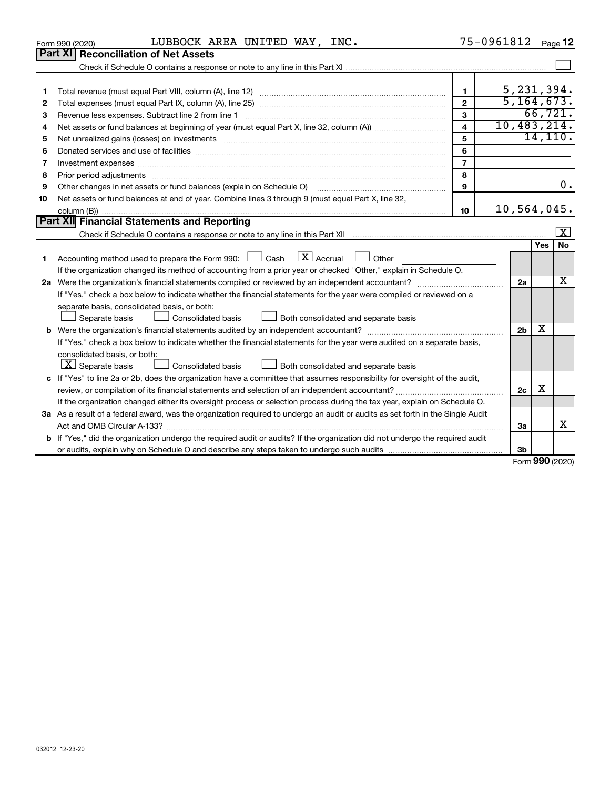| 032012 12-23-20 |  |  |
|-----------------|--|--|

|    |                                                                                                                                      | $\mathbf{1}$            |  |                |            | 5, 231, 394.            |
|----|--------------------------------------------------------------------------------------------------------------------------------------|-------------------------|--|----------------|------------|-------------------------|
| 2  |                                                                                                                                      | $\overline{2}$          |  |                |            | 5, 164, 673.            |
| з  | Revenue less expenses. Subtract line 2 from line 1                                                                                   | $\mathbf{3}$            |  |                |            | 66, 721.                |
| 4  |                                                                                                                                      | $\overline{\mathbf{4}}$ |  |                |            | 10,483,214.             |
| 5  |                                                                                                                                      | 5                       |  |                |            | 14, 110.                |
| 6  | Donated services and use of facilities [[111] matter contracts and all the services and use of facilities [[11                       | 6                       |  |                |            |                         |
| 7  | Investment expenses www.communication.com/www.communication.com/www.communication.com/www.com                                        | $\overline{7}$          |  |                |            |                         |
| 8  | Prior period adjustments www.communication.communication.com/news/communications/communications/communications                       | 8                       |  |                |            |                         |
| 9  | Other changes in net assets or fund balances (explain on Schedule O) manual content content of the content of                        | $\mathbf{q}$            |  |                |            | $\overline{0}$ .        |
| 10 | Net assets or fund balances at end of year. Combine lines 3 through 9 (must equal Part X, line 32,                                   |                         |  |                |            |                         |
|    |                                                                                                                                      | 10                      |  |                |            | 10,564,045.             |
|    | Part XII Financial Statements and Reporting                                                                                          |                         |  |                |            |                         |
|    |                                                                                                                                      |                         |  |                |            | $\overline{\mathbf{x}}$ |
|    |                                                                                                                                      |                         |  |                | <b>Yes</b> | <b>No</b>               |
| 1  | Accounting method used to prepare the Form 990: $\Box$ Cash $\Box X$ Accrual $\Box$ Other                                            |                         |  |                |            |                         |
|    | If the organization changed its method of accounting from a prior year or checked "Other," explain in Schedule O.                    |                         |  |                |            |                         |
|    |                                                                                                                                      |                         |  |                |            |                         |
|    | If "Yes," check a box below to indicate whether the financial statements for the year were compiled or reviewed on a                 |                         |  |                |            |                         |
|    | separate basis, consolidated basis, or both:                                                                                         |                         |  |                |            |                         |
|    | Consolidated basis<br>Both consolidated and separate basis<br>Separate basis                                                         |                         |  |                |            |                         |
|    | <b>b</b> Were the organization's financial statements audited by an independent accountant?                                          |                         |  | 2 <sub>b</sub> | х          |                         |
|    | If "Yes," check a box below to indicate whether the financial statements for the year were audited on a separate basis,              |                         |  |                |            |                         |
|    | consolidated basis, or both:                                                                                                         |                         |  |                |            |                         |
|    | $ \mathbf{X} $ Separate basis<br><b>Consolidated basis</b><br>Both consolidated and separate basis                                   |                         |  |                |            |                         |
|    | c If "Yes" to line 2a or 2b, does the organization have a committee that assumes responsibility for oversight of the audit,          |                         |  |                |            |                         |
|    | review, or compilation of its financial statements and selection of an independent accountant?                                       |                         |  | 2c             | х          |                         |
|    | If the organization changed either its oversight process or selection process during the tax year, explain on Schedule O.            |                         |  |                |            |                         |
|    | 3a As a result of a federal award, was the organization required to undergo an audit or audits as set forth in the Single Audit      |                         |  |                |            |                         |
|    |                                                                                                                                      |                         |  | За             |            | x.                      |
|    | <b>b</b> If "Yes," did the organization undergo the required audit or audits? If the organization did not undergo the required audit |                         |  |                |            |                         |
|    |                                                                                                                                      |                         |  | 3 <sub>b</sub> |            |                         |

Form (2020) **990**

 $\Box$ 

| Form 990 (2020) | LUBBOCK AREA UNITED WAY, |  | INC. | 5-0961812 | Page |
|-----------------|--------------------------|--|------|-----------|------|
|                 |                          |  |      |           |      |

**Part XI Reconciliation of Net Assets**

Check if Schedule O contains a response or note to any line in this Part XI .................................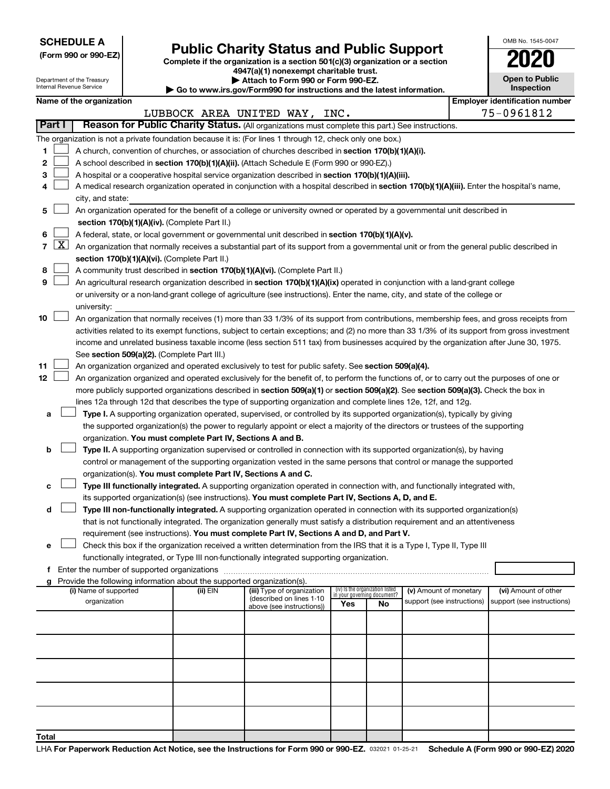**SCHEDULE A**

Department of the Treasury Internal Revenue Service

|  |  |  | (Form 990 or 990-EZ) |  |
|--|--|--|----------------------|--|
|--|--|--|----------------------|--|

# Form 990 or 990-EZ) **Public Charity Status and Public Support**<br>
Complete if the organization is a section 501(c)(3) organization or a section<br> **2020**

**4947(a)(1) nonexempt charitable trust. | Attach to Form 990 or Form 990-EZ.** 

| <b>P</b> Allach to Form you of Form you Let                              |
|--------------------------------------------------------------------------|
| ▶ Go to www.irs.gov/Form990 for instructions and the latest information. |
|                                                                          |

| <b>Open to Public</b><br>Inspection |
|-------------------------------------|

OMB No. 1545-0047

| 75-0961812<br>LUBBOCK AREA UNITED WAY, INC.<br>Reason for Public Charity Status. (All organizations must complete this part.) See instructions.<br>Part I<br>The organization is not a private foundation because it is: (For lines 1 through 12, check only one box.)<br>A church, convention of churches, or association of churches described in section 170(b)(1)(A)(i).<br>1<br>2<br>A school described in section 170(b)(1)(A)(ii). (Attach Schedule E (Form 990 or 990-EZ).)<br>3<br>A hospital or a cooperative hospital service organization described in section 170(b)(1)(A)(iii).<br>A medical research organization operated in conjunction with a hospital described in section 170(b)(1)(A)(iii). Enter the hospital's name,<br>4<br>city, and state:<br>An organization operated for the benefit of a college or university owned or operated by a governmental unit described in<br>5<br>section 170(b)(1)(A)(iv). (Complete Part II.)<br>A federal, state, or local government or governmental unit described in section 170(b)(1)(A)(v).<br>6<br>$\lfloor x \rfloor$<br>$\overline{7}$<br>An organization that normally receives a substantial part of its support from a governmental unit or from the general public described in<br>section 170(b)(1)(A)(vi). (Complete Part II.)<br>A community trust described in section 170(b)(1)(A)(vi). (Complete Part II.)<br>8<br>9<br>An agricultural research organization described in section 170(b)(1)(A)(ix) operated in conjunction with a land-grant college<br>or university or a non-land-grant college of agriculture (see instructions). Enter the name, city, and state of the college or<br>university:<br>An organization that normally receives (1) more than 33 1/3% of its support from contributions, membership fees, and gross receipts from<br>10<br>activities related to its exempt functions, subject to certain exceptions; and (2) no more than 33 1/3% of its support from gross investment<br>income and unrelated business taxable income (less section 511 tax) from businesses acquired by the organization after June 30, 1975.<br>See section 509(a)(2). (Complete Part III.)<br>An organization organized and operated exclusively to test for public safety. See section 509(a)(4).<br>11<br>12<br>An organization organized and operated exclusively for the benefit of, to perform the functions of, or to carry out the purposes of one or<br>more publicly supported organizations described in section 509(a)(1) or section 509(a)(2). See section 509(a)(3). Check the box in<br>lines 12a through 12d that describes the type of supporting organization and complete lines 12e, 12f, and 12g.<br>Type I. A supporting organization operated, supervised, or controlled by its supported organization(s), typically by giving<br>а<br>the supported organization(s) the power to regularly appoint or elect a majority of the directors or trustees of the supporting<br>organization. You must complete Part IV, Sections A and B.<br>Type II. A supporting organization supervised or controlled in connection with its supported organization(s), by having<br>b<br>control or management of the supporting organization vested in the same persons that control or manage the supported<br>organization(s). You must complete Part IV, Sections A and C.<br>Type III functionally integrated. A supporting organization operated in connection with, and functionally integrated with,<br>с<br>its supported organization(s) (see instructions). You must complete Part IV, Sections A, D, and E.<br>Type III non-functionally integrated. A supporting organization operated in connection with its supported organization(s)<br>d<br>that is not functionally integrated. The organization generally must satisfy a distribution requirement and an attentiveness<br>requirement (see instructions). You must complete Part IV, Sections A and D, and Part V.<br>Check this box if the organization received a written determination from the IRS that it is a Type I, Type II, Type III<br>е<br>functionally integrated, or Type III non-functionally integrated supporting organization.<br>Provide the following information about the supported organization(s).<br>g<br>(iv) Is the organization listed<br>in your governing document?<br>(i) Name of supported<br>(ii) EIN<br>(iii) Type of organization<br>(v) Amount of monetary<br>(vi) Amount of other<br>(described on lines 1-10<br>organization<br>support (see instructions)<br>support (see instructions)<br>Yes<br>No<br>above (see instructions)) | Name of the organization<br><b>Employer identification number</b> |  |  |  |  |  |  |  |
|-----------------------------------------------------------------------------------------------------------------------------------------------------------------------------------------------------------------------------------------------------------------------------------------------------------------------------------------------------------------------------------------------------------------------------------------------------------------------------------------------------------------------------------------------------------------------------------------------------------------------------------------------------------------------------------------------------------------------------------------------------------------------------------------------------------------------------------------------------------------------------------------------------------------------------------------------------------------------------------------------------------------------------------------------------------------------------------------------------------------------------------------------------------------------------------------------------------------------------------------------------------------------------------------------------------------------------------------------------------------------------------------------------------------------------------------------------------------------------------------------------------------------------------------------------------------------------------------------------------------------------------------------------------------------------------------------------------------------------------------------------------------------------------------------------------------------------------------------------------------------------------------------------------------------------------------------------------------------------------------------------------------------------------------------------------------------------------------------------------------------------------------------------------------------------------------------------------------------------------------------------------------------------------------------------------------------------------------------------------------------------------------------------------------------------------------------------------------------------------------------------------------------------------------------------------------------------------------------------------------------------------------------------------------------------------------------------------------------------------------------------------------------------------------------------------------------------------------------------------------------------------------------------------------------------------------------------------------------------------------------------------------------------------------------------------------------------------------------------------------------------------------------------------------------------------------------------------------------------------------------------------------------------------------------------------------------------------------------------------------------------------------------------------------------------------------------------------------------------------------------------------------------------------------------------------------------------------------------------------------------------------------------------------------------------------------------------------------------------------------------------------------------------------------------------------------------------------------------------------------------------------------------------------------------------------------------------------------------------------------------------------------------------------------------------------------------------------------------------------------------------------------------------------------------------------------------------------------------------------------------------------------------------------------------------------------------------------------------------------------------------------------------------------------------------------------------------------------------------------------------------------------------------------------------------------------------------------------------------------------------------------|-------------------------------------------------------------------|--|--|--|--|--|--|--|
|                                                                                                                                                                                                                                                                                                                                                                                                                                                                                                                                                                                                                                                                                                                                                                                                                                                                                                                                                                                                                                                                                                                                                                                                                                                                                                                                                                                                                                                                                                                                                                                                                                                                                                                                                                                                                                                                                                                                                                                                                                                                                                                                                                                                                                                                                                                                                                                                                                                                                                                                                                                                                                                                                                                                                                                                                                                                                                                                                                                                                                                                                                                                                                                                                                                                                                                                                                                                                                                                                                                                                                                                                                                                                                                                                                                                                                                                                                                                                                                                                                                                                                                                                                                                                                                                                                                                                                                                                                                                                                                                                                                                                                   |                                                                   |  |  |  |  |  |  |  |
|                                                                                                                                                                                                                                                                                                                                                                                                                                                                                                                                                                                                                                                                                                                                                                                                                                                                                                                                                                                                                                                                                                                                                                                                                                                                                                                                                                                                                                                                                                                                                                                                                                                                                                                                                                                                                                                                                                                                                                                                                                                                                                                                                                                                                                                                                                                                                                                                                                                                                                                                                                                                                                                                                                                                                                                                                                                                                                                                                                                                                                                                                                                                                                                                                                                                                                                                                                                                                                                                                                                                                                                                                                                                                                                                                                                                                                                                                                                                                                                                                                                                                                                                                                                                                                                                                                                                                                                                                                                                                                                                                                                                                                   |                                                                   |  |  |  |  |  |  |  |
|                                                                                                                                                                                                                                                                                                                                                                                                                                                                                                                                                                                                                                                                                                                                                                                                                                                                                                                                                                                                                                                                                                                                                                                                                                                                                                                                                                                                                                                                                                                                                                                                                                                                                                                                                                                                                                                                                                                                                                                                                                                                                                                                                                                                                                                                                                                                                                                                                                                                                                                                                                                                                                                                                                                                                                                                                                                                                                                                                                                                                                                                                                                                                                                                                                                                                                                                                                                                                                                                                                                                                                                                                                                                                                                                                                                                                                                                                                                                                                                                                                                                                                                                                                                                                                                                                                                                                                                                                                                                                                                                                                                                                                   |                                                                   |  |  |  |  |  |  |  |
|                                                                                                                                                                                                                                                                                                                                                                                                                                                                                                                                                                                                                                                                                                                                                                                                                                                                                                                                                                                                                                                                                                                                                                                                                                                                                                                                                                                                                                                                                                                                                                                                                                                                                                                                                                                                                                                                                                                                                                                                                                                                                                                                                                                                                                                                                                                                                                                                                                                                                                                                                                                                                                                                                                                                                                                                                                                                                                                                                                                                                                                                                                                                                                                                                                                                                                                                                                                                                                                                                                                                                                                                                                                                                                                                                                                                                                                                                                                                                                                                                                                                                                                                                                                                                                                                                                                                                                                                                                                                                                                                                                                                                                   |                                                                   |  |  |  |  |  |  |  |
|                                                                                                                                                                                                                                                                                                                                                                                                                                                                                                                                                                                                                                                                                                                                                                                                                                                                                                                                                                                                                                                                                                                                                                                                                                                                                                                                                                                                                                                                                                                                                                                                                                                                                                                                                                                                                                                                                                                                                                                                                                                                                                                                                                                                                                                                                                                                                                                                                                                                                                                                                                                                                                                                                                                                                                                                                                                                                                                                                                                                                                                                                                                                                                                                                                                                                                                                                                                                                                                                                                                                                                                                                                                                                                                                                                                                                                                                                                                                                                                                                                                                                                                                                                                                                                                                                                                                                                                                                                                                                                                                                                                                                                   |                                                                   |  |  |  |  |  |  |  |
|                                                                                                                                                                                                                                                                                                                                                                                                                                                                                                                                                                                                                                                                                                                                                                                                                                                                                                                                                                                                                                                                                                                                                                                                                                                                                                                                                                                                                                                                                                                                                                                                                                                                                                                                                                                                                                                                                                                                                                                                                                                                                                                                                                                                                                                                                                                                                                                                                                                                                                                                                                                                                                                                                                                                                                                                                                                                                                                                                                                                                                                                                                                                                                                                                                                                                                                                                                                                                                                                                                                                                                                                                                                                                                                                                                                                                                                                                                                                                                                                                                                                                                                                                                                                                                                                                                                                                                                                                                                                                                                                                                                                                                   |                                                                   |  |  |  |  |  |  |  |
|                                                                                                                                                                                                                                                                                                                                                                                                                                                                                                                                                                                                                                                                                                                                                                                                                                                                                                                                                                                                                                                                                                                                                                                                                                                                                                                                                                                                                                                                                                                                                                                                                                                                                                                                                                                                                                                                                                                                                                                                                                                                                                                                                                                                                                                                                                                                                                                                                                                                                                                                                                                                                                                                                                                                                                                                                                                                                                                                                                                                                                                                                                                                                                                                                                                                                                                                                                                                                                                                                                                                                                                                                                                                                                                                                                                                                                                                                                                                                                                                                                                                                                                                                                                                                                                                                                                                                                                                                                                                                                                                                                                                                                   |                                                                   |  |  |  |  |  |  |  |
|                                                                                                                                                                                                                                                                                                                                                                                                                                                                                                                                                                                                                                                                                                                                                                                                                                                                                                                                                                                                                                                                                                                                                                                                                                                                                                                                                                                                                                                                                                                                                                                                                                                                                                                                                                                                                                                                                                                                                                                                                                                                                                                                                                                                                                                                                                                                                                                                                                                                                                                                                                                                                                                                                                                                                                                                                                                                                                                                                                                                                                                                                                                                                                                                                                                                                                                                                                                                                                                                                                                                                                                                                                                                                                                                                                                                                                                                                                                                                                                                                                                                                                                                                                                                                                                                                                                                                                                                                                                                                                                                                                                                                                   |                                                                   |  |  |  |  |  |  |  |
|                                                                                                                                                                                                                                                                                                                                                                                                                                                                                                                                                                                                                                                                                                                                                                                                                                                                                                                                                                                                                                                                                                                                                                                                                                                                                                                                                                                                                                                                                                                                                                                                                                                                                                                                                                                                                                                                                                                                                                                                                                                                                                                                                                                                                                                                                                                                                                                                                                                                                                                                                                                                                                                                                                                                                                                                                                                                                                                                                                                                                                                                                                                                                                                                                                                                                                                                                                                                                                                                                                                                                                                                                                                                                                                                                                                                                                                                                                                                                                                                                                                                                                                                                                                                                                                                                                                                                                                                                                                                                                                                                                                                                                   |                                                                   |  |  |  |  |  |  |  |
|                                                                                                                                                                                                                                                                                                                                                                                                                                                                                                                                                                                                                                                                                                                                                                                                                                                                                                                                                                                                                                                                                                                                                                                                                                                                                                                                                                                                                                                                                                                                                                                                                                                                                                                                                                                                                                                                                                                                                                                                                                                                                                                                                                                                                                                                                                                                                                                                                                                                                                                                                                                                                                                                                                                                                                                                                                                                                                                                                                                                                                                                                                                                                                                                                                                                                                                                                                                                                                                                                                                                                                                                                                                                                                                                                                                                                                                                                                                                                                                                                                                                                                                                                                                                                                                                                                                                                                                                                                                                                                                                                                                                                                   |                                                                   |  |  |  |  |  |  |  |
|                                                                                                                                                                                                                                                                                                                                                                                                                                                                                                                                                                                                                                                                                                                                                                                                                                                                                                                                                                                                                                                                                                                                                                                                                                                                                                                                                                                                                                                                                                                                                                                                                                                                                                                                                                                                                                                                                                                                                                                                                                                                                                                                                                                                                                                                                                                                                                                                                                                                                                                                                                                                                                                                                                                                                                                                                                                                                                                                                                                                                                                                                                                                                                                                                                                                                                                                                                                                                                                                                                                                                                                                                                                                                                                                                                                                                                                                                                                                                                                                                                                                                                                                                                                                                                                                                                                                                                                                                                                                                                                                                                                                                                   |                                                                   |  |  |  |  |  |  |  |
|                                                                                                                                                                                                                                                                                                                                                                                                                                                                                                                                                                                                                                                                                                                                                                                                                                                                                                                                                                                                                                                                                                                                                                                                                                                                                                                                                                                                                                                                                                                                                                                                                                                                                                                                                                                                                                                                                                                                                                                                                                                                                                                                                                                                                                                                                                                                                                                                                                                                                                                                                                                                                                                                                                                                                                                                                                                                                                                                                                                                                                                                                                                                                                                                                                                                                                                                                                                                                                                                                                                                                                                                                                                                                                                                                                                                                                                                                                                                                                                                                                                                                                                                                                                                                                                                                                                                                                                                                                                                                                                                                                                                                                   |                                                                   |  |  |  |  |  |  |  |
|                                                                                                                                                                                                                                                                                                                                                                                                                                                                                                                                                                                                                                                                                                                                                                                                                                                                                                                                                                                                                                                                                                                                                                                                                                                                                                                                                                                                                                                                                                                                                                                                                                                                                                                                                                                                                                                                                                                                                                                                                                                                                                                                                                                                                                                                                                                                                                                                                                                                                                                                                                                                                                                                                                                                                                                                                                                                                                                                                                                                                                                                                                                                                                                                                                                                                                                                                                                                                                                                                                                                                                                                                                                                                                                                                                                                                                                                                                                                                                                                                                                                                                                                                                                                                                                                                                                                                                                                                                                                                                                                                                                                                                   |                                                                   |  |  |  |  |  |  |  |
|                                                                                                                                                                                                                                                                                                                                                                                                                                                                                                                                                                                                                                                                                                                                                                                                                                                                                                                                                                                                                                                                                                                                                                                                                                                                                                                                                                                                                                                                                                                                                                                                                                                                                                                                                                                                                                                                                                                                                                                                                                                                                                                                                                                                                                                                                                                                                                                                                                                                                                                                                                                                                                                                                                                                                                                                                                                                                                                                                                                                                                                                                                                                                                                                                                                                                                                                                                                                                                                                                                                                                                                                                                                                                                                                                                                                                                                                                                                                                                                                                                                                                                                                                                                                                                                                                                                                                                                                                                                                                                                                                                                                                                   |                                                                   |  |  |  |  |  |  |  |
|                                                                                                                                                                                                                                                                                                                                                                                                                                                                                                                                                                                                                                                                                                                                                                                                                                                                                                                                                                                                                                                                                                                                                                                                                                                                                                                                                                                                                                                                                                                                                                                                                                                                                                                                                                                                                                                                                                                                                                                                                                                                                                                                                                                                                                                                                                                                                                                                                                                                                                                                                                                                                                                                                                                                                                                                                                                                                                                                                                                                                                                                                                                                                                                                                                                                                                                                                                                                                                                                                                                                                                                                                                                                                                                                                                                                                                                                                                                                                                                                                                                                                                                                                                                                                                                                                                                                                                                                                                                                                                                                                                                                                                   |                                                                   |  |  |  |  |  |  |  |
|                                                                                                                                                                                                                                                                                                                                                                                                                                                                                                                                                                                                                                                                                                                                                                                                                                                                                                                                                                                                                                                                                                                                                                                                                                                                                                                                                                                                                                                                                                                                                                                                                                                                                                                                                                                                                                                                                                                                                                                                                                                                                                                                                                                                                                                                                                                                                                                                                                                                                                                                                                                                                                                                                                                                                                                                                                                                                                                                                                                                                                                                                                                                                                                                                                                                                                                                                                                                                                                                                                                                                                                                                                                                                                                                                                                                                                                                                                                                                                                                                                                                                                                                                                                                                                                                                                                                                                                                                                                                                                                                                                                                                                   |                                                                   |  |  |  |  |  |  |  |
|                                                                                                                                                                                                                                                                                                                                                                                                                                                                                                                                                                                                                                                                                                                                                                                                                                                                                                                                                                                                                                                                                                                                                                                                                                                                                                                                                                                                                                                                                                                                                                                                                                                                                                                                                                                                                                                                                                                                                                                                                                                                                                                                                                                                                                                                                                                                                                                                                                                                                                                                                                                                                                                                                                                                                                                                                                                                                                                                                                                                                                                                                                                                                                                                                                                                                                                                                                                                                                                                                                                                                                                                                                                                                                                                                                                                                                                                                                                                                                                                                                                                                                                                                                                                                                                                                                                                                                                                                                                                                                                                                                                                                                   |                                                                   |  |  |  |  |  |  |  |
|                                                                                                                                                                                                                                                                                                                                                                                                                                                                                                                                                                                                                                                                                                                                                                                                                                                                                                                                                                                                                                                                                                                                                                                                                                                                                                                                                                                                                                                                                                                                                                                                                                                                                                                                                                                                                                                                                                                                                                                                                                                                                                                                                                                                                                                                                                                                                                                                                                                                                                                                                                                                                                                                                                                                                                                                                                                                                                                                                                                                                                                                                                                                                                                                                                                                                                                                                                                                                                                                                                                                                                                                                                                                                                                                                                                                                                                                                                                                                                                                                                                                                                                                                                                                                                                                                                                                                                                                                                                                                                                                                                                                                                   |                                                                   |  |  |  |  |  |  |  |
|                                                                                                                                                                                                                                                                                                                                                                                                                                                                                                                                                                                                                                                                                                                                                                                                                                                                                                                                                                                                                                                                                                                                                                                                                                                                                                                                                                                                                                                                                                                                                                                                                                                                                                                                                                                                                                                                                                                                                                                                                                                                                                                                                                                                                                                                                                                                                                                                                                                                                                                                                                                                                                                                                                                                                                                                                                                                                                                                                                                                                                                                                                                                                                                                                                                                                                                                                                                                                                                                                                                                                                                                                                                                                                                                                                                                                                                                                                                                                                                                                                                                                                                                                                                                                                                                                                                                                                                                                                                                                                                                                                                                                                   |                                                                   |  |  |  |  |  |  |  |
|                                                                                                                                                                                                                                                                                                                                                                                                                                                                                                                                                                                                                                                                                                                                                                                                                                                                                                                                                                                                                                                                                                                                                                                                                                                                                                                                                                                                                                                                                                                                                                                                                                                                                                                                                                                                                                                                                                                                                                                                                                                                                                                                                                                                                                                                                                                                                                                                                                                                                                                                                                                                                                                                                                                                                                                                                                                                                                                                                                                                                                                                                                                                                                                                                                                                                                                                                                                                                                                                                                                                                                                                                                                                                                                                                                                                                                                                                                                                                                                                                                                                                                                                                                                                                                                                                                                                                                                                                                                                                                                                                                                                                                   |                                                                   |  |  |  |  |  |  |  |
|                                                                                                                                                                                                                                                                                                                                                                                                                                                                                                                                                                                                                                                                                                                                                                                                                                                                                                                                                                                                                                                                                                                                                                                                                                                                                                                                                                                                                                                                                                                                                                                                                                                                                                                                                                                                                                                                                                                                                                                                                                                                                                                                                                                                                                                                                                                                                                                                                                                                                                                                                                                                                                                                                                                                                                                                                                                                                                                                                                                                                                                                                                                                                                                                                                                                                                                                                                                                                                                                                                                                                                                                                                                                                                                                                                                                                                                                                                                                                                                                                                                                                                                                                                                                                                                                                                                                                                                                                                                                                                                                                                                                                                   |                                                                   |  |  |  |  |  |  |  |
|                                                                                                                                                                                                                                                                                                                                                                                                                                                                                                                                                                                                                                                                                                                                                                                                                                                                                                                                                                                                                                                                                                                                                                                                                                                                                                                                                                                                                                                                                                                                                                                                                                                                                                                                                                                                                                                                                                                                                                                                                                                                                                                                                                                                                                                                                                                                                                                                                                                                                                                                                                                                                                                                                                                                                                                                                                                                                                                                                                                                                                                                                                                                                                                                                                                                                                                                                                                                                                                                                                                                                                                                                                                                                                                                                                                                                                                                                                                                                                                                                                                                                                                                                                                                                                                                                                                                                                                                                                                                                                                                                                                                                                   |                                                                   |  |  |  |  |  |  |  |
|                                                                                                                                                                                                                                                                                                                                                                                                                                                                                                                                                                                                                                                                                                                                                                                                                                                                                                                                                                                                                                                                                                                                                                                                                                                                                                                                                                                                                                                                                                                                                                                                                                                                                                                                                                                                                                                                                                                                                                                                                                                                                                                                                                                                                                                                                                                                                                                                                                                                                                                                                                                                                                                                                                                                                                                                                                                                                                                                                                                                                                                                                                                                                                                                                                                                                                                                                                                                                                                                                                                                                                                                                                                                                                                                                                                                                                                                                                                                                                                                                                                                                                                                                                                                                                                                                                                                                                                                                                                                                                                                                                                                                                   |                                                                   |  |  |  |  |  |  |  |
|                                                                                                                                                                                                                                                                                                                                                                                                                                                                                                                                                                                                                                                                                                                                                                                                                                                                                                                                                                                                                                                                                                                                                                                                                                                                                                                                                                                                                                                                                                                                                                                                                                                                                                                                                                                                                                                                                                                                                                                                                                                                                                                                                                                                                                                                                                                                                                                                                                                                                                                                                                                                                                                                                                                                                                                                                                                                                                                                                                                                                                                                                                                                                                                                                                                                                                                                                                                                                                                                                                                                                                                                                                                                                                                                                                                                                                                                                                                                                                                                                                                                                                                                                                                                                                                                                                                                                                                                                                                                                                                                                                                                                                   |                                                                   |  |  |  |  |  |  |  |
|                                                                                                                                                                                                                                                                                                                                                                                                                                                                                                                                                                                                                                                                                                                                                                                                                                                                                                                                                                                                                                                                                                                                                                                                                                                                                                                                                                                                                                                                                                                                                                                                                                                                                                                                                                                                                                                                                                                                                                                                                                                                                                                                                                                                                                                                                                                                                                                                                                                                                                                                                                                                                                                                                                                                                                                                                                                                                                                                                                                                                                                                                                                                                                                                                                                                                                                                                                                                                                                                                                                                                                                                                                                                                                                                                                                                                                                                                                                                                                                                                                                                                                                                                                                                                                                                                                                                                                                                                                                                                                                                                                                                                                   |                                                                   |  |  |  |  |  |  |  |
|                                                                                                                                                                                                                                                                                                                                                                                                                                                                                                                                                                                                                                                                                                                                                                                                                                                                                                                                                                                                                                                                                                                                                                                                                                                                                                                                                                                                                                                                                                                                                                                                                                                                                                                                                                                                                                                                                                                                                                                                                                                                                                                                                                                                                                                                                                                                                                                                                                                                                                                                                                                                                                                                                                                                                                                                                                                                                                                                                                                                                                                                                                                                                                                                                                                                                                                                                                                                                                                                                                                                                                                                                                                                                                                                                                                                                                                                                                                                                                                                                                                                                                                                                                                                                                                                                                                                                                                                                                                                                                                                                                                                                                   |                                                                   |  |  |  |  |  |  |  |
|                                                                                                                                                                                                                                                                                                                                                                                                                                                                                                                                                                                                                                                                                                                                                                                                                                                                                                                                                                                                                                                                                                                                                                                                                                                                                                                                                                                                                                                                                                                                                                                                                                                                                                                                                                                                                                                                                                                                                                                                                                                                                                                                                                                                                                                                                                                                                                                                                                                                                                                                                                                                                                                                                                                                                                                                                                                                                                                                                                                                                                                                                                                                                                                                                                                                                                                                                                                                                                                                                                                                                                                                                                                                                                                                                                                                                                                                                                                                                                                                                                                                                                                                                                                                                                                                                                                                                                                                                                                                                                                                                                                                                                   |                                                                   |  |  |  |  |  |  |  |
|                                                                                                                                                                                                                                                                                                                                                                                                                                                                                                                                                                                                                                                                                                                                                                                                                                                                                                                                                                                                                                                                                                                                                                                                                                                                                                                                                                                                                                                                                                                                                                                                                                                                                                                                                                                                                                                                                                                                                                                                                                                                                                                                                                                                                                                                                                                                                                                                                                                                                                                                                                                                                                                                                                                                                                                                                                                                                                                                                                                                                                                                                                                                                                                                                                                                                                                                                                                                                                                                                                                                                                                                                                                                                                                                                                                                                                                                                                                                                                                                                                                                                                                                                                                                                                                                                                                                                                                                                                                                                                                                                                                                                                   |                                                                   |  |  |  |  |  |  |  |
|                                                                                                                                                                                                                                                                                                                                                                                                                                                                                                                                                                                                                                                                                                                                                                                                                                                                                                                                                                                                                                                                                                                                                                                                                                                                                                                                                                                                                                                                                                                                                                                                                                                                                                                                                                                                                                                                                                                                                                                                                                                                                                                                                                                                                                                                                                                                                                                                                                                                                                                                                                                                                                                                                                                                                                                                                                                                                                                                                                                                                                                                                                                                                                                                                                                                                                                                                                                                                                                                                                                                                                                                                                                                                                                                                                                                                                                                                                                                                                                                                                                                                                                                                                                                                                                                                                                                                                                                                                                                                                                                                                                                                                   |                                                                   |  |  |  |  |  |  |  |
|                                                                                                                                                                                                                                                                                                                                                                                                                                                                                                                                                                                                                                                                                                                                                                                                                                                                                                                                                                                                                                                                                                                                                                                                                                                                                                                                                                                                                                                                                                                                                                                                                                                                                                                                                                                                                                                                                                                                                                                                                                                                                                                                                                                                                                                                                                                                                                                                                                                                                                                                                                                                                                                                                                                                                                                                                                                                                                                                                                                                                                                                                                                                                                                                                                                                                                                                                                                                                                                                                                                                                                                                                                                                                                                                                                                                                                                                                                                                                                                                                                                                                                                                                                                                                                                                                                                                                                                                                                                                                                                                                                                                                                   |                                                                   |  |  |  |  |  |  |  |
|                                                                                                                                                                                                                                                                                                                                                                                                                                                                                                                                                                                                                                                                                                                                                                                                                                                                                                                                                                                                                                                                                                                                                                                                                                                                                                                                                                                                                                                                                                                                                                                                                                                                                                                                                                                                                                                                                                                                                                                                                                                                                                                                                                                                                                                                                                                                                                                                                                                                                                                                                                                                                                                                                                                                                                                                                                                                                                                                                                                                                                                                                                                                                                                                                                                                                                                                                                                                                                                                                                                                                                                                                                                                                                                                                                                                                                                                                                                                                                                                                                                                                                                                                                                                                                                                                                                                                                                                                                                                                                                                                                                                                                   |                                                                   |  |  |  |  |  |  |  |
|                                                                                                                                                                                                                                                                                                                                                                                                                                                                                                                                                                                                                                                                                                                                                                                                                                                                                                                                                                                                                                                                                                                                                                                                                                                                                                                                                                                                                                                                                                                                                                                                                                                                                                                                                                                                                                                                                                                                                                                                                                                                                                                                                                                                                                                                                                                                                                                                                                                                                                                                                                                                                                                                                                                                                                                                                                                                                                                                                                                                                                                                                                                                                                                                                                                                                                                                                                                                                                                                                                                                                                                                                                                                                                                                                                                                                                                                                                                                                                                                                                                                                                                                                                                                                                                                                                                                                                                                                                                                                                                                                                                                                                   |                                                                   |  |  |  |  |  |  |  |
|                                                                                                                                                                                                                                                                                                                                                                                                                                                                                                                                                                                                                                                                                                                                                                                                                                                                                                                                                                                                                                                                                                                                                                                                                                                                                                                                                                                                                                                                                                                                                                                                                                                                                                                                                                                                                                                                                                                                                                                                                                                                                                                                                                                                                                                                                                                                                                                                                                                                                                                                                                                                                                                                                                                                                                                                                                                                                                                                                                                                                                                                                                                                                                                                                                                                                                                                                                                                                                                                                                                                                                                                                                                                                                                                                                                                                                                                                                                                                                                                                                                                                                                                                                                                                                                                                                                                                                                                                                                                                                                                                                                                                                   |                                                                   |  |  |  |  |  |  |  |
|                                                                                                                                                                                                                                                                                                                                                                                                                                                                                                                                                                                                                                                                                                                                                                                                                                                                                                                                                                                                                                                                                                                                                                                                                                                                                                                                                                                                                                                                                                                                                                                                                                                                                                                                                                                                                                                                                                                                                                                                                                                                                                                                                                                                                                                                                                                                                                                                                                                                                                                                                                                                                                                                                                                                                                                                                                                                                                                                                                                                                                                                                                                                                                                                                                                                                                                                                                                                                                                                                                                                                                                                                                                                                                                                                                                                                                                                                                                                                                                                                                                                                                                                                                                                                                                                                                                                                                                                                                                                                                                                                                                                                                   |                                                                   |  |  |  |  |  |  |  |
|                                                                                                                                                                                                                                                                                                                                                                                                                                                                                                                                                                                                                                                                                                                                                                                                                                                                                                                                                                                                                                                                                                                                                                                                                                                                                                                                                                                                                                                                                                                                                                                                                                                                                                                                                                                                                                                                                                                                                                                                                                                                                                                                                                                                                                                                                                                                                                                                                                                                                                                                                                                                                                                                                                                                                                                                                                                                                                                                                                                                                                                                                                                                                                                                                                                                                                                                                                                                                                                                                                                                                                                                                                                                                                                                                                                                                                                                                                                                                                                                                                                                                                                                                                                                                                                                                                                                                                                                                                                                                                                                                                                                                                   |                                                                   |  |  |  |  |  |  |  |
|                                                                                                                                                                                                                                                                                                                                                                                                                                                                                                                                                                                                                                                                                                                                                                                                                                                                                                                                                                                                                                                                                                                                                                                                                                                                                                                                                                                                                                                                                                                                                                                                                                                                                                                                                                                                                                                                                                                                                                                                                                                                                                                                                                                                                                                                                                                                                                                                                                                                                                                                                                                                                                                                                                                                                                                                                                                                                                                                                                                                                                                                                                                                                                                                                                                                                                                                                                                                                                                                                                                                                                                                                                                                                                                                                                                                                                                                                                                                                                                                                                                                                                                                                                                                                                                                                                                                                                                                                                                                                                                                                                                                                                   |                                                                   |  |  |  |  |  |  |  |
|                                                                                                                                                                                                                                                                                                                                                                                                                                                                                                                                                                                                                                                                                                                                                                                                                                                                                                                                                                                                                                                                                                                                                                                                                                                                                                                                                                                                                                                                                                                                                                                                                                                                                                                                                                                                                                                                                                                                                                                                                                                                                                                                                                                                                                                                                                                                                                                                                                                                                                                                                                                                                                                                                                                                                                                                                                                                                                                                                                                                                                                                                                                                                                                                                                                                                                                                                                                                                                                                                                                                                                                                                                                                                                                                                                                                                                                                                                                                                                                                                                                                                                                                                                                                                                                                                                                                                                                                                                                                                                                                                                                                                                   |                                                                   |  |  |  |  |  |  |  |
|                                                                                                                                                                                                                                                                                                                                                                                                                                                                                                                                                                                                                                                                                                                                                                                                                                                                                                                                                                                                                                                                                                                                                                                                                                                                                                                                                                                                                                                                                                                                                                                                                                                                                                                                                                                                                                                                                                                                                                                                                                                                                                                                                                                                                                                                                                                                                                                                                                                                                                                                                                                                                                                                                                                                                                                                                                                                                                                                                                                                                                                                                                                                                                                                                                                                                                                                                                                                                                                                                                                                                                                                                                                                                                                                                                                                                                                                                                                                                                                                                                                                                                                                                                                                                                                                                                                                                                                                                                                                                                                                                                                                                                   |                                                                   |  |  |  |  |  |  |  |
|                                                                                                                                                                                                                                                                                                                                                                                                                                                                                                                                                                                                                                                                                                                                                                                                                                                                                                                                                                                                                                                                                                                                                                                                                                                                                                                                                                                                                                                                                                                                                                                                                                                                                                                                                                                                                                                                                                                                                                                                                                                                                                                                                                                                                                                                                                                                                                                                                                                                                                                                                                                                                                                                                                                                                                                                                                                                                                                                                                                                                                                                                                                                                                                                                                                                                                                                                                                                                                                                                                                                                                                                                                                                                                                                                                                                                                                                                                                                                                                                                                                                                                                                                                                                                                                                                                                                                                                                                                                                                                                                                                                                                                   |                                                                   |  |  |  |  |  |  |  |
|                                                                                                                                                                                                                                                                                                                                                                                                                                                                                                                                                                                                                                                                                                                                                                                                                                                                                                                                                                                                                                                                                                                                                                                                                                                                                                                                                                                                                                                                                                                                                                                                                                                                                                                                                                                                                                                                                                                                                                                                                                                                                                                                                                                                                                                                                                                                                                                                                                                                                                                                                                                                                                                                                                                                                                                                                                                                                                                                                                                                                                                                                                                                                                                                                                                                                                                                                                                                                                                                                                                                                                                                                                                                                                                                                                                                                                                                                                                                                                                                                                                                                                                                                                                                                                                                                                                                                                                                                                                                                                                                                                                                                                   |                                                                   |  |  |  |  |  |  |  |
|                                                                                                                                                                                                                                                                                                                                                                                                                                                                                                                                                                                                                                                                                                                                                                                                                                                                                                                                                                                                                                                                                                                                                                                                                                                                                                                                                                                                                                                                                                                                                                                                                                                                                                                                                                                                                                                                                                                                                                                                                                                                                                                                                                                                                                                                                                                                                                                                                                                                                                                                                                                                                                                                                                                                                                                                                                                                                                                                                                                                                                                                                                                                                                                                                                                                                                                                                                                                                                                                                                                                                                                                                                                                                                                                                                                                                                                                                                                                                                                                                                                                                                                                                                                                                                                                                                                                                                                                                                                                                                                                                                                                                                   |                                                                   |  |  |  |  |  |  |  |
|                                                                                                                                                                                                                                                                                                                                                                                                                                                                                                                                                                                                                                                                                                                                                                                                                                                                                                                                                                                                                                                                                                                                                                                                                                                                                                                                                                                                                                                                                                                                                                                                                                                                                                                                                                                                                                                                                                                                                                                                                                                                                                                                                                                                                                                                                                                                                                                                                                                                                                                                                                                                                                                                                                                                                                                                                                                                                                                                                                                                                                                                                                                                                                                                                                                                                                                                                                                                                                                                                                                                                                                                                                                                                                                                                                                                                                                                                                                                                                                                                                                                                                                                                                                                                                                                                                                                                                                                                                                                                                                                                                                                                                   |                                                                   |  |  |  |  |  |  |  |
|                                                                                                                                                                                                                                                                                                                                                                                                                                                                                                                                                                                                                                                                                                                                                                                                                                                                                                                                                                                                                                                                                                                                                                                                                                                                                                                                                                                                                                                                                                                                                                                                                                                                                                                                                                                                                                                                                                                                                                                                                                                                                                                                                                                                                                                                                                                                                                                                                                                                                                                                                                                                                                                                                                                                                                                                                                                                                                                                                                                                                                                                                                                                                                                                                                                                                                                                                                                                                                                                                                                                                                                                                                                                                                                                                                                                                                                                                                                                                                                                                                                                                                                                                                                                                                                                                                                                                                                                                                                                                                                                                                                                                                   |                                                                   |  |  |  |  |  |  |  |
|                                                                                                                                                                                                                                                                                                                                                                                                                                                                                                                                                                                                                                                                                                                                                                                                                                                                                                                                                                                                                                                                                                                                                                                                                                                                                                                                                                                                                                                                                                                                                                                                                                                                                                                                                                                                                                                                                                                                                                                                                                                                                                                                                                                                                                                                                                                                                                                                                                                                                                                                                                                                                                                                                                                                                                                                                                                                                                                                                                                                                                                                                                                                                                                                                                                                                                                                                                                                                                                                                                                                                                                                                                                                                                                                                                                                                                                                                                                                                                                                                                                                                                                                                                                                                                                                                                                                                                                                                                                                                                                                                                                                                                   |                                                                   |  |  |  |  |  |  |  |
|                                                                                                                                                                                                                                                                                                                                                                                                                                                                                                                                                                                                                                                                                                                                                                                                                                                                                                                                                                                                                                                                                                                                                                                                                                                                                                                                                                                                                                                                                                                                                                                                                                                                                                                                                                                                                                                                                                                                                                                                                                                                                                                                                                                                                                                                                                                                                                                                                                                                                                                                                                                                                                                                                                                                                                                                                                                                                                                                                                                                                                                                                                                                                                                                                                                                                                                                                                                                                                                                                                                                                                                                                                                                                                                                                                                                                                                                                                                                                                                                                                                                                                                                                                                                                                                                                                                                                                                                                                                                                                                                                                                                                                   |                                                                   |  |  |  |  |  |  |  |
|                                                                                                                                                                                                                                                                                                                                                                                                                                                                                                                                                                                                                                                                                                                                                                                                                                                                                                                                                                                                                                                                                                                                                                                                                                                                                                                                                                                                                                                                                                                                                                                                                                                                                                                                                                                                                                                                                                                                                                                                                                                                                                                                                                                                                                                                                                                                                                                                                                                                                                                                                                                                                                                                                                                                                                                                                                                                                                                                                                                                                                                                                                                                                                                                                                                                                                                                                                                                                                                                                                                                                                                                                                                                                                                                                                                                                                                                                                                                                                                                                                                                                                                                                                                                                                                                                                                                                                                                                                                                                                                                                                                                                                   |                                                                   |  |  |  |  |  |  |  |
|                                                                                                                                                                                                                                                                                                                                                                                                                                                                                                                                                                                                                                                                                                                                                                                                                                                                                                                                                                                                                                                                                                                                                                                                                                                                                                                                                                                                                                                                                                                                                                                                                                                                                                                                                                                                                                                                                                                                                                                                                                                                                                                                                                                                                                                                                                                                                                                                                                                                                                                                                                                                                                                                                                                                                                                                                                                                                                                                                                                                                                                                                                                                                                                                                                                                                                                                                                                                                                                                                                                                                                                                                                                                                                                                                                                                                                                                                                                                                                                                                                                                                                                                                                                                                                                                                                                                                                                                                                                                                                                                                                                                                                   |                                                                   |  |  |  |  |  |  |  |
|                                                                                                                                                                                                                                                                                                                                                                                                                                                                                                                                                                                                                                                                                                                                                                                                                                                                                                                                                                                                                                                                                                                                                                                                                                                                                                                                                                                                                                                                                                                                                                                                                                                                                                                                                                                                                                                                                                                                                                                                                                                                                                                                                                                                                                                                                                                                                                                                                                                                                                                                                                                                                                                                                                                                                                                                                                                                                                                                                                                                                                                                                                                                                                                                                                                                                                                                                                                                                                                                                                                                                                                                                                                                                                                                                                                                                                                                                                                                                                                                                                                                                                                                                                                                                                                                                                                                                                                                                                                                                                                                                                                                                                   |                                                                   |  |  |  |  |  |  |  |
|                                                                                                                                                                                                                                                                                                                                                                                                                                                                                                                                                                                                                                                                                                                                                                                                                                                                                                                                                                                                                                                                                                                                                                                                                                                                                                                                                                                                                                                                                                                                                                                                                                                                                                                                                                                                                                                                                                                                                                                                                                                                                                                                                                                                                                                                                                                                                                                                                                                                                                                                                                                                                                                                                                                                                                                                                                                                                                                                                                                                                                                                                                                                                                                                                                                                                                                                                                                                                                                                                                                                                                                                                                                                                                                                                                                                                                                                                                                                                                                                                                                                                                                                                                                                                                                                                                                                                                                                                                                                                                                                                                                                                                   |                                                                   |  |  |  |  |  |  |  |
|                                                                                                                                                                                                                                                                                                                                                                                                                                                                                                                                                                                                                                                                                                                                                                                                                                                                                                                                                                                                                                                                                                                                                                                                                                                                                                                                                                                                                                                                                                                                                                                                                                                                                                                                                                                                                                                                                                                                                                                                                                                                                                                                                                                                                                                                                                                                                                                                                                                                                                                                                                                                                                                                                                                                                                                                                                                                                                                                                                                                                                                                                                                                                                                                                                                                                                                                                                                                                                                                                                                                                                                                                                                                                                                                                                                                                                                                                                                                                                                                                                                                                                                                                                                                                                                                                                                                                                                                                                                                                                                                                                                                                                   |                                                                   |  |  |  |  |  |  |  |
| Total                                                                                                                                                                                                                                                                                                                                                                                                                                                                                                                                                                                                                                                                                                                                                                                                                                                                                                                                                                                                                                                                                                                                                                                                                                                                                                                                                                                                                                                                                                                                                                                                                                                                                                                                                                                                                                                                                                                                                                                                                                                                                                                                                                                                                                                                                                                                                                                                                                                                                                                                                                                                                                                                                                                                                                                                                                                                                                                                                                                                                                                                                                                                                                                                                                                                                                                                                                                                                                                                                                                                                                                                                                                                                                                                                                                                                                                                                                                                                                                                                                                                                                                                                                                                                                                                                                                                                                                                                                                                                                                                                                                                                             |                                                                   |  |  |  |  |  |  |  |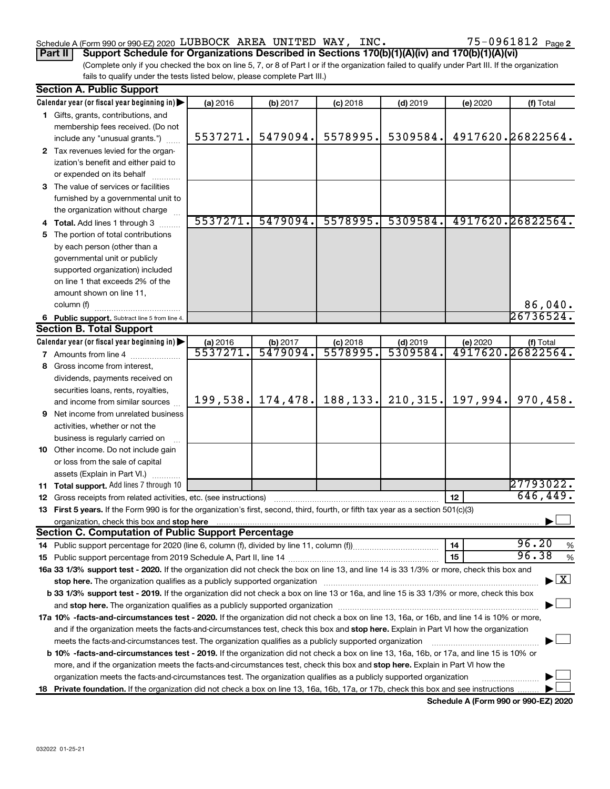### Schedule A (Form 990 or 990-EZ) 2020 Page LUBBOCK AREA UNITED WAY, INC. 75-0961812

**Part II Support Schedule for Organizations Described in Sections 170(b)(1)(A)(iv) and 170(b)(1)(A)(vi)**

(Complete only if you checked the box on line 5, 7, or 8 of Part I or if the organization failed to qualify under Part III. If the organization fails to qualify under the tests listed below, please complete Part III.)

| <b>Section A. Public Support</b>                                                                                                                                                                                                    |          |          |            |            |          |                                          |
|-------------------------------------------------------------------------------------------------------------------------------------------------------------------------------------------------------------------------------------|----------|----------|------------|------------|----------|------------------------------------------|
| Calendar year (or fiscal year beginning in)                                                                                                                                                                                         | (a) 2016 | (b) 2017 | $(c)$ 2018 | $(d)$ 2019 | (e) 2020 | (f) Total                                |
| 1 Gifts, grants, contributions, and                                                                                                                                                                                                 |          |          |            |            |          |                                          |
| membership fees received. (Do not                                                                                                                                                                                                   |          |          |            |            |          |                                          |
| include any "unusual grants.")                                                                                                                                                                                                      | 5537271. | 5479094. | 5578995.   | 5309584.   |          | 4917620.26822564.                        |
| 2 Tax revenues levied for the organ-                                                                                                                                                                                                |          |          |            |            |          |                                          |
| ization's benefit and either paid to                                                                                                                                                                                                |          |          |            |            |          |                                          |
| or expended on its behalf                                                                                                                                                                                                           |          |          |            |            |          |                                          |
| 3 The value of services or facilities                                                                                                                                                                                               |          |          |            |            |          |                                          |
| furnished by a governmental unit to                                                                                                                                                                                                 |          |          |            |            |          |                                          |
| the organization without charge                                                                                                                                                                                                     |          |          |            |            |          |                                          |
| 4 Total. Add lines 1 through 3                                                                                                                                                                                                      | 5537271. | 5479094. | 5578995.   | 5309584.   |          | 4917620.26822564.                        |
| 5 The portion of total contributions                                                                                                                                                                                                |          |          |            |            |          |                                          |
| by each person (other than a                                                                                                                                                                                                        |          |          |            |            |          |                                          |
| governmental unit or publicly                                                                                                                                                                                                       |          |          |            |            |          |                                          |
| supported organization) included                                                                                                                                                                                                    |          |          |            |            |          |                                          |
| on line 1 that exceeds 2% of the                                                                                                                                                                                                    |          |          |            |            |          |                                          |
| amount shown on line 11,                                                                                                                                                                                                            |          |          |            |            |          |                                          |
| column (f)                                                                                                                                                                                                                          |          |          |            |            |          | 86,040.                                  |
| 6 Public support. Subtract line 5 from line 4.                                                                                                                                                                                      |          |          |            |            |          | 26736524.                                |
| <b>Section B. Total Support</b>                                                                                                                                                                                                     |          |          |            |            |          |                                          |
| Calendar year (or fiscal year beginning in)                                                                                                                                                                                         | (a) 2016 | (b) 2017 | $(c)$ 2018 | $(d)$ 2019 | (e) 2020 | (f) Total                                |
| 7 Amounts from line 4                                                                                                                                                                                                               | 5537271  | 5479094. | 5578995.   | 5309584    |          | 4917620.26822564.                        |
| 8 Gross income from interest,                                                                                                                                                                                                       |          |          |            |            |          |                                          |
| dividends, payments received on                                                                                                                                                                                                     |          |          |            |            |          |                                          |
| securities loans, rents, royalties,                                                                                                                                                                                                 |          |          |            |            |          |                                          |
| and income from similar sources                                                                                                                                                                                                     | 199,538. | 174,478. | 188, 133.  | 210, 315.  | 197,994. | 970,458.                                 |
| <b>9</b> Net income from unrelated business                                                                                                                                                                                         |          |          |            |            |          |                                          |
| activities, whether or not the                                                                                                                                                                                                      |          |          |            |            |          |                                          |
| business is regularly carried on                                                                                                                                                                                                    |          |          |            |            |          |                                          |
| 10 Other income. Do not include gain                                                                                                                                                                                                |          |          |            |            |          |                                          |
| or loss from the sale of capital                                                                                                                                                                                                    |          |          |            |            |          |                                          |
| assets (Explain in Part VI.)                                                                                                                                                                                                        |          |          |            |            |          |                                          |
| 11 Total support. Add lines 7 through 10                                                                                                                                                                                            |          |          |            |            |          | 27793022.                                |
| 12 Gross receipts from related activities, etc. (see instructions)                                                                                                                                                                  |          |          |            |            | 12       | 646,449.                                 |
| 13 First 5 years. If the Form 990 is for the organization's first, second, third, fourth, or fifth tax year as a section 501(c)(3)                                                                                                  |          |          |            |            |          |                                          |
| organization, check this box and stop here <b>construction and construction</b> construction of the state of the state of the state of the state of the state of the state of the state of the state of the state of the state of t |          |          |            |            |          |                                          |
| <b>Section C. Computation of Public Support Percentage</b>                                                                                                                                                                          |          |          |            |            |          |                                          |
|                                                                                                                                                                                                                                     |          |          |            |            | 14       | 96.20<br>%                               |
|                                                                                                                                                                                                                                     |          |          |            |            | 15       | 96.38<br>$\%$                            |
| 16a 33 1/3% support test - 2020. If the organization did not check the box on line 13, and line 14 is 33 1/3% or more, check this box and                                                                                           |          |          |            |            |          |                                          |
|                                                                                                                                                                                                                                     |          |          |            |            |          | $\blacktriangleright$ $\boxed{\text{X}}$ |
| b 33 1/3% support test - 2019. If the organization did not check a box on line 13 or 16a, and line 15 is 33 1/3% or more, check this box                                                                                            |          |          |            |            |          |                                          |
| and stop here. The organization qualifies as a publicly supported organization [11] manuscription manuscription manuscription manuscription and stop here. The organization qualifies as a publicly supported organization          |          |          |            |            |          |                                          |
| 17a 10% -facts-and-circumstances test - 2020. If the organization did not check a box on line 13, 16a, or 16b, and line 14 is 10% or more,                                                                                          |          |          |            |            |          |                                          |
| and if the organization meets the facts-and-circumstances test, check this box and stop here. Explain in Part VI how the organization                                                                                               |          |          |            |            |          |                                          |
| meets the facts-and-circumstances test. The organization qualifies as a publicly supported organization                                                                                                                             |          |          |            |            |          |                                          |
| <b>b 10%</b> -facts-and-circumstances test - 2019. If the organization did not check a box on line 13, 16a, 16b, or 17a, and line 15 is 10% or                                                                                      |          |          |            |            |          |                                          |
| more, and if the organization meets the facts-and-circumstances test, check this box and stop here. Explain in Part VI how the                                                                                                      |          |          |            |            |          |                                          |
| organization meets the facts-and-circumstances test. The organization qualifies as a publicly supported organization                                                                                                                |          |          |            |            |          |                                          |
| 18 Private foundation. If the organization did not check a box on line 13, 16a, 16b, 17a, or 17b, check this box and see instructions                                                                                               |          |          |            |            |          |                                          |
|                                                                                                                                                                                                                                     |          |          |            |            |          |                                          |

**Schedule A (Form 990 or 990-EZ) 2020**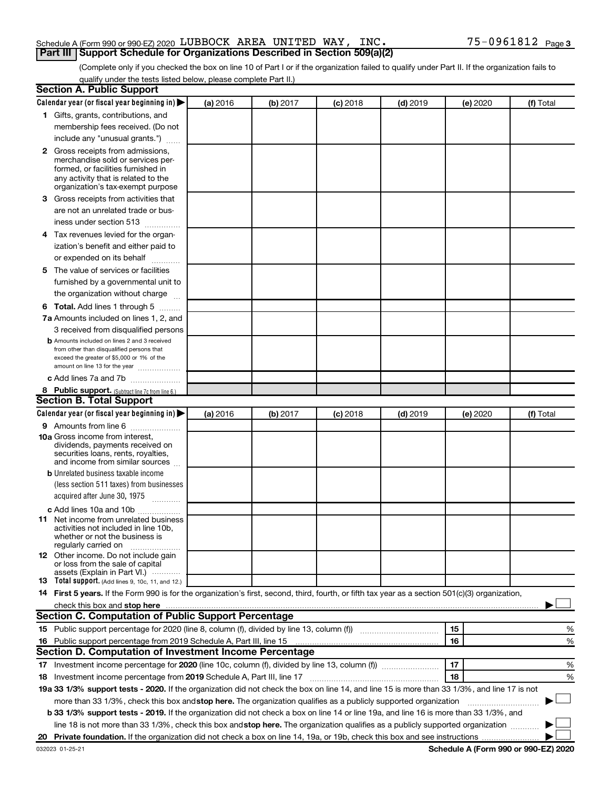### Schedule A (Form 990 or 990-EZ) 2020 Page LUBBOCK AREA UNITED WAY, INC. 75-0961812**Part III Support Schedule for Organizations Described in Section 509(a)(2)**

(Complete only if you checked the box on line 10 of Part I or if the organization failed to qualify under Part II. If the organization fails to qualify under the tests listed below, please complete Part II.)

| <b>Section A. Public Support</b>                                                                                                                                                                                                         |          |          |          |            |          |           |
|------------------------------------------------------------------------------------------------------------------------------------------------------------------------------------------------------------------------------------------|----------|----------|----------|------------|----------|-----------|
| Calendar year (or fiscal year beginning in)                                                                                                                                                                                              | (a) 2016 | (b) 2017 | (c) 2018 | $(d)$ 2019 | (e) 2020 | (f) Total |
| 1 Gifts, grants, contributions, and                                                                                                                                                                                                      |          |          |          |            |          |           |
| membership fees received. (Do not                                                                                                                                                                                                        |          |          |          |            |          |           |
| include any "unusual grants.")                                                                                                                                                                                                           |          |          |          |            |          |           |
| <b>2</b> Gross receipts from admissions,                                                                                                                                                                                                 |          |          |          |            |          |           |
| merchandise sold or services per-                                                                                                                                                                                                        |          |          |          |            |          |           |
| formed, or facilities furnished in                                                                                                                                                                                                       |          |          |          |            |          |           |
| any activity that is related to the<br>organization's tax-exempt purpose                                                                                                                                                                 |          |          |          |            |          |           |
| 3 Gross receipts from activities that                                                                                                                                                                                                    |          |          |          |            |          |           |
| are not an unrelated trade or bus-                                                                                                                                                                                                       |          |          |          |            |          |           |
|                                                                                                                                                                                                                                          |          |          |          |            |          |           |
| iness under section 513                                                                                                                                                                                                                  |          |          |          |            |          |           |
| 4 Tax revenues levied for the organ-                                                                                                                                                                                                     |          |          |          |            |          |           |
| ization's benefit and either paid to                                                                                                                                                                                                     |          |          |          |            |          |           |
| or expended on its behalf<br>.                                                                                                                                                                                                           |          |          |          |            |          |           |
| 5 The value of services or facilities                                                                                                                                                                                                    |          |          |          |            |          |           |
| furnished by a governmental unit to                                                                                                                                                                                                      |          |          |          |            |          |           |
| the organization without charge                                                                                                                                                                                                          |          |          |          |            |          |           |
| <b>6 Total.</b> Add lines 1 through 5                                                                                                                                                                                                    |          |          |          |            |          |           |
| 7a Amounts included on lines 1, 2, and                                                                                                                                                                                                   |          |          |          |            |          |           |
| 3 received from disqualified persons                                                                                                                                                                                                     |          |          |          |            |          |           |
| <b>b</b> Amounts included on lines 2 and 3 received                                                                                                                                                                                      |          |          |          |            |          |           |
| from other than disqualified persons that<br>exceed the greater of \$5,000 or 1% of the                                                                                                                                                  |          |          |          |            |          |           |
| amount on line 13 for the year                                                                                                                                                                                                           |          |          |          |            |          |           |
| c Add lines 7a and 7b                                                                                                                                                                                                                    |          |          |          |            |          |           |
| 8 Public support. (Subtract line 7c from line 6.)                                                                                                                                                                                        |          |          |          |            |          |           |
| <b>Section B. Total Support</b>                                                                                                                                                                                                          |          |          |          |            |          |           |
| Calendar year (or fiscal year beginning in)                                                                                                                                                                                              | (a) 2016 | (b) 2017 | (c) 2018 | $(d)$ 2019 | (e) 2020 | (f) Total |
| <b>9</b> Amounts from line 6                                                                                                                                                                                                             |          |          |          |            |          |           |
| <b>10a</b> Gross income from interest,                                                                                                                                                                                                   |          |          |          |            |          |           |
| dividends, payments received on                                                                                                                                                                                                          |          |          |          |            |          |           |
| securities loans, rents, royalties,<br>and income from similar sources                                                                                                                                                                   |          |          |          |            |          |           |
| <b>b</b> Unrelated business taxable income                                                                                                                                                                                               |          |          |          |            |          |           |
| (less section 511 taxes) from businesses                                                                                                                                                                                                 |          |          |          |            |          |           |
| acquired after June 30, 1975                                                                                                                                                                                                             |          |          |          |            |          |           |
|                                                                                                                                                                                                                                          |          |          |          |            |          |           |
| c Add lines 10a and 10b<br><b>11</b> Net income from unrelated business                                                                                                                                                                  |          |          |          |            |          |           |
| activities not included in line 10b.                                                                                                                                                                                                     |          |          |          |            |          |           |
| whether or not the business is                                                                                                                                                                                                           |          |          |          |            |          |           |
| regularly carried on<br>12 Other income. Do not include gain                                                                                                                                                                             |          |          |          |            |          |           |
| or loss from the sale of capital                                                                                                                                                                                                         |          |          |          |            |          |           |
| assets (Explain in Part VI.)                                                                                                                                                                                                             |          |          |          |            |          |           |
| <b>13</b> Total support. (Add lines 9, 10c, 11, and 12.)                                                                                                                                                                                 |          |          |          |            |          |           |
| 14 First 5 years. If the Form 990 is for the organization's first, second, third, fourth, or fifth tax year as a section 501(c)(3) organization,                                                                                         |          |          |          |            |          |           |
| check this box and stop here <b>construction and construction</b> and check this box and stop here <b>construction</b> and construction and construction and construction and construction and construction and construction and constru |          |          |          |            |          |           |
| Section C. Computation of Public Support Percentage                                                                                                                                                                                      |          |          |          |            |          |           |
| 15 Public support percentage for 2020 (line 8, column (f), divided by line 13, column (f) <i>manumeronominium</i>                                                                                                                        |          |          |          |            | 15       | %         |
| 16 Public support percentage from 2019 Schedule A, Part III, line 15                                                                                                                                                                     |          |          |          |            | 16       | %         |
| Section D. Computation of Investment Income Percentage                                                                                                                                                                                   |          |          |          |            |          |           |
| 17 Investment income percentage for 2020 (line 10c, column (f), divided by line 13, column (f))                                                                                                                                          |          |          |          |            | 17       | %         |
| 18 Investment income percentage from 2019 Schedule A, Part III, line 17                                                                                                                                                                  |          |          |          |            | 18       | %         |
| 19a 33 1/3% support tests - 2020. If the organization did not check the box on line 14, and line 15 is more than 33 1/3%, and line 17 is not                                                                                             |          |          |          |            |          |           |
| more than 33 1/3%, check this box and stop here. The organization qualifies as a publicly supported organization                                                                                                                         |          |          |          |            |          |           |
| b 33 1/3% support tests - 2019. If the organization did not check a box on line 14 or line 19a, and line 16 is more than 33 1/3%, and                                                                                                    |          |          |          |            |          |           |
| line 18 is not more than 33 1/3%, check this box and stop here. The organization qualifies as a publicly supported organization                                                                                                          |          |          |          |            |          |           |
|                                                                                                                                                                                                                                          |          |          |          |            |          |           |
|                                                                                                                                                                                                                                          |          |          |          |            |          |           |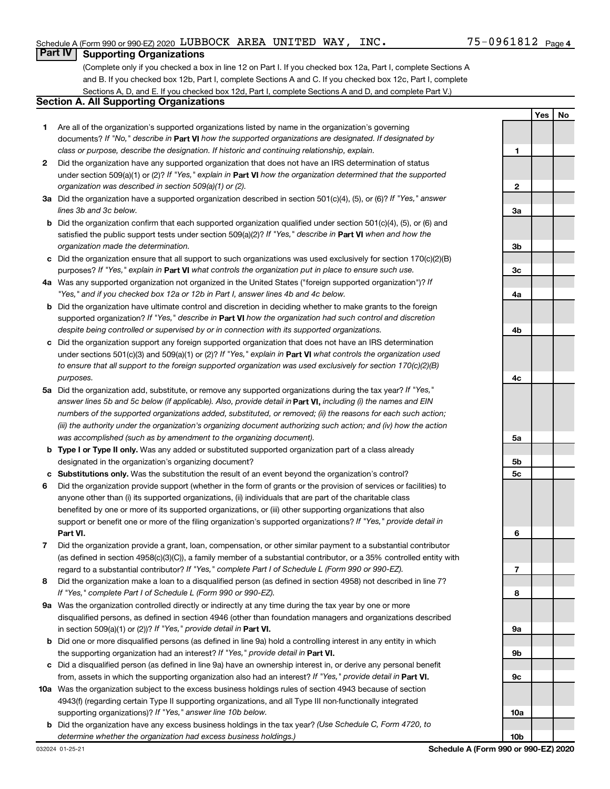**1**

**2**

**3a**

**Yes No**

## **Part IV Supporting Organizations**

(Complete only if you checked a box in line 12 on Part I. If you checked box 12a, Part I, complete Sections A and B. If you checked box 12b, Part I, complete Sections A and C. If you checked box 12c, Part I, complete Sections A, D, and E. If you checked box 12d, Part I, complete Sections A and D, and complete Part V.)

## **Section A. All Supporting Organizations**

- **1** Are all of the organization's supported organizations listed by name in the organization's governing documents? If "No," describe in Part VI how the supported organizations are designated. If designated by *class or purpose, describe the designation. If historic and continuing relationship, explain.*
- **2** Did the organization have any supported organization that does not have an IRS determination of status under section 509(a)(1) or (2)? If "Yes," explain in Part **VI** how the organization determined that the supported *organization was described in section 509(a)(1) or (2).*
- **3a** Did the organization have a supported organization described in section 501(c)(4), (5), or (6)? If "Yes," answer *lines 3b and 3c below.*
- **b** Did the organization confirm that each supported organization qualified under section 501(c)(4), (5), or (6) and satisfied the public support tests under section 509(a)(2)? If "Yes," describe in Part VI when and how the *organization made the determination.*
- **c** Did the organization ensure that all support to such organizations was used exclusively for section 170(c)(2)(B) purposes? If "Yes," explain in Part VI what controls the organization put in place to ensure such use.
- **4 a** *If* Was any supported organization not organized in the United States ("foreign supported organization")? *"Yes," and if you checked box 12a or 12b in Part I, answer lines 4b and 4c below.*
- **b** Did the organization have ultimate control and discretion in deciding whether to make grants to the foreign supported organization? If "Yes," describe in Part VI how the organization had such control and discretion *despite being controlled or supervised by or in connection with its supported organizations.*
- **c** Did the organization support any foreign supported organization that does not have an IRS determination under sections 501(c)(3) and 509(a)(1) or (2)? If "Yes," explain in Part VI what controls the organization used *to ensure that all support to the foreign supported organization was used exclusively for section 170(c)(2)(B) purposes.*
- **5a** Did the organization add, substitute, or remove any supported organizations during the tax year? If "Yes," answer lines 5b and 5c below (if applicable). Also, provide detail in **Part VI,** including (i) the names and EIN *numbers of the supported organizations added, substituted, or removed; (ii) the reasons for each such action; (iii) the authority under the organization's organizing document authorizing such action; and (iv) how the action was accomplished (such as by amendment to the organizing document).*
- **b Type I or Type II only.** Was any added or substituted supported organization part of a class already designated in the organization's organizing document?
- **c Substitutions only.**  Was the substitution the result of an event beyond the organization's control?
- **6** Did the organization provide support (whether in the form of grants or the provision of services or facilities) to **Part VI.** support or benefit one or more of the filing organization's supported organizations? If "Yes," provide detail in anyone other than (i) its supported organizations, (ii) individuals that are part of the charitable class benefited by one or more of its supported organizations, or (iii) other supporting organizations that also
- **7** Did the organization provide a grant, loan, compensation, or other similar payment to a substantial contributor regard to a substantial contributor? If "Yes," complete Part I of Schedule L (Form 990 or 990-EZ). (as defined in section 4958(c)(3)(C)), a family member of a substantial contributor, or a 35% controlled entity with
- **8** Did the organization make a loan to a disqualified person (as defined in section 4958) not described in line 7? *If "Yes," complete Part I of Schedule L (Form 990 or 990-EZ).*
- **9 a** Was the organization controlled directly or indirectly at any time during the tax year by one or more in section 509(a)(1) or (2))? If "Yes," provide detail in **Part VI.** disqualified persons, as defined in section 4946 (other than foundation managers and organizations described
- **b** Did one or more disqualified persons (as defined in line 9a) hold a controlling interest in any entity in which the supporting organization had an interest? If "Yes," provide detail in Part VI.
- **c** Did a disqualified person (as defined in line 9a) have an ownership interest in, or derive any personal benefit from, assets in which the supporting organization also had an interest? If "Yes," provide detail in Part VI.
- **10 a** Was the organization subject to the excess business holdings rules of section 4943 because of section supporting organizations)? If "Yes," answer line 10b below. 4943(f) (regarding certain Type II supporting organizations, and all Type III non-functionally integrated
- **b** Did the organization have any excess business holdings in the tax year? (Use Schedule C, Form 4720, to *determine whether the organization had excess business holdings.)*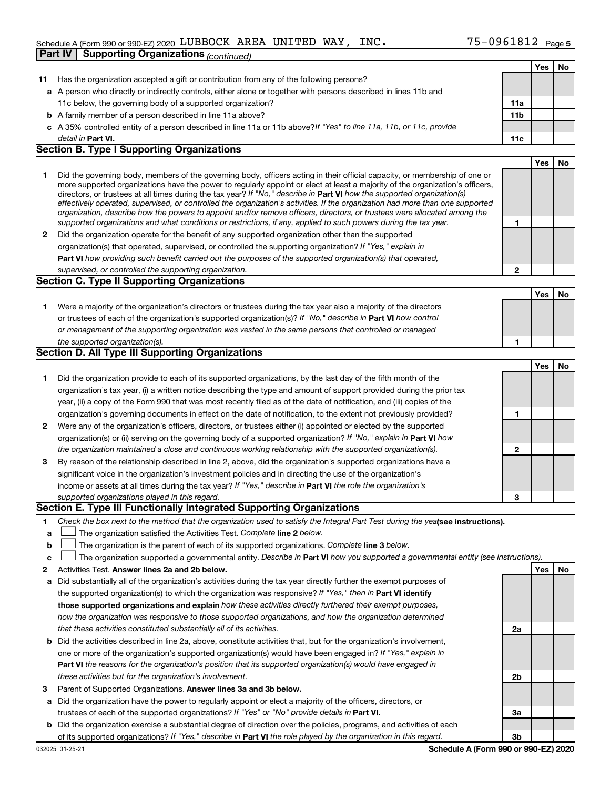## Schedule A (Form 990 or 990-EZ) 2020 Page LUBBOCK AREA UNITED WAY, INC. 75-0961812**Part IV Supporting Organizations** *(continued)*

|              |                                                                                                                                                                                                                                                           |              | Yes | No        |
|--------------|-----------------------------------------------------------------------------------------------------------------------------------------------------------------------------------------------------------------------------------------------------------|--------------|-----|-----------|
| 11           | Has the organization accepted a gift or contribution from any of the following persons?                                                                                                                                                                   |              |     |           |
|              | a A person who directly or indirectly controls, either alone or together with persons described in lines 11b and                                                                                                                                          |              |     |           |
|              | 11c below, the governing body of a supported organization?                                                                                                                                                                                                | 11a          |     |           |
|              | <b>b</b> A family member of a person described in line 11a above?                                                                                                                                                                                         | 11b          |     |           |
|              | c A 35% controlled entity of a person described in line 11a or 11b above?If "Yes" to line 11a, 11b, or 11c, provide                                                                                                                                       |              |     |           |
|              | detail in Part VI.                                                                                                                                                                                                                                        | 11c          |     |           |
|              | <b>Section B. Type I Supporting Organizations</b>                                                                                                                                                                                                         |              |     |           |
|              |                                                                                                                                                                                                                                                           |              | Yes | No        |
| 1            | Did the governing body, members of the governing body, officers acting in their official capacity, or membership of one or                                                                                                                                |              |     |           |
|              | more supported organizations have the power to regularly appoint or elect at least a majority of the organization's officers,                                                                                                                             |              |     |           |
|              | directors, or trustees at all times during the tax year? If "No," describe in Part VI how the supported organization(s)<br>effectively operated, supervised, or controlled the organization's activities. If the organization had more than one supported |              |     |           |
|              | organization, describe how the powers to appoint and/or remove officers, directors, or trustees were allocated among the                                                                                                                                  |              |     |           |
|              | supported organizations and what conditions or restrictions, if any, applied to such powers during the tax year.                                                                                                                                          | 1            |     |           |
| $\mathbf{2}$ | Did the organization operate for the benefit of any supported organization other than the supported                                                                                                                                                       |              |     |           |
|              | organization(s) that operated, supervised, or controlled the supporting organization? If "Yes," explain in                                                                                                                                                |              |     |           |
|              | Part VI how providing such benefit carried out the purposes of the supported organization(s) that operated,                                                                                                                                               |              |     |           |
|              | supervised, or controlled the supporting organization.                                                                                                                                                                                                    | $\mathbf{2}$ |     |           |
|              | Section C. Type II Supporting Organizations                                                                                                                                                                                                               |              |     |           |
|              |                                                                                                                                                                                                                                                           |              | Yes | <b>No</b> |
| 1.           | Were a majority of the organization's directors or trustees during the tax year also a majority of the directors                                                                                                                                          |              |     |           |
|              | or trustees of each of the organization's supported organization(s)? If "No," describe in Part VI how control                                                                                                                                             |              |     |           |
|              | or management of the supporting organization was vested in the same persons that controlled or managed                                                                                                                                                    |              |     |           |
|              | the supported organization(s).                                                                                                                                                                                                                            | 1            |     |           |
|              | <b>Section D. All Type III Supporting Organizations</b>                                                                                                                                                                                                   |              |     |           |
|              |                                                                                                                                                                                                                                                           |              | Yes | <b>No</b> |
| 1.           | Did the organization provide to each of its supported organizations, by the last day of the fifth month of the                                                                                                                                            |              |     |           |
|              | organization's tax year, (i) a written notice describing the type and amount of support provided during the prior tax                                                                                                                                     |              |     |           |
|              | year, (ii) a copy of the Form 990 that was most recently filed as of the date of notification, and (iii) copies of the                                                                                                                                    |              |     |           |
|              | organization's governing documents in effect on the date of notification, to the extent not previously provided?                                                                                                                                          | 1            |     |           |
| $\mathbf{2}$ | Were any of the organization's officers, directors, or trustees either (i) appointed or elected by the supported                                                                                                                                          |              |     |           |
|              | organization(s) or (ii) serving on the governing body of a supported organization? If "No," explain in <b>Part VI</b> how                                                                                                                                 |              |     |           |
|              | the organization maintained a close and continuous working relationship with the supported organization(s).                                                                                                                                               | 2            |     |           |
| 3            | By reason of the relationship described in line 2, above, did the organization's supported organizations have a<br>significant voice in the organization's investment policies and in directing the use of the organization's                             |              |     |           |
|              | income or assets at all times during the tax year? If "Yes," describe in Part VI the role the organization's                                                                                                                                              |              |     |           |
|              | supported organizations played in this regard.                                                                                                                                                                                                            | 3            |     |           |
|              | Section E. Type III Functionally Integrated Supporting Organizations                                                                                                                                                                                      |              |     |           |
| 1            | Check the box next to the method that the organization used to satisfy the Integral Part Test during the yealsee instructions).                                                                                                                           |              |     |           |
| a            | The organization satisfied the Activities Test. Complete line 2 below.                                                                                                                                                                                    |              |     |           |
| b            | The organization is the parent of each of its supported organizations. Complete line 3 below.                                                                                                                                                             |              |     |           |
| c            | The organization supported a governmental entity. Describe in Part VI how you supported a governmental entity (see instructions).                                                                                                                         |              |     |           |
| 2            | Activities Test. Answer lines 2a and 2b below.                                                                                                                                                                                                            |              | Yes | No        |
| а            | Did substantially all of the organization's activities during the tax year directly further the exempt purposes of                                                                                                                                        |              |     |           |
|              | the supported organization(s) to which the organization was responsive? If "Yes," then in Part VI identify                                                                                                                                                |              |     |           |
|              | those supported organizations and explain how these activities directly furthered their exempt purposes,                                                                                                                                                  |              |     |           |
|              | how the organization was responsive to those supported organizations, and how the organization determined                                                                                                                                                 |              |     |           |
|              | that these activities constituted substantially all of its activities.                                                                                                                                                                                    | 2a           |     |           |
|              | <b>b</b> Did the activities described in line 2a, above, constitute activities that, but for the organization's involvement,                                                                                                                              |              |     |           |
|              | one or more of the organization's supported organization(s) would have been engaged in? If "Yes," explain in                                                                                                                                              |              |     |           |
|              | <b>Part VI</b> the reasons for the organization's position that its supported organization(s) would have engaged in                                                                                                                                       |              |     |           |
|              | these activities but for the organization's involvement.                                                                                                                                                                                                  | 2b           |     |           |
| 3            | Parent of Supported Organizations. Answer lines 3a and 3b below.                                                                                                                                                                                          |              |     |           |
|              | a Did the organization have the power to regularly appoint or elect a majority of the officers, directors, or                                                                                                                                             |              |     |           |
|              | trustees of each of the supported organizations? If "Yes" or "No" provide details in Part VI.                                                                                                                                                             | За           |     |           |
|              | <b>b</b> Did the organization exercise a substantial degree of direction over the policies, programs, and activities of each                                                                                                                              |              |     |           |
|              | of its supported organizations? If "Yes," describe in Part VI the role played by the organization in this regard.                                                                                                                                         | 3b           |     |           |

**Schedule A (Form 990 or 990-EZ) 2020**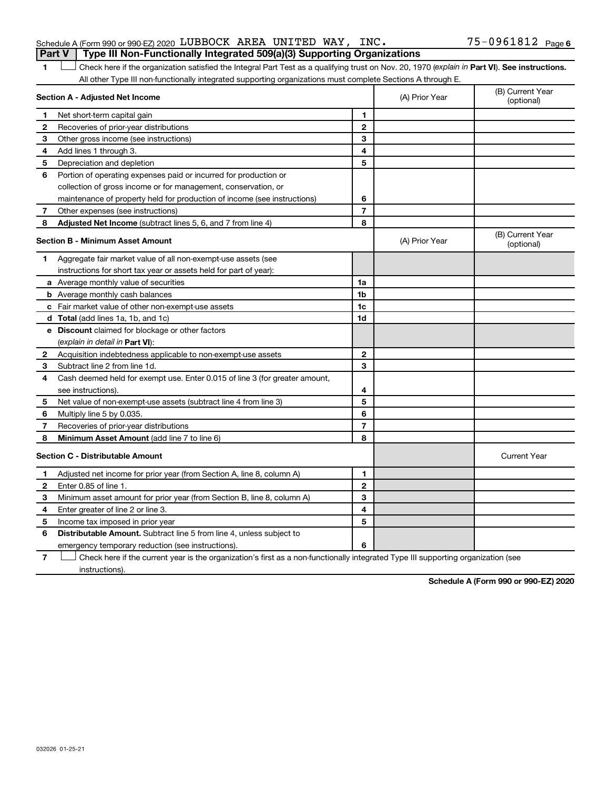### Schedule A (Form 990 or 990-EZ) 2020 Page LUBBOCK AREA UNITED WAY, INC. 75-0961812**Part V Type III Non-Functionally Integrated 509(a)(3) Supporting Organizations**

## 1 **Letter See instructions.** Check here if the organization satisfied the Integral Part Test as a qualifying trust on Nov. 20, 1970 (*explain in* Part **VI**). See instructions. All other Type III non-functionally integrated supporting organizations must complete Sections A through E.

|                                         | Section A - Adjusted Net Income                                             | (A) Prior Year | (B) Current Year<br>(optional) |                                |
|-----------------------------------------|-----------------------------------------------------------------------------|----------------|--------------------------------|--------------------------------|
| 1                                       | Net short-term capital gain                                                 | 1              |                                |                                |
| $\mathbf{2}$                            | Recoveries of prior-year distributions                                      | 2              |                                |                                |
| 3                                       | Other gross income (see instructions)                                       | 3              |                                |                                |
| 4                                       | Add lines 1 through 3.                                                      | 4              |                                |                                |
| 5                                       | Depreciation and depletion                                                  | 5              |                                |                                |
| 6                                       | Portion of operating expenses paid or incurred for production or            |                |                                |                                |
|                                         | collection of gross income or for management, conservation, or              |                |                                |                                |
|                                         | maintenance of property held for production of income (see instructions)    | 6              |                                |                                |
| 7                                       | Other expenses (see instructions)                                           | $\overline{7}$ |                                |                                |
| 8                                       | Adjusted Net Income (subtract lines 5, 6, and 7 from line 4)                | 8              |                                |                                |
|                                         | <b>Section B - Minimum Asset Amount</b>                                     |                | (A) Prior Year                 | (B) Current Year<br>(optional) |
| 1                                       | Aggregate fair market value of all non-exempt-use assets (see               |                |                                |                                |
|                                         | instructions for short tax year or assets held for part of year):           |                |                                |                                |
|                                         | a Average monthly value of securities                                       | 1a             |                                |                                |
|                                         | <b>b</b> Average monthly cash balances                                      | 1 <sub>b</sub> |                                |                                |
|                                         | c Fair market value of other non-exempt-use assets                          | 1 <sub>c</sub> |                                |                                |
|                                         | <b>d</b> Total (add lines 1a, 1b, and 1c)                                   | 1d             |                                |                                |
|                                         | <b>e</b> Discount claimed for blockage or other factors                     |                |                                |                                |
|                                         | (explain in detail in <b>Part VI</b> ):                                     |                |                                |                                |
| $\mathbf{2}$                            | Acquisition indebtedness applicable to non-exempt-use assets                | $\mathbf{2}$   |                                |                                |
| З                                       | Subtract line 2 from line 1d.                                               | 3              |                                |                                |
| 4                                       | Cash deemed held for exempt use. Enter 0.015 of line 3 (for greater amount, |                |                                |                                |
|                                         | see instructions).                                                          | 4              |                                |                                |
| 5                                       | Net value of non-exempt-use assets (subtract line 4 from line 3)            | 5              |                                |                                |
| 6                                       | Multiply line 5 by 0.035.                                                   | 6              |                                |                                |
| 7                                       | Recoveries of prior-year distributions                                      | $\overline{7}$ |                                |                                |
| 8                                       | <b>Minimum Asset Amount (add line 7 to line 6)</b>                          | 8              |                                |                                |
| <b>Section C - Distributable Amount</b> |                                                                             |                |                                | <b>Current Year</b>            |
| 1                                       | Adjusted net income for prior year (from Section A, line 8, column A)       | 1              |                                |                                |
| $\mathbf{2}$                            | Enter 0.85 of line 1.                                                       | $\overline{2}$ |                                |                                |
| З                                       | Minimum asset amount for prior year (from Section B, line 8, column A)      | 3              |                                |                                |
| 4                                       | Enter greater of line 2 or line 3.                                          | 4              |                                |                                |
| 5                                       | Income tax imposed in prior year                                            | 5              |                                |                                |
| 6                                       | <b>Distributable Amount.</b> Subtract line 5 from line 4, unless subject to |                |                                |                                |
|                                         | emergency temporary reduction (see instructions).                           | 6              |                                |                                |

**7** Let Check here if the current year is the organization's first as a non-functionally integrated Type III supporting organization (see instructions).

**Schedule A (Form 990 or 990-EZ) 2020**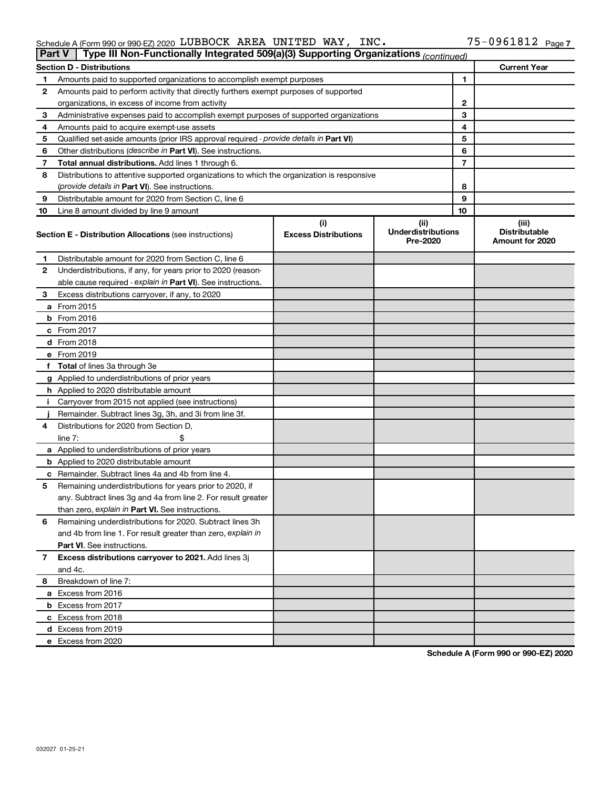### Schedule A (Form 990 or 990-EZ) 2020 Page LUBBOCK AREA UNITED WAY, INC. 75-0961812

|    | Type III Non-Functionally Integrated 509(a)(3) Supporting Organizations (continued)<br><b>Part V</b> |                             |                                       |    |                                                |  |  |
|----|------------------------------------------------------------------------------------------------------|-----------------------------|---------------------------------------|----|------------------------------------------------|--|--|
|    | <b>Current Year</b><br><b>Section D - Distributions</b>                                              |                             |                                       |    |                                                |  |  |
| 1  | Amounts paid to supported organizations to accomplish exempt purposes                                |                             |                                       |    |                                                |  |  |
| 2  | Amounts paid to perform activity that directly furthers exempt purposes of supported                 |                             |                                       |    |                                                |  |  |
|    | organizations, in excess of income from activity                                                     |                             | $\mathbf{2}$                          |    |                                                |  |  |
| 3  | Administrative expenses paid to accomplish exempt purposes of supported organizations                |                             |                                       | 3  |                                                |  |  |
| 4  | Amounts paid to acquire exempt-use assets                                                            |                             |                                       | 4  |                                                |  |  |
| 5  | Qualified set-aside amounts (prior IRS approval required - provide details in Part VI)               |                             |                                       | 5  |                                                |  |  |
| 6  | Other distributions ( <i>describe in Part VI</i> ). See instructions.                                |                             |                                       | 6  |                                                |  |  |
| 7  | Total annual distributions. Add lines 1 through 6.                                                   |                             |                                       | 7  |                                                |  |  |
| 8  | Distributions to attentive supported organizations to which the organization is responsive           |                             |                                       |    |                                                |  |  |
|    | (provide details in Part VI). See instructions.                                                      |                             |                                       | 8  |                                                |  |  |
| 9  | Distributable amount for 2020 from Section C, line 6                                                 |                             |                                       | 9  |                                                |  |  |
| 10 | Line 8 amount divided by line 9 amount                                                               |                             |                                       | 10 |                                                |  |  |
|    |                                                                                                      | (i)                         | (ii)                                  |    | (iii)                                          |  |  |
|    | <b>Section E - Distribution Allocations (see instructions)</b>                                       | <b>Excess Distributions</b> | <b>Underdistributions</b><br>Pre-2020 |    | <b>Distributable</b><br><b>Amount for 2020</b> |  |  |
| 1  | Distributable amount for 2020 from Section C, line 6                                                 |                             |                                       |    |                                                |  |  |
| 2  | Underdistributions, if any, for years prior to 2020 (reason-                                         |                             |                                       |    |                                                |  |  |
|    | able cause required - explain in Part VI). See instructions.                                         |                             |                                       |    |                                                |  |  |
| 3  | Excess distributions carryover, if any, to 2020                                                      |                             |                                       |    |                                                |  |  |
|    | a From 2015                                                                                          |                             |                                       |    |                                                |  |  |
|    | <b>b</b> From 2016                                                                                   |                             |                                       |    |                                                |  |  |
|    | c From 2017                                                                                          |                             |                                       |    |                                                |  |  |
|    | d From 2018                                                                                          |                             |                                       |    |                                                |  |  |
|    | e From 2019                                                                                          |                             |                                       |    |                                                |  |  |
|    | f Total of lines 3a through 3e                                                                       |                             |                                       |    |                                                |  |  |
|    | g Applied to underdistributions of prior years                                                       |                             |                                       |    |                                                |  |  |
|    | h Applied to 2020 distributable amount                                                               |                             |                                       |    |                                                |  |  |
| Ť. | Carryover from 2015 not applied (see instructions)                                                   |                             |                                       |    |                                                |  |  |
|    | Remainder. Subtract lines 3g, 3h, and 3i from line 3f.                                               |                             |                                       |    |                                                |  |  |
| 4  | Distributions for 2020 from Section D,                                                               |                             |                                       |    |                                                |  |  |
|    | line $7:$                                                                                            |                             |                                       |    |                                                |  |  |
|    | a Applied to underdistributions of prior years                                                       |                             |                                       |    |                                                |  |  |
|    | <b>b</b> Applied to 2020 distributable amount                                                        |                             |                                       |    |                                                |  |  |
|    | c Remainder. Subtract lines 4a and 4b from line 4.                                                   |                             |                                       |    |                                                |  |  |
| 5  | Remaining underdistributions for years prior to 2020, if                                             |                             |                                       |    |                                                |  |  |
|    | any. Subtract lines 3g and 4a from line 2. For result greater                                        |                             |                                       |    |                                                |  |  |
|    | than zero, explain in Part VI. See instructions.                                                     |                             |                                       |    |                                                |  |  |
| 6  | Remaining underdistributions for 2020. Subtract lines 3h                                             |                             |                                       |    |                                                |  |  |
|    | and 4b from line 1. For result greater than zero, explain in                                         |                             |                                       |    |                                                |  |  |
|    | <b>Part VI.</b> See instructions.                                                                    |                             |                                       |    |                                                |  |  |
| 7  | Excess distributions carryover to 2021. Add lines 3j                                                 |                             |                                       |    |                                                |  |  |
|    | and 4c.                                                                                              |                             |                                       |    |                                                |  |  |
| 8  | Breakdown of line 7:                                                                                 |                             |                                       |    |                                                |  |  |
|    | a Excess from 2016                                                                                   |                             |                                       |    |                                                |  |  |
|    | <b>b</b> Excess from 2017                                                                            |                             |                                       |    |                                                |  |  |
|    | c Excess from 2018                                                                                   |                             |                                       |    |                                                |  |  |
|    | d Excess from 2019                                                                                   |                             |                                       |    |                                                |  |  |
|    | e Excess from 2020                                                                                   |                             |                                       |    |                                                |  |  |

**Schedule A (Form 990 or 990-EZ) 2020**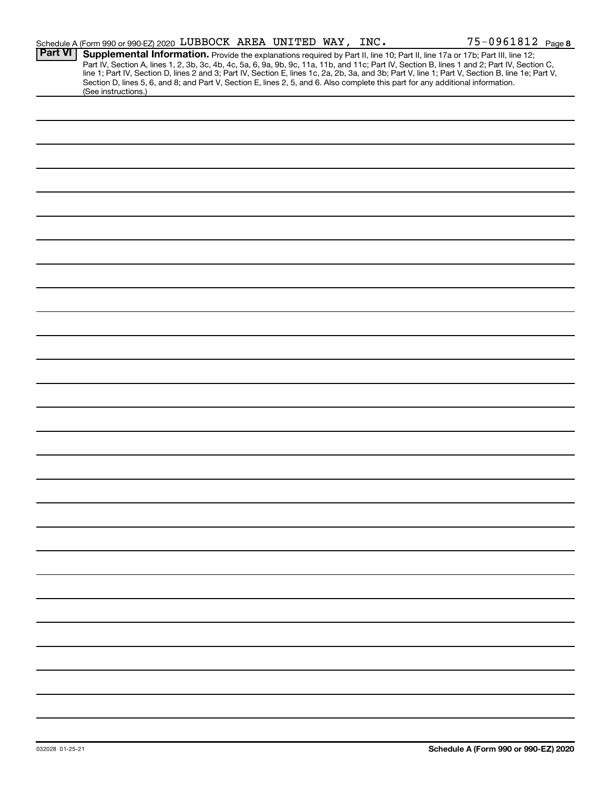|                | Schedule A (Form 990 or 990-EZ) 2020 LUBBOCK AREA UNITED WAY, INC.                                                                                                                                                                                                                                                                                                                                                                                                                                                                                                                          |  |  | 75-0961812 Page 8 |
|----------------|---------------------------------------------------------------------------------------------------------------------------------------------------------------------------------------------------------------------------------------------------------------------------------------------------------------------------------------------------------------------------------------------------------------------------------------------------------------------------------------------------------------------------------------------------------------------------------------------|--|--|-------------------|
| <b>Part VI</b> | Supplemental Information. Provide the explanations required by Part II, line 10; Part II, line 17a or 17b; Part III, line 12;<br>Part IV, Section A, lines 1, 2, 3b, 3c, 4b, 4c, 5a, 6, 9a, 9b, 9c, 11a, 11b, and 11c; Part IV, Section B, lines 1 and 2; Part IV, Section C,<br>line 1; Part IV, Section D, lines 2 and 3; Part IV, Section E, lines 1c, 2a, 2b, 3a, and 3b; Part V, line 1; Part V, Section B, line 1e; Part V,<br>Section D, lines 5, 6, and 8; and Part V, Section E, lines 2, 5, and 6. Also complete this part for any additional information.<br>(See instructions.) |  |  |                   |
|                |                                                                                                                                                                                                                                                                                                                                                                                                                                                                                                                                                                                             |  |  |                   |
|                |                                                                                                                                                                                                                                                                                                                                                                                                                                                                                                                                                                                             |  |  |                   |
|                |                                                                                                                                                                                                                                                                                                                                                                                                                                                                                                                                                                                             |  |  |                   |
|                |                                                                                                                                                                                                                                                                                                                                                                                                                                                                                                                                                                                             |  |  |                   |
|                |                                                                                                                                                                                                                                                                                                                                                                                                                                                                                                                                                                                             |  |  |                   |
|                |                                                                                                                                                                                                                                                                                                                                                                                                                                                                                                                                                                                             |  |  |                   |
|                |                                                                                                                                                                                                                                                                                                                                                                                                                                                                                                                                                                                             |  |  |                   |
|                |                                                                                                                                                                                                                                                                                                                                                                                                                                                                                                                                                                                             |  |  |                   |
|                |                                                                                                                                                                                                                                                                                                                                                                                                                                                                                                                                                                                             |  |  |                   |
|                |                                                                                                                                                                                                                                                                                                                                                                                                                                                                                                                                                                                             |  |  |                   |
|                |                                                                                                                                                                                                                                                                                                                                                                                                                                                                                                                                                                                             |  |  |                   |
|                |                                                                                                                                                                                                                                                                                                                                                                                                                                                                                                                                                                                             |  |  |                   |
|                |                                                                                                                                                                                                                                                                                                                                                                                                                                                                                                                                                                                             |  |  |                   |
|                |                                                                                                                                                                                                                                                                                                                                                                                                                                                                                                                                                                                             |  |  |                   |
|                |                                                                                                                                                                                                                                                                                                                                                                                                                                                                                                                                                                                             |  |  |                   |
|                |                                                                                                                                                                                                                                                                                                                                                                                                                                                                                                                                                                                             |  |  |                   |
|                |                                                                                                                                                                                                                                                                                                                                                                                                                                                                                                                                                                                             |  |  |                   |
|                |                                                                                                                                                                                                                                                                                                                                                                                                                                                                                                                                                                                             |  |  |                   |
|                |                                                                                                                                                                                                                                                                                                                                                                                                                                                                                                                                                                                             |  |  |                   |
|                |                                                                                                                                                                                                                                                                                                                                                                                                                                                                                                                                                                                             |  |  |                   |
|                |                                                                                                                                                                                                                                                                                                                                                                                                                                                                                                                                                                                             |  |  |                   |
|                |                                                                                                                                                                                                                                                                                                                                                                                                                                                                                                                                                                                             |  |  |                   |
|                |                                                                                                                                                                                                                                                                                                                                                                                                                                                                                                                                                                                             |  |  |                   |
|                |                                                                                                                                                                                                                                                                                                                                                                                                                                                                                                                                                                                             |  |  |                   |
|                |                                                                                                                                                                                                                                                                                                                                                                                                                                                                                                                                                                                             |  |  |                   |
|                |                                                                                                                                                                                                                                                                                                                                                                                                                                                                                                                                                                                             |  |  |                   |
|                |                                                                                                                                                                                                                                                                                                                                                                                                                                                                                                                                                                                             |  |  |                   |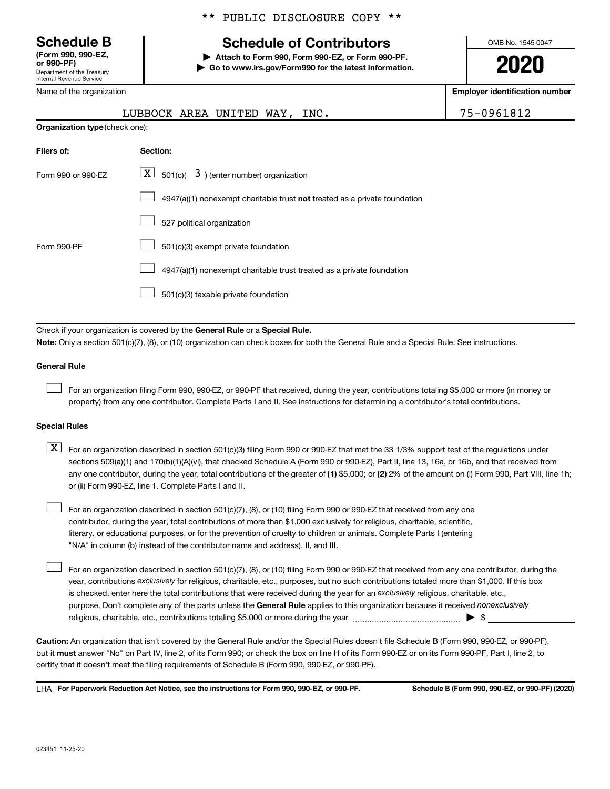**(Form 990, 990-EZ,**

Department of the Treasury Internal Revenue Service

**Note:** 

Name of the organization

# **Schedule B Schedule of Contributors**

**or 990-PF) | Attach to Form 990, Form 990-EZ, or Form 990-PF. | Go to www.irs.gov/Form990 for the latest information.** OMB No. 1545-0047

**2020**

**Employer identification number**

|                                |                                                                                                                                                                                                                                                                                                                                                                                                                                                                                                           | 75-0961812 |
|--------------------------------|-----------------------------------------------------------------------------------------------------------------------------------------------------------------------------------------------------------------------------------------------------------------------------------------------------------------------------------------------------------------------------------------------------------------------------------------------------------------------------------------------------------|------------|
| Organization type (check one): | LUBBOCK AREA UNITED WAY, INC.                                                                                                                                                                                                                                                                                                                                                                                                                                                                             |            |
|                                |                                                                                                                                                                                                                                                                                                                                                                                                                                                                                                           |            |
| Filers of:                     | Section:                                                                                                                                                                                                                                                                                                                                                                                                                                                                                                  |            |
| Form 990 or 990-EZ             | $\lfloor \underline{X} \rfloor$ 501(c)( 3) (enter number) organization                                                                                                                                                                                                                                                                                                                                                                                                                                    |            |
|                                | 4947(a)(1) nonexempt charitable trust not treated as a private foundation                                                                                                                                                                                                                                                                                                                                                                                                                                 |            |
|                                | 527 political organization                                                                                                                                                                                                                                                                                                                                                                                                                                                                                |            |
| Form 990-PF                    | 501(c)(3) exempt private foundation                                                                                                                                                                                                                                                                                                                                                                                                                                                                       |            |
|                                | 4947(a)(1) nonexempt charitable trust treated as a private foundation                                                                                                                                                                                                                                                                                                                                                                                                                                     |            |
|                                | 501(c)(3) taxable private foundation                                                                                                                                                                                                                                                                                                                                                                                                                                                                      |            |
|                                |                                                                                                                                                                                                                                                                                                                                                                                                                                                                                                           |            |
|                                | Check if your organization is covered by the General Rule or a Special Rule.<br>Note: Only a section 501(c)(7), (8), or (10) organization can check boxes for both the General Rule and a Special Rule. See instructions.                                                                                                                                                                                                                                                                                 |            |
| <b>General Rule</b>            |                                                                                                                                                                                                                                                                                                                                                                                                                                                                                                           |            |
|                                | For an organization filing Form 990, 990-EZ, or 990-PF that received, during the year, contributions totaling \$5,000 or more (in money or<br>property) from any one contributor. Complete Parts I and II. See instructions for determining a contributor's total contributions.                                                                                                                                                                                                                          |            |
| <b>Special Rules</b>           |                                                                                                                                                                                                                                                                                                                                                                                                                                                                                                           |            |
| $\lfloor x \rfloor$            | For an organization described in section 501(c)(3) filing Form 990 or 990-EZ that met the 33 1/3% support test of the regulations under<br>sections 509(a)(1) and 170(b)(1)(A)(vi), that checked Schedule A (Form 990 or 990-EZ), Part II, line 13, 16a, or 16b, and that received from<br>any one contributor, during the year, total contributions of the greater of (1) \$5,000; or (2) 2% of the amount on (i) Form 990, Part VIII, line 1h;<br>or (ii) Form 990-EZ, line 1. Complete Parts I and II. |            |
|                                | For an organization described in section 501(c)(7), (8), or (10) filing Form 990 or 990-EZ that received from any one<br>contributor, during the year, total contributions of more than \$1,000 exclusively for religious, charitable, scientific,                                                                                                                                                                                                                                                        |            |

literary, or educational purposes, or for the prevention of cruelty to children or animals. Complete Parts I (entering "N/A" in column (b) instead of the contributor name and address), II, and III.

purpose. Don't complete any of the parts unless the General Rule applies to this organization because it received nonexclusively year, contributions exclusively for religious, charitable, etc., purposes, but no such contributions totaled more than \$1,000. If this box is checked, enter here the total contributions that were received during the year for an exclusively religious, charitable, etc., For an organization described in section 501(c)(7), (8), or (10) filing Form 990 or 990-EZ that received from any one contributor, during the religious, charitable, etc., contributions totaling \$5,000 or more during the year  $\ldots$  $\ldots$  $\ldots$  $\ldots$  $\ldots$  $\ldots$ 

**Caution:**  An organization that isn't covered by the General Rule and/or the Special Rules doesn't file Schedule B (Form 990, 990-EZ, or 990-PF),  **must** but it answer "No" on Part IV, line 2, of its Form 990; or check the box on line H of its Form 990-EZ or on its Form 990-PF, Part I, line 2, to certify that it doesn't meet the filing requirements of Schedule B (Form 990, 990-EZ, or 990-PF).

**For Paperwork Reduction Act Notice, see the instructions for Form 990, 990-EZ, or 990-PF. Schedule B (Form 990, 990-EZ, or 990-PF) (2020)** LHA

 $\Box$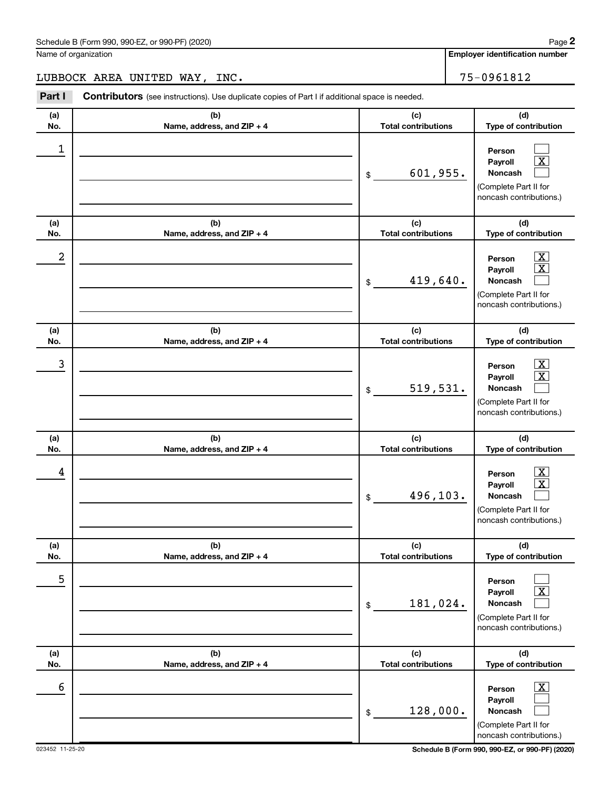$\Box$  $\boxed{\text{X}}$  $\Box$ 

 $\boxed{\textbf{X}}$  $\boxed{\text{X}}$  $\Box$ 

 $\boxed{\textbf{X}}$  $\boxed{\text{X}}$  $\Box$ 

 $\boxed{\text{X}}$  $\boxed{\text{X}}$  $\Box$ 

 $\Box$  $\boxed{\text{X}}$  $\Box$ 

 $\boxed{\text{X}}$  $\Box$  $\Box$ 

**Employer identification number**

**(a) No. (b) Name, address, and ZIP + 4 (c) Total contributions (d) Type of contribution Person Payroll Noncash (a) No. (b) Name, address, and ZIP + 4 (c) Total contributions (d) Type of contribution Person Payroll Noncash (a) No. (b) Name, address, and ZIP + 4 (c) Total contributions (d) Type of contribution Person Payroll Noncash (a) No. (b) Name, address, and ZIP + 4 (c) Total contributions (d) Type of contribution Person Payroll Noncash (a) No. (b) Name, address, and ZIP + 4 (c) Total contributions (d) Type of contribution Person Payroll Noncash (a) No. (b) Name, address, and ZIP + 4 (c) Total contributions (d) Type of contribution** Name of organization **Part I** Contributors (see instructions). Use duplicate copies of Part I if additional space is needed. \$ (Complete Part II for noncash contributions.) \$ (Complete Part II for noncash contributions.) \$ (Complete Part II for noncash contributions.) \$ (Complete Part II for noncash contributions.) \$ (Complete Part II for noncash contributions.) LUBBOCK AREA UNITED WAY, INC. The contract of the set of the set of the set of the set of the set of the set o 1 601,955.  $2$  Person  $\overline{\text{X}}$ 419,640.  $\begin{array}{|c|c|c|c|c|c|}\hline \text{3} & \text{Person} & \text{X} \ \hline \end{array}$ 519,531.  $\begin{array}{|c|c|c|c|c|}\hline \text{4} & \text{Person} & \text{\textbf{X}}\ \hline \end{array}$ 496,103. 5 181,024.

128,000.

\$

 $\overline{6}$  Person  $\overline{X}$ 

**Person Payroll Noncash**

(Complete Part II for noncash contributions.)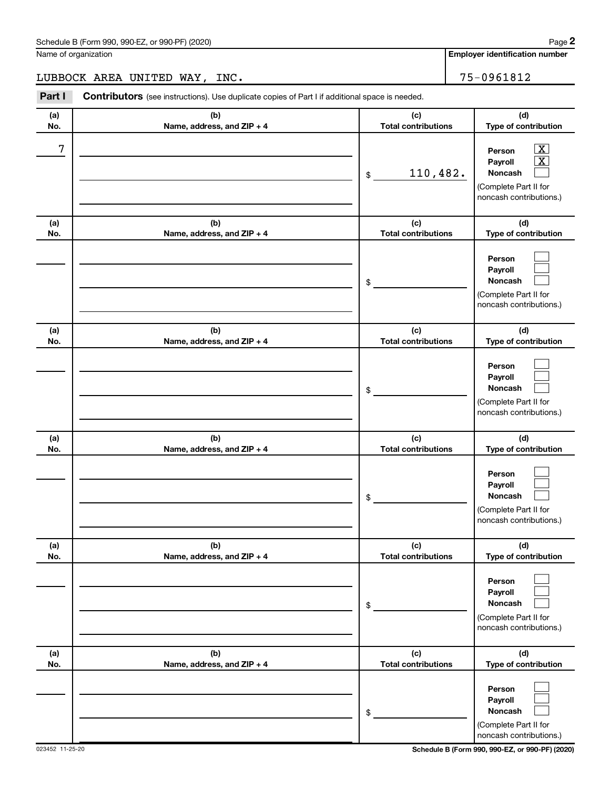| Schedule B (Form 990, 990-EZ, or 990-PF) (2020)<br>$\sqrt{2}$ , $\sqrt{2}$ , $\sqrt{2}$ , $\sqrt{2}$ , $\sqrt{2}$ , $\sqrt{2}$ | Page |
|--------------------------------------------------------------------------------------------------------------------------------|------|
|--------------------------------------------------------------------------------------------------------------------------------|------|

Name of organization

**Employer identification number**

**(d)**

# LUBBOCK AREA UNITED WAY, INC. 75-0961812

**Part I** Contributors (see instructions). Use duplicate copies of Part I if additional space is needed. **(b) (c) (a)**  $\overline{\phantom{a}}$ **No. Name, address, and ZIP + 4**

| No.        | Name, address, and ZIP + 4        | <b>Total contributions</b>        | Type of contribution                                                                                                                 |
|------------|-----------------------------------|-----------------------------------|--------------------------------------------------------------------------------------------------------------------------------------|
| 7          |                                   | 110,482.<br>\$                    | $\overline{\text{X}}$<br>Person<br>$\overline{\textbf{x}}$<br>Payroll<br>Noncash<br>(Complete Part II for<br>noncash contributions.) |
| (a)<br>No. | (b)<br>Name, address, and ZIP + 4 | (c)<br><b>Total contributions</b> | (d)<br>Type of contribution                                                                                                          |
|            |                                   | \$                                | Person<br>Payroll<br>Noncash<br>(Complete Part II for<br>noncash contributions.)                                                     |
| (a)<br>No. | (b)<br>Name, address, and ZIP + 4 | (c)<br><b>Total contributions</b> | (d)<br>Type of contribution                                                                                                          |
|            |                                   | \$                                | Person<br>Payroll<br>Noncash<br>(Complete Part II for<br>noncash contributions.)                                                     |
| (a)<br>No. | (b)<br>Name, address, and ZIP + 4 | (c)<br><b>Total contributions</b> | (d)<br>Type of contribution                                                                                                          |
|            |                                   | \$                                | Person<br>Payroll<br>Noncash<br>(Complete Part II for<br>noncash contributions.)                                                     |
| (a)<br>No. | (b)<br>Name, address, and ZIP + 4 | (c)<br><b>Total contributions</b> | (d)<br>Type of contribution                                                                                                          |
|            |                                   | \$                                | Person<br>Payroll<br><b>Noncash</b><br>(Complete Part II for<br>noncash contributions.)                                              |
| (a)<br>No. | (b)<br>Name, address, and ZIP + 4 | (c)<br><b>Total contributions</b> | (d)<br>Type of contribution                                                                                                          |
|            |                                   | \$                                | Person<br>Payroll<br>Noncash<br>(Complete Part II for<br>noncash contributions.)                                                     |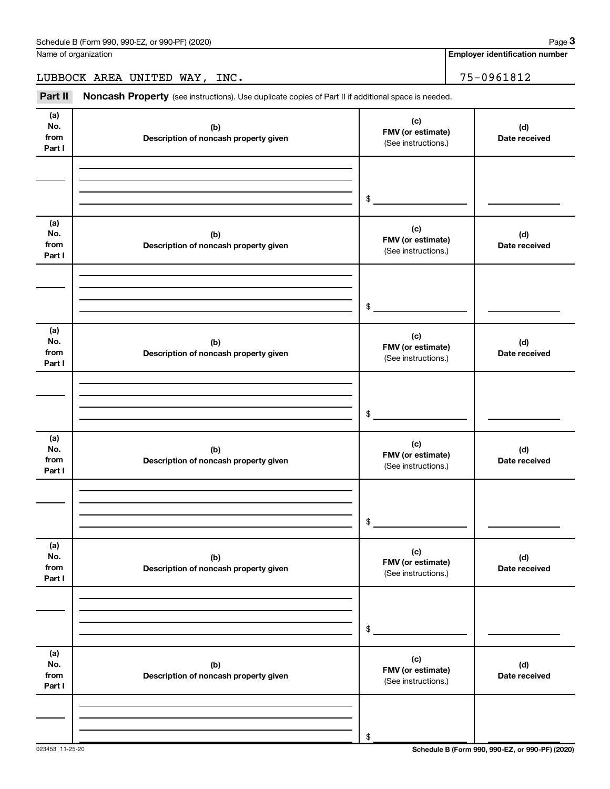LUBBOCK AREA UNITED WAY, INC. 75-0961812

Part II Noncash Property (see instructions). Use duplicate copies of Part II if additional space is needed.

| (a)<br>No.<br>from<br>Part I | (b)<br>Description of noncash property given | (c)<br>FMV (or estimate)<br>(See instructions.) | (d)<br>Date received |
|------------------------------|----------------------------------------------|-------------------------------------------------|----------------------|
|                              |                                              | \$                                              |                      |
| (a)<br>No.<br>from<br>Part I | (b)<br>Description of noncash property given | (c)<br>FMV (or estimate)<br>(See instructions.) | (d)<br>Date received |
|                              |                                              | $$\circ$$                                       |                      |
| (a)<br>No.<br>from<br>Part I | (b)<br>Description of noncash property given | (c)<br>FMV (or estimate)<br>(See instructions.) | (d)<br>Date received |
|                              |                                              | \$                                              |                      |
| (a)<br>No.<br>from<br>Part I | (b)<br>Description of noncash property given | (c)<br>FMV (or estimate)<br>(See instructions.) | (d)<br>Date received |
|                              |                                              | \$                                              |                      |
| (a)<br>No.<br>from<br>Part I | (b)<br>Description of noncash property given | (c)<br>FMV (or estimate)<br>(See instructions.) | (d)<br>Date received |
|                              |                                              | \$                                              |                      |
| (a)<br>No.<br>from<br>Part I | (b)<br>Description of noncash property given | (c)<br>FMV (or estimate)<br>(See instructions.) | (d)<br>Date received |
|                              |                                              | \$                                              |                      |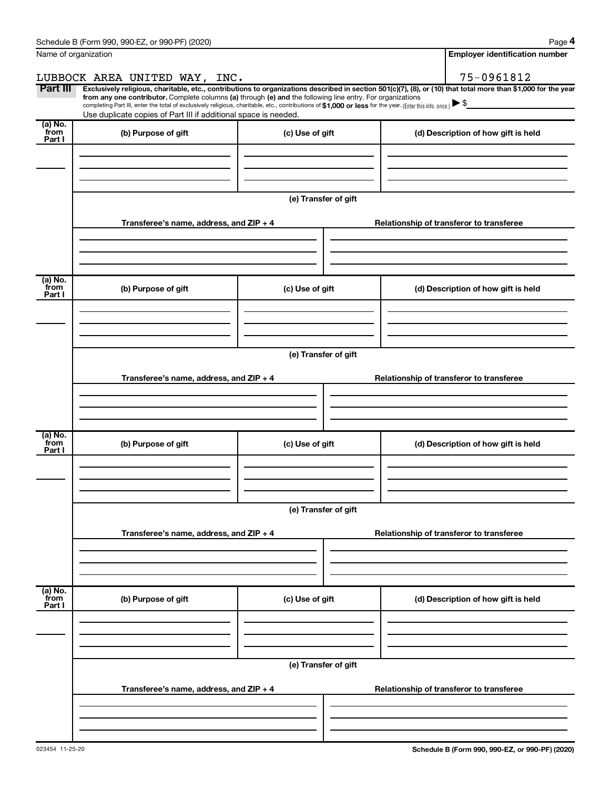| Schedule B (Form 990, 990-EZ, or 990-PF) (2020) | Page |
|-------------------------------------------------|------|
|-------------------------------------------------|------|

|--|--|

|                           | Name of organization                                                                                                                                                                                                                                                                                                                                                                                                                                                                                                                 |                      |  | <b>Employer identification number</b>    |  |  |
|---------------------------|--------------------------------------------------------------------------------------------------------------------------------------------------------------------------------------------------------------------------------------------------------------------------------------------------------------------------------------------------------------------------------------------------------------------------------------------------------------------------------------------------------------------------------------|----------------------|--|------------------------------------------|--|--|
|                           | LUBBOCK AREA UNITED WAY, INC.                                                                                                                                                                                                                                                                                                                                                                                                                                                                                                        |                      |  | 75-0961812                               |  |  |
| Part III                  | Exclusively religious, charitable, etc., contributions to organizations described in section 501(c)(7), (8), or (10) that total more than \$1,000 for the year<br>from any one contributor. Complete columns (a) through (e) and the following line entry. For organizations<br>completing Part III, enter the total of exclusively religious, charitable, etc., contributions of \$1,000 or less for the year. (Enter this info. once.) $\blacktriangleright$ \$<br>Use duplicate copies of Part III if additional space is needed. |                      |  |                                          |  |  |
| (a) No.<br>from<br>Part I | (b) Purpose of gift                                                                                                                                                                                                                                                                                                                                                                                                                                                                                                                  | (c) Use of gift      |  | (d) Description of how gift is held      |  |  |
|                           |                                                                                                                                                                                                                                                                                                                                                                                                                                                                                                                                      |                      |  |                                          |  |  |
|                           |                                                                                                                                                                                                                                                                                                                                                                                                                                                                                                                                      | (e) Transfer of gift |  |                                          |  |  |
|                           | Transferee's name, address, and ZIP + 4                                                                                                                                                                                                                                                                                                                                                                                                                                                                                              |                      |  | Relationship of transferor to transferee |  |  |
| (a) No.<br>from           |                                                                                                                                                                                                                                                                                                                                                                                                                                                                                                                                      |                      |  |                                          |  |  |
| Part I                    | (b) Purpose of gift                                                                                                                                                                                                                                                                                                                                                                                                                                                                                                                  | (c) Use of gift      |  | (d) Description of how gift is held      |  |  |
|                           |                                                                                                                                                                                                                                                                                                                                                                                                                                                                                                                                      |                      |  |                                          |  |  |
|                           | (e) Transfer of gift                                                                                                                                                                                                                                                                                                                                                                                                                                                                                                                 |                      |  |                                          |  |  |
|                           | Transferee's name, address, and $ZIP + 4$                                                                                                                                                                                                                                                                                                                                                                                                                                                                                            |                      |  | Relationship of transferor to transferee |  |  |
|                           |                                                                                                                                                                                                                                                                                                                                                                                                                                                                                                                                      |                      |  |                                          |  |  |
| (a) No.<br>from<br>Part I | (b) Purpose of gift                                                                                                                                                                                                                                                                                                                                                                                                                                                                                                                  | (c) Use of gift      |  | (d) Description of how gift is held      |  |  |
|                           |                                                                                                                                                                                                                                                                                                                                                                                                                                                                                                                                      |                      |  |                                          |  |  |
|                           | (e) Transfer of gift                                                                                                                                                                                                                                                                                                                                                                                                                                                                                                                 |                      |  |                                          |  |  |
|                           | Transferee's name, address, and ZIP + 4                                                                                                                                                                                                                                                                                                                                                                                                                                                                                              |                      |  | Relationship of transferor to transferee |  |  |
|                           |                                                                                                                                                                                                                                                                                                                                                                                                                                                                                                                                      |                      |  |                                          |  |  |
| (a) No.<br>from<br>Part I | (b) Purpose of gift                                                                                                                                                                                                                                                                                                                                                                                                                                                                                                                  | (c) Use of gift      |  | (d) Description of how gift is held      |  |  |
|                           |                                                                                                                                                                                                                                                                                                                                                                                                                                                                                                                                      |                      |  |                                          |  |  |
|                           |                                                                                                                                                                                                                                                                                                                                                                                                                                                                                                                                      | (e) Transfer of gift |  |                                          |  |  |
|                           | Transferee's name, address, and ZIP + 4                                                                                                                                                                                                                                                                                                                                                                                                                                                                                              |                      |  | Relationship of transferor to transferee |  |  |
|                           |                                                                                                                                                                                                                                                                                                                                                                                                                                                                                                                                      |                      |  |                                          |  |  |
|                           |                                                                                                                                                                                                                                                                                                                                                                                                                                                                                                                                      |                      |  |                                          |  |  |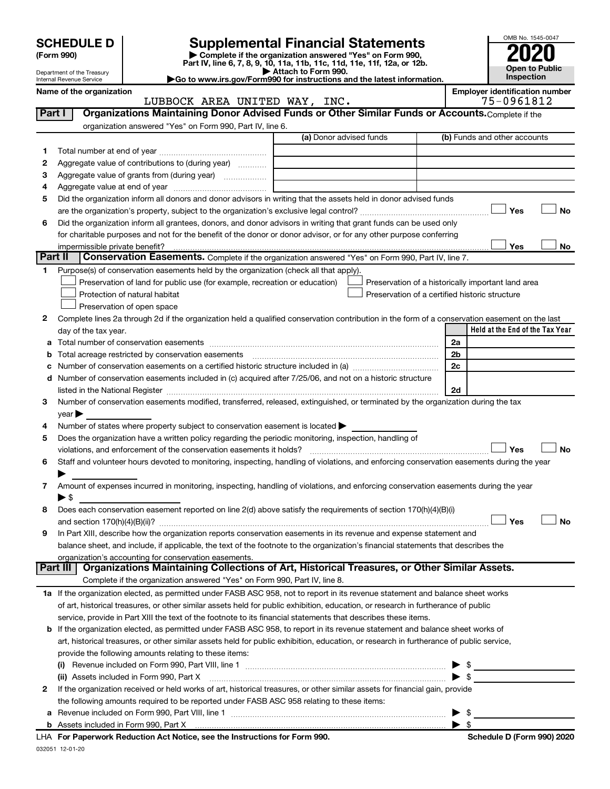| <b>SCHEDULE D</b> |  |
|-------------------|--|
|-------------------|--|

Department of the Treasury Internal Revenue Service

| (Form 990) |  |
|------------|--|
|------------|--|

# **SCHEDULE D Supplemental Financial Statements**<br> **Form 990 2020**<br> **Part IV** line 6.7.8.9.10, 11a, 11b, 11d, 11d, 11d, 11d, 11d, 12a, 0r, 12b

**(Form 990) | Complete if the organization answered "Yes" on Form 990, Part IV, line 6, 7, 8, 9, 10, 11a, 11b, 11c, 11d, 11e, 11f, 12a, or 12b.**

**| Attach to Form 990. |Go to www.irs.gov/Form990 for instructions and the latest information.**



Name of the organization<br> **Employer identification number**<br>
T5-0961812 LUBBOCK AREA UNITED WAY, INC.

| Part I  | Organizations Maintaining Donor Advised Funds or Other Similar Funds or Accounts. Complete if the                                                                                                                              |                         |                                                    |
|---------|--------------------------------------------------------------------------------------------------------------------------------------------------------------------------------------------------------------------------------|-------------------------|----------------------------------------------------|
|         | organization answered "Yes" on Form 990, Part IV, line 6.                                                                                                                                                                      |                         |                                                    |
|         |                                                                                                                                                                                                                                | (a) Donor advised funds | (b) Funds and other accounts                       |
| 1.      |                                                                                                                                                                                                                                |                         |                                                    |
| 2       | Aggregate value of contributions to (during year)                                                                                                                                                                              |                         |                                                    |
| з       |                                                                                                                                                                                                                                |                         |                                                    |
| 4       |                                                                                                                                                                                                                                |                         |                                                    |
| 5       | Did the organization inform all donors and donor advisors in writing that the assets held in donor advised funds                                                                                                               |                         | Yes<br>No                                          |
| 6       | Did the organization inform all grantees, donors, and donor advisors in writing that grant funds can be used only                                                                                                              |                         |                                                    |
|         | for charitable purposes and not for the benefit of the donor or donor advisor, or for any other purpose conferring                                                                                                             |                         |                                                    |
|         |                                                                                                                                                                                                                                |                         | Yes<br>No                                          |
| Part II | Conservation Easements. Complete if the organization answered "Yes" on Form 990, Part IV, line 7.                                                                                                                              |                         |                                                    |
|         | Purpose(s) of conservation easements held by the organization (check all that apply).                                                                                                                                          |                         |                                                    |
|         | Preservation of land for public use (for example, recreation or education)                                                                                                                                                     |                         | Preservation of a historically important land area |
|         | Protection of natural habitat                                                                                                                                                                                                  |                         | Preservation of a certified historic structure     |
|         | Preservation of open space                                                                                                                                                                                                     |                         |                                                    |
| 2       | Complete lines 2a through 2d if the organization held a qualified conservation contribution in the form of a conservation easement on the last                                                                                 |                         |                                                    |
|         | day of the tax year.                                                                                                                                                                                                           |                         | Held at the End of the Tax Year                    |
| а       |                                                                                                                                                                                                                                |                         | 2a                                                 |
|         |                                                                                                                                                                                                                                |                         | 2 <sub>b</sub>                                     |
|         |                                                                                                                                                                                                                                |                         | 2c                                                 |
| d       | Number of conservation easements included in (c) acquired after 7/25/06, and not on a historic structure                                                                                                                       |                         |                                                    |
|         | listed in the National Register [111] Marshall Records and Register [11] Marshall Register [11] Marshall Register [11] Marshall Register [11] Marshall Register [11] Marshall Register [11] Marshall Register [11] Marshall Re |                         | 2d                                                 |
| 3       | Number of conservation easements modified, transferred, released, extinguished, or terminated by the organization during the tax                                                                                               |                         |                                                    |
|         | year                                                                                                                                                                                                                           |                         |                                                    |
| 4       | Number of states where property subject to conservation easement is located >                                                                                                                                                  |                         |                                                    |
| 5       | Does the organization have a written policy regarding the periodic monitoring, inspection, handling of                                                                                                                         |                         |                                                    |
|         | violations, and enforcement of the conservation easements it holds?                                                                                                                                                            |                         | Yes<br><b>No</b>                                   |
| 6       | Staff and volunteer hours devoted to monitoring, inspecting, handling of violations, and enforcing conservation easements during the year                                                                                      |                         |                                                    |
|         |                                                                                                                                                                                                                                |                         |                                                    |
| 7       | Amount of expenses incurred in monitoring, inspecting, handling of violations, and enforcing conservation easements during the year<br>$\blacktriangleright$ \$                                                                |                         |                                                    |
| 8       | Does each conservation easement reported on line 2(d) above satisfy the requirements of section 170(h)(4)(B)(i)                                                                                                                |                         |                                                    |
|         |                                                                                                                                                                                                                                |                         | Yes<br>No                                          |
| 9       | In Part XIII, describe how the organization reports conservation easements in its revenue and expense statement and                                                                                                            |                         |                                                    |
|         | balance sheet, and include, if applicable, the text of the footnote to the organization's financial statements that describes the                                                                                              |                         |                                                    |
|         | organization's accounting for conservation easements.                                                                                                                                                                          |                         |                                                    |
|         | Organizations Maintaining Collections of Art, Historical Treasures, or Other Similar Assets.<br>Part III                                                                                                                       |                         |                                                    |
|         | Complete if the organization answered "Yes" on Form 990, Part IV, line 8.                                                                                                                                                      |                         |                                                    |
|         | 1a If the organization elected, as permitted under FASB ASC 958, not to report in its revenue statement and balance sheet works                                                                                                |                         |                                                    |
|         | of art, historical treasures, or other similar assets held for public exhibition, education, or research in furtherance of public                                                                                              |                         |                                                    |
|         | service, provide in Part XIII the text of the footnote to its financial statements that describes these items.                                                                                                                 |                         |                                                    |
| b       | If the organization elected, as permitted under FASB ASC 958, to report in its revenue statement and balance sheet works of                                                                                                    |                         |                                                    |
|         | art, historical treasures, or other similar assets held for public exhibition, education, or research in furtherance of public service,                                                                                        |                         |                                                    |
|         | provide the following amounts relating to these items:                                                                                                                                                                         |                         |                                                    |
|         |                                                                                                                                                                                                                                |                         | $\frac{1}{2}$                                      |
|         | (ii) Assets included in Form 990, Part X                                                                                                                                                                                       |                         | $\blacktriangleright$ \$                           |
| 2       | If the organization received or held works of art, historical treasures, or other similar assets for financial gain, provide                                                                                                   |                         |                                                    |
|         | the following amounts required to be reported under FASB ASC 958 relating to these items:                                                                                                                                      |                         |                                                    |
| а       |                                                                                                                                                                                                                                |                         | -\$                                                |
|         |                                                                                                                                                                                                                                |                         |                                                    |

| Schedule D (Form 990) 2020 |  |
|----------------------------|--|
|                            |  |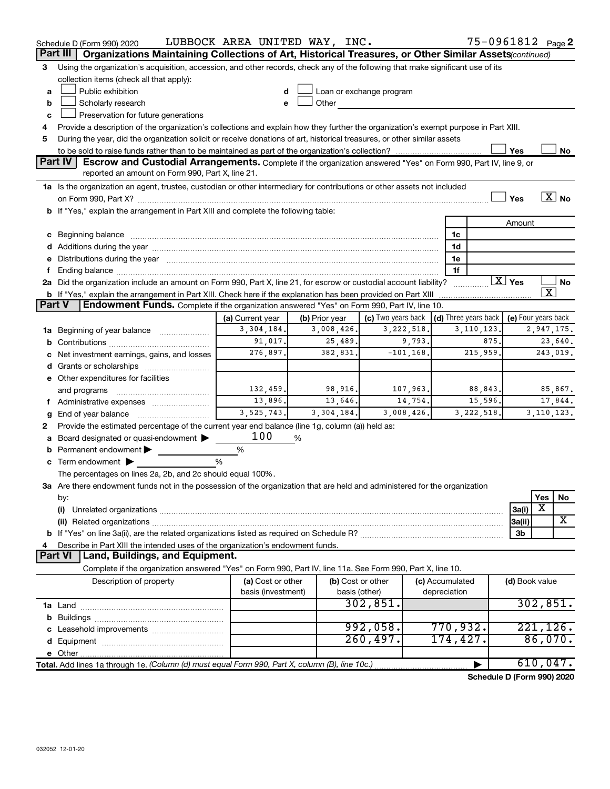|               | Schedule D (Form 990) 2020                                                                                                                                                                                                           | LUBBOCK AREA UNITED WAY, INC. |                       |                                                                                                                                                                                                                               |                      |              |                        | 75-0961812 Page 2       |
|---------------|--------------------------------------------------------------------------------------------------------------------------------------------------------------------------------------------------------------------------------------|-------------------------------|-----------------------|-------------------------------------------------------------------------------------------------------------------------------------------------------------------------------------------------------------------------------|----------------------|--------------|------------------------|-------------------------|
|               | Organizations Maintaining Collections of Art, Historical Treasures, or Other Similar Assets (continued)<br>Part III                                                                                                                  |                               |                       |                                                                                                                                                                                                                               |                      |              |                        |                         |
| 3             | Using the organization's acquisition, accession, and other records, check any of the following that make significant use of its                                                                                                      |                               |                       |                                                                                                                                                                                                                               |                      |              |                        |                         |
|               | collection items (check all that apply):                                                                                                                                                                                             |                               |                       |                                                                                                                                                                                                                               |                      |              |                        |                         |
| a             | Public exhibition                                                                                                                                                                                                                    | d                             |                       | Loan or exchange program                                                                                                                                                                                                      |                      |              |                        |                         |
| b             | Scholarly research                                                                                                                                                                                                                   | e                             |                       | Other and the contract of the contract of the contract of the contract of the contract of the contract of the contract of the contract of the contract of the contract of the contract of the contract of the contract of the |                      |              |                        |                         |
| c             | Preservation for future generations                                                                                                                                                                                                  |                               |                       |                                                                                                                                                                                                                               |                      |              |                        |                         |
| 4             | Provide a description of the organization's collections and explain how they further the organization's exempt purpose in Part XIII.                                                                                                 |                               |                       |                                                                                                                                                                                                                               |                      |              |                        |                         |
| 5             | During the year, did the organization solicit or receive donations of art, historical treasures, or other similar assets                                                                                                             |                               |                       |                                                                                                                                                                                                                               |                      |              |                        |                         |
|               | Part IV<br><b>Escrow and Custodial Arrangements.</b> Complete if the organization answered "Yes" on Form 990, Part IV, line 9, or                                                                                                    |                               |                       |                                                                                                                                                                                                                               |                      |              | Yes                    | No                      |
|               | reported an amount on Form 990, Part X, line 21.                                                                                                                                                                                     |                               |                       |                                                                                                                                                                                                                               |                      |              |                        |                         |
|               | 1a Is the organization an agent, trustee, custodian or other intermediary for contributions or other assets not included                                                                                                             |                               |                       |                                                                                                                                                                                                                               |                      |              |                        |                         |
|               |                                                                                                                                                                                                                                      |                               |                       |                                                                                                                                                                                                                               |                      |              | Yes                    | $\overline{X}$ No       |
|               | b If "Yes," explain the arrangement in Part XIII and complete the following table:                                                                                                                                                   |                               |                       |                                                                                                                                                                                                                               |                      |              |                        |                         |
|               |                                                                                                                                                                                                                                      |                               |                       |                                                                                                                                                                                                                               |                      |              | Amount                 |                         |
|               | c Beginning balance <b>contract to the contract of the contract of the contract of the contract of the contract of the contract of the contract of the contract of the contract of the contract of the contract of the contract </b> |                               |                       |                                                                                                                                                                                                                               | 1c                   |              |                        |                         |
|               |                                                                                                                                                                                                                                      |                               |                       |                                                                                                                                                                                                                               | 1d                   |              |                        |                         |
|               | e Distributions during the year manufactured and continuum and contact the year manufactured and contact the year manufactured and contact the year manufactured and contact the year manufactured and contact the year manufa       |                               |                       |                                                                                                                                                                                                                               | 1e                   |              |                        |                         |
| f.            |                                                                                                                                                                                                                                      |                               |                       |                                                                                                                                                                                                                               | 1f                   |              |                        |                         |
|               | 2a Did the organization include an amount on Form 990, Part X, line 21, for escrow or custodial account liability?                                                                                                                   |                               |                       |                                                                                                                                                                                                                               |                      |              | $\boxed{\text{X}}$ Yes | No                      |
|               | <b>b</b> If "Yes," explain the arrangement in Part XIII. Check here if the explanation has been provided on Part XIII                                                                                                                |                               |                       |                                                                                                                                                                                                                               |                      |              |                        | $\overline{\texttt{x}}$ |
| <b>Part V</b> | Endowment Funds. Complete if the organization answered "Yes" on Form 990, Part IV, line 10.                                                                                                                                          |                               |                       |                                                                                                                                                                                                                               |                      |              |                        |                         |
|               |                                                                                                                                                                                                                                      | (a) Current year              | (b) Prior year        | (c) Two years back   (d) Three years back   (e) Four years back                                                                                                                                                               |                      |              |                        |                         |
|               | 1a Beginning of year balance                                                                                                                                                                                                         | 3,304,184.                    | 3,008,426.            | 3,222,518.                                                                                                                                                                                                                    |                      | 3,110,123.   |                        | 2,947,175.              |
|               |                                                                                                                                                                                                                                      | 91,017.                       | 25,489.               | 9,793.                                                                                                                                                                                                                        |                      | 875.         |                        | 23,640.                 |
|               | c Net investment earnings, gains, and losses                                                                                                                                                                                         | 276,897.                      | 382,831.              | $-101, 168.$                                                                                                                                                                                                                  |                      | 215,959.     |                        | 243,019.                |
|               | d Grants or scholarships                                                                                                                                                                                                             |                               |                       |                                                                                                                                                                                                                               |                      |              |                        |                         |
|               | e Other expenditures for facilities                                                                                                                                                                                                  |                               |                       |                                                                                                                                                                                                                               |                      |              |                        |                         |
|               | and programs                                                                                                                                                                                                                         | 132, 459.                     | 98,916.               | 107,963.                                                                                                                                                                                                                      |                      | 88,843.      |                        | 85,867.                 |
|               | f Administrative expenses                                                                                                                                                                                                            | 13,896.<br>3,525,743.         | 13,646.<br>3,304,184. | 14,754.<br>3,008,426.                                                                                                                                                                                                         |                      | 15,596.      |                        | 17,844.                 |
| g             | Provide the estimated percentage of the current year end balance (line 1g, column (a)) held as:                                                                                                                                      |                               |                       |                                                                                                                                                                                                                               |                      | 3, 222, 518. |                        | 3, 110, 123.            |
| 2             | a Board designated or quasi-endowment $\blacktriangleright$                                                                                                                                                                          | 100                           | %                     |                                                                                                                                                                                                                               |                      |              |                        |                         |
| b             | Permanent endowment                                                                                                                                                                                                                  | %                             |                       |                                                                                                                                                                                                                               |                      |              |                        |                         |
|               | $\mathbf c$ Term endowment $\blacktriangleright$                                                                                                                                                                                     | %                             |                       |                                                                                                                                                                                                                               |                      |              |                        |                         |
|               | The percentages on lines 2a, 2b, and 2c should equal 100%.                                                                                                                                                                           |                               |                       |                                                                                                                                                                                                                               |                      |              |                        |                         |
|               | 3a Are there endowment funds not in the possession of the organization that are held and administered for the organization                                                                                                           |                               |                       |                                                                                                                                                                                                                               |                      |              |                        |                         |
|               | by:                                                                                                                                                                                                                                  |                               |                       |                                                                                                                                                                                                                               |                      |              |                        | Yes<br>No               |
|               | (i)                                                                                                                                                                                                                                  |                               |                       |                                                                                                                                                                                                                               |                      |              | 3a(i)                  | х                       |
|               |                                                                                                                                                                                                                                      |                               |                       |                                                                                                                                                                                                                               |                      |              | 3a(ii)                 | X                       |
|               |                                                                                                                                                                                                                                      |                               |                       |                                                                                                                                                                                                                               |                      |              | 3b                     |                         |
| 4             | Describe in Part XIII the intended uses of the organization's endowment funds.                                                                                                                                                       |                               |                       |                                                                                                                                                                                                                               |                      |              |                        |                         |
|               | Land, Buildings, and Equipment.<br><b>Part VI</b>                                                                                                                                                                                    |                               |                       |                                                                                                                                                                                                                               |                      |              |                        |                         |
|               | Complete if the organization answered "Yes" on Form 990, Part IV, line 11a. See Form 990, Part X, line 10.                                                                                                                           |                               |                       |                                                                                                                                                                                                                               |                      |              |                        |                         |
|               | Description of property                                                                                                                                                                                                              | (a) Cost or other             |                       | (b) Cost or other                                                                                                                                                                                                             | (c) Accumulated      |              | (d) Book value         |                         |
|               |                                                                                                                                                                                                                                      | basis (investment)            |                       | basis (other)                                                                                                                                                                                                                 | depreciation         |              |                        |                         |
|               |                                                                                                                                                                                                                                      |                               |                       | 302,851.                                                                                                                                                                                                                      |                      |              |                        | 302,851.                |
| b             |                                                                                                                                                                                                                                      |                               |                       |                                                                                                                                                                                                                               |                      |              |                        |                         |
|               |                                                                                                                                                                                                                                      |                               |                       | 992,058.<br>260, 497.                                                                                                                                                                                                         | 770,932.<br>174,427. |              |                        | 221, 126.<br>86,070.    |
| d             |                                                                                                                                                                                                                                      |                               |                       |                                                                                                                                                                                                                               |                      |              |                        |                         |
|               |                                                                                                                                                                                                                                      |                               |                       |                                                                                                                                                                                                                               |                      |              |                        | 610,047.                |
|               | Total. Add lines 1a through 1e. (Column (d) must equal Form 990, Part X, column (B), line 10c.)                                                                                                                                      |                               |                       |                                                                                                                                                                                                                               |                      |              |                        |                         |

**Schedule D (Form 990) 2020**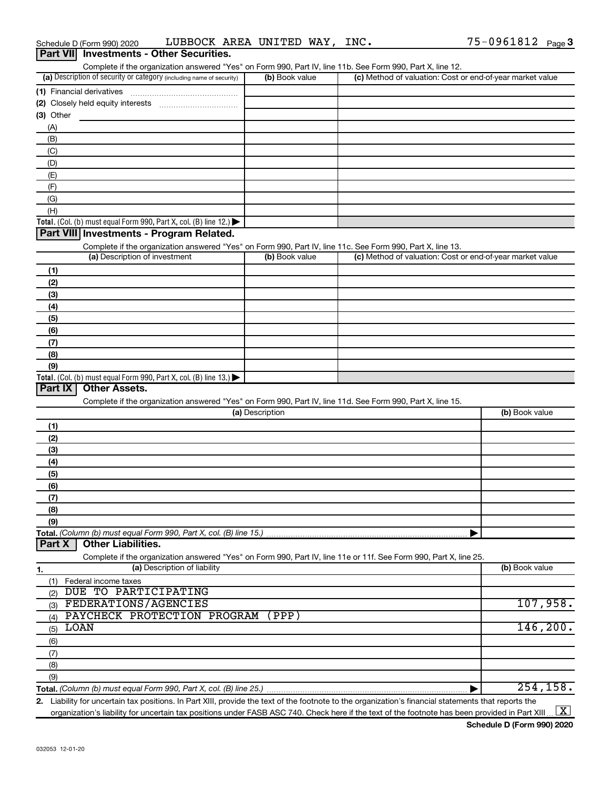| (a) Description of security or category (including name of security)                                                                                 | (b) Book value  | (c) Method of valuation: Cost or end-of-year market value |                     |
|------------------------------------------------------------------------------------------------------------------------------------------------------|-----------------|-----------------------------------------------------------|---------------------|
| (1) Financial derivatives                                                                                                                            |                 |                                                           |                     |
|                                                                                                                                                      |                 |                                                           |                     |
| (3) Other                                                                                                                                            |                 |                                                           |                     |
| (A)                                                                                                                                                  |                 |                                                           |                     |
| (B)                                                                                                                                                  |                 |                                                           |                     |
| (C)                                                                                                                                                  |                 |                                                           |                     |
| (D)                                                                                                                                                  |                 |                                                           |                     |
| (E)                                                                                                                                                  |                 |                                                           |                     |
| (F)                                                                                                                                                  |                 |                                                           |                     |
| (G)                                                                                                                                                  |                 |                                                           |                     |
| (H)                                                                                                                                                  |                 |                                                           |                     |
| Total. (Col. (b) must equal Form 990, Part X, col. (B) line 12.) $\blacktriangleright$                                                               |                 |                                                           |                     |
| Part VIII Investments - Program Related.                                                                                                             |                 |                                                           |                     |
| Complete if the organization answered "Yes" on Form 990, Part IV, line 11c. See Form 990, Part X, line 13.                                           |                 |                                                           |                     |
| (a) Description of investment                                                                                                                        | (b) Book value  | (c) Method of valuation: Cost or end-of-year market value |                     |
| (1)                                                                                                                                                  |                 |                                                           |                     |
| (2)                                                                                                                                                  |                 |                                                           |                     |
| (3)                                                                                                                                                  |                 |                                                           |                     |
| (4)                                                                                                                                                  |                 |                                                           |                     |
| (5)                                                                                                                                                  |                 |                                                           |                     |
| (6)                                                                                                                                                  |                 |                                                           |                     |
| (7)                                                                                                                                                  |                 |                                                           |                     |
| (8)                                                                                                                                                  |                 |                                                           |                     |
| (9)                                                                                                                                                  |                 |                                                           |                     |
| Total. (Col. (b) must equal Form 990, Part X, col. (B) line 13.)                                                                                     |                 |                                                           |                     |
| Part IX<br><b>Other Assets.</b>                                                                                                                      |                 |                                                           |                     |
| Complete if the organization answered "Yes" on Form 990, Part IV, line 11d. See Form 990, Part X, line 15.                                           |                 |                                                           |                     |
|                                                                                                                                                      | (a) Description |                                                           | (b) Book value      |
| (1)                                                                                                                                                  |                 |                                                           |                     |
| (2)                                                                                                                                                  |                 |                                                           |                     |
| (3)                                                                                                                                                  |                 |                                                           |                     |
| (4)                                                                                                                                                  |                 |                                                           |                     |
| (5)                                                                                                                                                  |                 |                                                           |                     |
| (6)                                                                                                                                                  |                 |                                                           |                     |
| (7)                                                                                                                                                  |                 |                                                           |                     |
| (8)                                                                                                                                                  |                 |                                                           |                     |
| (9)                                                                                                                                                  |                 |                                                           |                     |
|                                                                                                                                                      |                 |                                                           |                     |
| <b>Other Liabilities.</b><br>Part X                                                                                                                  |                 |                                                           |                     |
| Complete if the organization answered "Yes" on Form 990, Part IV, line 11e or 11f. See Form 990, Part X, line 25.                                    |                 |                                                           |                     |
| (a) Description of liability                                                                                                                         |                 |                                                           | (b) Book value      |
| 1.<br>Federal income taxes                                                                                                                           |                 |                                                           |                     |
| (1)<br>DUE TO PARTICIPATING                                                                                                                          |                 |                                                           |                     |
| (2)<br>FEDERATIONS/AGENCIES                                                                                                                          |                 |                                                           | 107,958.            |
| (3)<br>PAYCHECK PROTECTION PROGRAM                                                                                                                   | (PPP)           |                                                           |                     |
| (4)<br>LOAN                                                                                                                                          |                 |                                                           | 146, 200.           |
| (5)                                                                                                                                                  |                 |                                                           |                     |
| (6)                                                                                                                                                  |                 |                                                           |                     |
| (7)                                                                                                                                                  |                 |                                                           |                     |
| (8)                                                                                                                                                  |                 |                                                           |                     |
| (9)                                                                                                                                                  |                 |                                                           |                     |
|                                                                                                                                                      |                 |                                                           | 254, 158.           |
| 2. Liability for uncertain tax positions. In Part XIII, provide the text of the footnote to the organization's financial statements that reports the |                 |                                                           |                     |
| organization's liability for uncertain tax positions under FASB ASC 740. Check here if the text of the footnote has been provided in Part XIII       |                 |                                                           | $\lfloor x \rfloor$ |

### Schedule D (Form 990) 2020 Page LUBBOCK AREA UNITED WAY, INC. 75-0961812 **Part VII Investments - Other Securities.**

Complete if the organization answered "Yes" on Form 990, Part IV, line 11b. See Form 990, Part X, line 12.

| $75 - 0961812$ Page 3 |  |
|-----------------------|--|
|                       |  |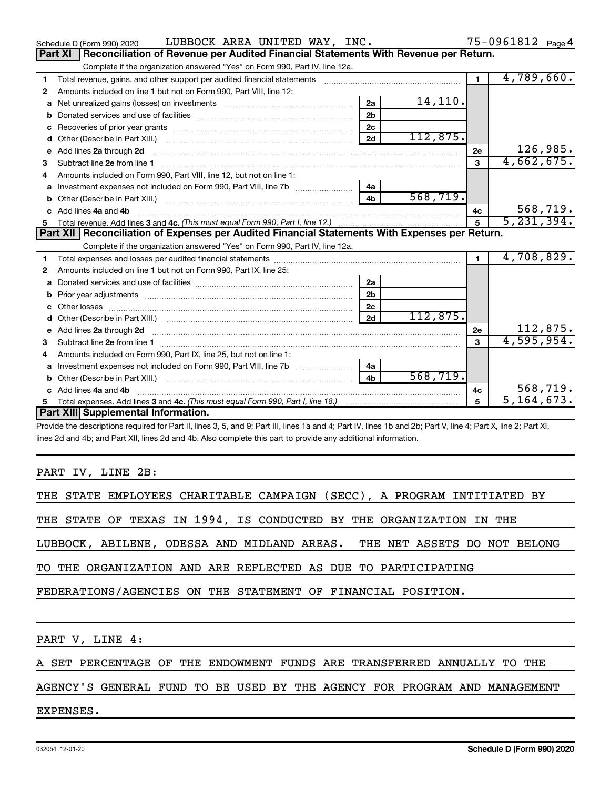|              | <b>Part XI</b> | Reconciliation of Revenue per Audited Financial Statements With Revenue per Return.                                                                                                                                                 |                |          |                         |              |
|--------------|----------------|-------------------------------------------------------------------------------------------------------------------------------------------------------------------------------------------------------------------------------------|----------------|----------|-------------------------|--------------|
|              |                | Complete if the organization answered "Yes" on Form 990, Part IV, line 12a.                                                                                                                                                         |                |          |                         |              |
| 1.           |                | Total revenue, gains, and other support per audited financial statements                                                                                                                                                            |                |          | $\overline{4,789},660.$ |              |
| $\mathbf{2}$ |                | Amounts included on line 1 but not on Form 990, Part VIII, line 12:                                                                                                                                                                 |                |          |                         |              |
|              |                | a Net unrealized gains (losses) on investments <i>manualization</i> and the university of the set of the set of the set of the set of the set of the set of the set of the set of the set of the set of the set of the set of the s | 2a             | 14,110.  |                         |              |
|              |                |                                                                                                                                                                                                                                     | 2 <sub>b</sub> |          |                         |              |
|              |                | <b>c</b> Recoveries of prior year grants                                                                                                                                                                                            | 2c             |          |                         |              |
|              |                | <b>d</b> Other (Describe in Part XIII.)                                                                                                                                                                                             | 2d             | 112,875. |                         |              |
|              |                | e Add lines 2a through 2d                                                                                                                                                                                                           |                |          | 2е                      | 126,985.     |
| 3            |                | Subtract line 2e from line 1                                                                                                                                                                                                        |                |          | з                       | 4,662,675.   |
| 4            |                | Amounts included on Form 990, Part VIII, line 12, but not on line 1:                                                                                                                                                                |                |          |                         |              |
|              |                | a Investment expenses not included on Form 990, Part VIII, line 7b                                                                                                                                                                  | 4a             |          |                         |              |
|              |                | <b>b</b> Other (Describe in Part XIII.)                                                                                                                                                                                             | 4 <sub>b</sub> | 568,719. |                         |              |
|              |                | c Add lines 4a and 4b                                                                                                                                                                                                               |                |          | 4с                      | 568,719.     |
|              |                |                                                                                                                                                                                                                                     |                |          | 5                       | 5, 231, 394. |
|              |                | Part XII Reconciliation of Expenses per Audited Financial Statements With Expenses per Return.                                                                                                                                      |                |          |                         |              |
|              |                | Complete if the organization answered "Yes" on Form 990, Part IV, line 12a.                                                                                                                                                         |                |          |                         |              |

|              |                                                                                                                                                                                                                                     |                |          |    | 4,708,829.   |
|--------------|-------------------------------------------------------------------------------------------------------------------------------------------------------------------------------------------------------------------------------------|----------------|----------|----|--------------|
| $\mathbf{2}$ | Amounts included on line 1 but not on Form 990, Part IX, line 25:                                                                                                                                                                   |                |          |    |              |
|              |                                                                                                                                                                                                                                     | 2a             |          |    |              |
|              |                                                                                                                                                                                                                                     | 2 <sub>b</sub> |          |    |              |
|              | c Other losses <b>contracts</b> and the contract of the contract of the contract of the contract of the contract of the contract of the contract of the contract of the contract of the contract of the contract of the contract of | 2c             |          |    |              |
|              |                                                                                                                                                                                                                                     | 2d             | 112,875. |    |              |
|              | e Add lines 2a through 2d                                                                                                                                                                                                           |                |          | 2е | 112,875.     |
| 3            | Subtract line 2e from line 1                                                                                                                                                                                                        |                |          | з  | 4,595,954.   |
| 4            | Amounts included on Form 990. Part IX, line 25, but not on line 1:                                                                                                                                                                  |                |          |    |              |
|              | <b>a</b> Investment expenses not included on Form 990, Part VIII, line 7b                                                                                                                                                           | 4a             |          |    |              |
|              | <b>b</b> Other (Describe in Part XIII.)                                                                                                                                                                                             | 4b             | 568,719. |    |              |
|              | c Add lines 4a and 4b                                                                                                                                                                                                               |                |          | 4c | 568,719.     |
|              | Total expenses. Add lines 3 and 4c. (This must equal Form 990, Part I, line 18.) <i>manumano containmano 3</i>                                                                                                                      |                |          | 5  | 5, 164, 673. |
|              | Part XIII Supplemental Information.                                                                                                                                                                                                 |                |          |    |              |

Provide the descriptions required for Part II, lines 3, 5, and 9; Part III, lines 1a and 4; Part IV, lines 1b and 2b; Part V, line 4; Part X, line 2; Part XI, lines 2d and 4b; and Part XII, lines 2d and 4b. Also complete this part to provide any additional information.

## PART IV, LINE 2B:

|                 |  |  |  |  |  |                                                               |  |  |  |                                                                     | THE STATE EMPLOYEES CHARITABLE CAMPAIGN (SECC), A PROGRAM INTITIATED BY  |  |
|-----------------|--|--|--|--|--|---------------------------------------------------------------|--|--|--|---------------------------------------------------------------------|--------------------------------------------------------------------------|--|
|                 |  |  |  |  |  |                                                               |  |  |  | THE STATE OF TEXAS IN 1994, IS CONDUCTED BY THE ORGANIZATION IN THE |                                                                          |  |
|                 |  |  |  |  |  |                                                               |  |  |  |                                                                     | LUBBOCK, ABILENE, ODESSA AND MIDLAND AREAS. THE NET ASSETS DO NOT BELONG |  |
|                 |  |  |  |  |  | TO THE ORGANIZATION AND ARE REFLECTED AS DUE TO PARTICIPATING |  |  |  |                                                                     |                                                                          |  |
|                 |  |  |  |  |  | FEDERATIONS/AGENCIES ON THE STATEMENT OF FINANCIAL POSITION.  |  |  |  |                                                                     |                                                                          |  |
|                 |  |  |  |  |  |                                                               |  |  |  |                                                                     |                                                                          |  |
| PART V, LINE 4: |  |  |  |  |  |                                                               |  |  |  |                                                                     |                                                                          |  |

A SET PERCENTAGE OF THE ENDOWMENT FUNDS ARE TRANSFERRED ANNUALLY TO THE

# AGENCY'S GENERAL FUND TO BE USED BY THE AGENCY FOR PROGRAM AND MANAGEMENT

EXPENSES.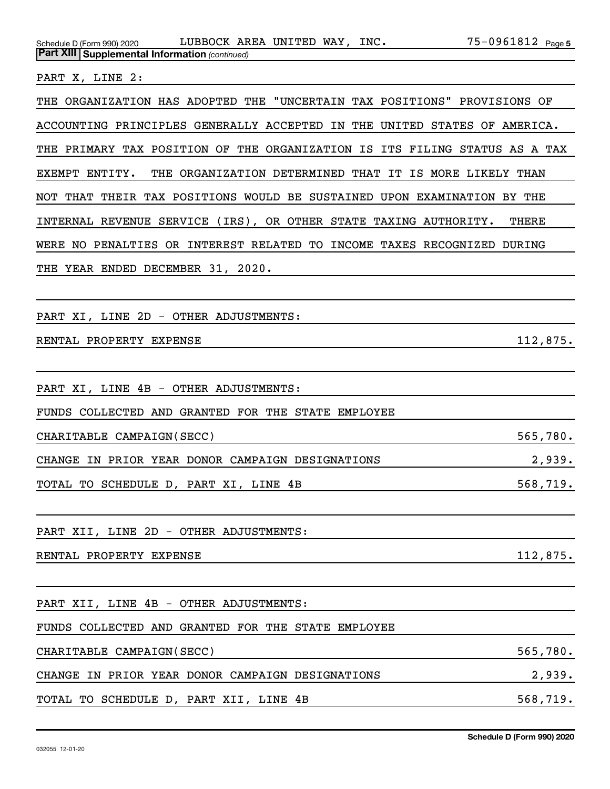| PART X, LINE 2:                                                                                            |
|------------------------------------------------------------------------------------------------------------|
| THE ORGANIZATION HAS ADOPTED THE "UNCERTAIN TAX POSITIONS" PROVISIONS OF                                   |
| ACCOUNTING PRINCIPLES GENERALLY ACCEPTED IN THE UNITED STATES OF AMERICA.                                  |
| THE PRIMARY TAX POSITION OF THE ORGANIZATION IS ITS FILING STATUS AS A TAX                                 |
| EXEMPT ENTITY.<br>THE ORGANIZATION DETERMINED THAT IT IS MORE LIKELY THAN                                  |
| NOT THAT THEIR TAX POSITIONS WOULD BE SUSTAINED UPON EXAMINATION BY THE                                    |
| INTERNAL REVENUE SERVICE (IRS), OR OTHER STATE TAXING AUTHORITY.<br><b>THERE</b>                           |
| WERE NO PENALTIES OR INTEREST RELATED TO INCOME TAXES RECOGNIZED DURING                                    |
| THE YEAR ENDED DECEMBER 31, 2020.                                                                          |
|                                                                                                            |
| PART XI, LINE 2D - OTHER ADJUSTMENTS:                                                                      |
| 112,875.<br>RENTAL PROPERTY EXPENSE                                                                        |
|                                                                                                            |
| PART XI, LINE 4B - OTHER ADJUSTMENTS:                                                                      |
| FUNDS COLLECTED AND GRANTED FOR THE STATE EMPLOYEE                                                         |
| 565,780.<br>CHARITABLE CAMPAIGN (SECC)                                                                     |
| 2,939.<br>CHANGE IN PRIOR YEAR DONOR CAMPAIGN DESIGNATIONS                                                 |
| 568,719.<br>TOTAL TO SCHEDULE D, PART XI, LINE 4B                                                          |
|                                                                                                            |
|                                                                                                            |
| 112,875.<br>RENTAL PROPERTY EXPENSE                                                                        |
|                                                                                                            |
| PART XII, LINE 4B - OTHER ADJUSTMENTS:                                                                     |
| FUNDS COLLECTED AND GRANTED FOR THE STATE EMPLOYEE                                                         |
| 565,780.<br>CHARITABLE CAMPAIGN (SECC)                                                                     |
| 2,939.<br>CHANGE IN PRIOR YEAR DONOR CAMPAIGN DESIGNATIONS                                                 |
| 568,719.<br>TOTAL TO SCHEDULE D, PART XII, LINE 4B<br><u> 1989 - Johann Barn, fransk politik (d. 1989)</u> |

Schedule D (Form 990) 2020 Page LUBBOCK AREA UNITED WAY, INC. 75-0961812

*(continued)* **Part XIII Supplemental Information** 

**Schedule D (Form 990) 2020**

75-0961812 Page 5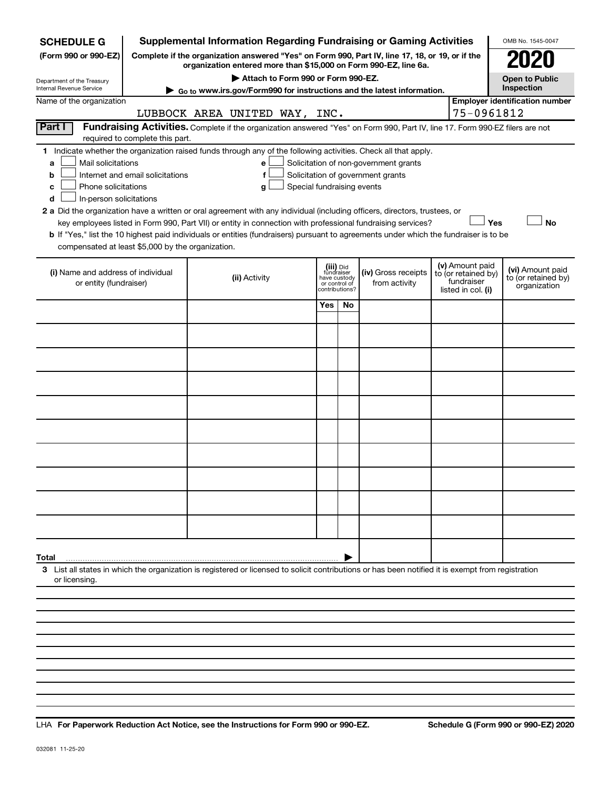| <b>SCHEDULE G</b>                                                                                                                             |                                  | <b>Supplemental Information Regarding Fundraising or Gaming Activities</b>                                                                                                                                                                                                                                                                                                                                                                                                                                                                                |                                                                            |     |                                                                            |  |                                                                            | OMB No. 1545-0047                                       |  |
|-----------------------------------------------------------------------------------------------------------------------------------------------|----------------------------------|-----------------------------------------------------------------------------------------------------------------------------------------------------------------------------------------------------------------------------------------------------------------------------------------------------------------------------------------------------------------------------------------------------------------------------------------------------------------------------------------------------------------------------------------------------------|----------------------------------------------------------------------------|-----|----------------------------------------------------------------------------|--|----------------------------------------------------------------------------|---------------------------------------------------------|--|
| (Form 990 or 990-EZ)                                                                                                                          |                                  | Complete if the organization answered "Yes" on Form 990, Part IV, line 17, 18, or 19, or if the<br>organization entered more than \$15,000 on Form 990-EZ, line 6a.                                                                                                                                                                                                                                                                                                                                                                                       |                                                                            |     |                                                                            |  |                                                                            |                                                         |  |
| Department of the Treasury                                                                                                                    |                                  | Attach to Form 990 or Form 990-EZ.                                                                                                                                                                                                                                                                                                                                                                                                                                                                                                                        |                                                                            |     |                                                                            |  |                                                                            | <b>Open to Public</b>                                   |  |
| Internal Revenue Service                                                                                                                      |                                  | ► Go to www.irs.gov/Form990 for instructions and the latest information.                                                                                                                                                                                                                                                                                                                                                                                                                                                                                  |                                                                            |     |                                                                            |  |                                                                            | Inspection                                              |  |
| Name of the organization                                                                                                                      |                                  | LUBBOCK AREA UNITED WAY, INC.                                                                                                                                                                                                                                                                                                                                                                                                                                                                                                                             |                                                                            |     |                                                                            |  | 75-0961812                                                                 | <b>Employer identification number</b>                   |  |
| Part I                                                                                                                                        | required to complete this part.  | Fundraising Activities. Complete if the organization answered "Yes" on Form 990, Part IV, line 17. Form 990-EZ filers are not                                                                                                                                                                                                                                                                                                                                                                                                                             |                                                                            |     |                                                                            |  |                                                                            |                                                         |  |
| Mail solicitations<br>a<br>b<br>Phone solicitations<br>c<br>In-person solicitations<br>d<br>compensated at least \$5,000 by the organization. | Internet and email solicitations | 1 Indicate whether the organization raised funds through any of the following activities. Check all that apply.<br>e<br>f<br>Special fundraising events<br>g<br>2 a Did the organization have a written or oral agreement with any individual (including officers, directors, trustees, or<br>key employees listed in Form 990, Part VII) or entity in connection with professional fundraising services?<br><b>b</b> If "Yes," list the 10 highest paid individuals or entities (fundraisers) pursuant to agreements under which the fundraiser is to be |                                                                            |     | Solicitation of non-government grants<br>Solicitation of government grants |  | Yes                                                                        | <b>No</b>                                               |  |
| (i) Name and address of individual<br>or entity (fundraiser)                                                                                  |                                  | (ii) Activity                                                                                                                                                                                                                                                                                                                                                                                                                                                                                                                                             | (iii) Did<br>fundraiser<br>have custody<br>or control of<br>contributions? |     | (iv) Gross receipts<br>from activity                                       |  | (v) Amount paid<br>to (or retained by)<br>fundraiser<br>listed in col. (i) | (vi) Amount paid<br>to (or retained by)<br>organization |  |
|                                                                                                                                               |                                  |                                                                                                                                                                                                                                                                                                                                                                                                                                                                                                                                                           | Yes                                                                        | No. |                                                                            |  |                                                                            |                                                         |  |
|                                                                                                                                               |                                  |                                                                                                                                                                                                                                                                                                                                                                                                                                                                                                                                                           |                                                                            |     |                                                                            |  |                                                                            |                                                         |  |
|                                                                                                                                               |                                  |                                                                                                                                                                                                                                                                                                                                                                                                                                                                                                                                                           |                                                                            |     |                                                                            |  |                                                                            |                                                         |  |
|                                                                                                                                               |                                  |                                                                                                                                                                                                                                                                                                                                                                                                                                                                                                                                                           |                                                                            |     |                                                                            |  |                                                                            |                                                         |  |
|                                                                                                                                               |                                  |                                                                                                                                                                                                                                                                                                                                                                                                                                                                                                                                                           |                                                                            |     |                                                                            |  |                                                                            |                                                         |  |
|                                                                                                                                               |                                  |                                                                                                                                                                                                                                                                                                                                                                                                                                                                                                                                                           |                                                                            |     |                                                                            |  |                                                                            |                                                         |  |
|                                                                                                                                               |                                  |                                                                                                                                                                                                                                                                                                                                                                                                                                                                                                                                                           |                                                                            |     |                                                                            |  |                                                                            |                                                         |  |
|                                                                                                                                               |                                  |                                                                                                                                                                                                                                                                                                                                                                                                                                                                                                                                                           |                                                                            |     |                                                                            |  |                                                                            |                                                         |  |
|                                                                                                                                               |                                  |                                                                                                                                                                                                                                                                                                                                                                                                                                                                                                                                                           |                                                                            |     |                                                                            |  |                                                                            |                                                         |  |
|                                                                                                                                               |                                  |                                                                                                                                                                                                                                                                                                                                                                                                                                                                                                                                                           |                                                                            |     |                                                                            |  |                                                                            |                                                         |  |
| Total                                                                                                                                         |                                  |                                                                                                                                                                                                                                                                                                                                                                                                                                                                                                                                                           |                                                                            |     |                                                                            |  |                                                                            |                                                         |  |
| or licensing.                                                                                                                                 |                                  | 3 List all states in which the organization is registered or licensed to solicit contributions or has been notified it is exempt from registration                                                                                                                                                                                                                                                                                                                                                                                                        |                                                                            |     |                                                                            |  |                                                                            |                                                         |  |
|                                                                                                                                               |                                  |                                                                                                                                                                                                                                                                                                                                                                                                                                                                                                                                                           |                                                                            |     |                                                                            |  |                                                                            |                                                         |  |
|                                                                                                                                               |                                  |                                                                                                                                                                                                                                                                                                                                                                                                                                                                                                                                                           |                                                                            |     |                                                                            |  |                                                                            |                                                         |  |

**For Paperwork Reduction Act Notice, see the Instructions for Form 990 or 990-EZ. Schedule G (Form 990 or 990-EZ) 2020** LHA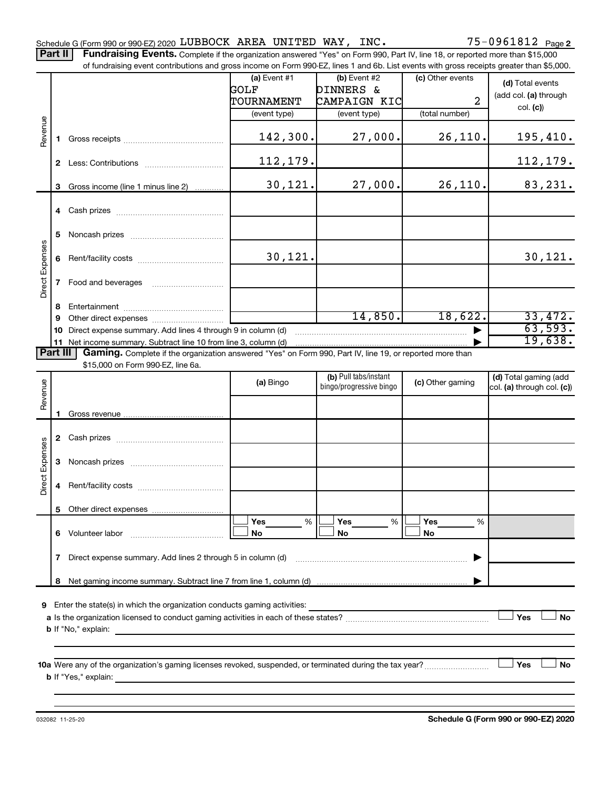Part II | Fundraising Events. Complete if the organization answered "Yes" on Form 990, Part IV, line 18, or reported more than \$15,000

|                                        |    | of fundraising event contributions and gross income on Form 990-EZ, lines 1 and 6b. List events with gross receipts greater than \$5,000. |                |                         |                  |                            |
|----------------------------------------|----|-------------------------------------------------------------------------------------------------------------------------------------------|----------------|-------------------------|------------------|----------------------------|
|                                        |    |                                                                                                                                           | $(a)$ Event #1 | (b) Event #2            | (c) Other events | (d) Total events           |
|                                        |    |                                                                                                                                           | GOLF           | <b>DINNERS &amp;</b>    |                  | (add col. (a) through      |
|                                        |    |                                                                                                                                           | TOURNAMENT     | CAMPAIGN KIC            | 2                |                            |
|                                        |    |                                                                                                                                           | (event type)   | (event type)            | (total number)   | col. (c)                   |
| Revenue                                |    |                                                                                                                                           |                |                         |                  |                            |
|                                        | 1. |                                                                                                                                           | 142,300.       | 27,000.                 | 26, 110.         | 195,410.                   |
|                                        |    |                                                                                                                                           |                |                         |                  |                            |
|                                        |    |                                                                                                                                           | 112,179.       |                         |                  | <u>112,179.</u>            |
|                                        |    |                                                                                                                                           |                |                         |                  |                            |
|                                        | 3  | Gross income (line 1 minus line 2)                                                                                                        | 30, 121.       | 27,000.                 | 26,110.          | 83,231.                    |
|                                        |    |                                                                                                                                           |                |                         |                  |                            |
|                                        |    |                                                                                                                                           |                |                         |                  |                            |
|                                        |    |                                                                                                                                           |                |                         |                  |                            |
|                                        | 5  |                                                                                                                                           |                |                         |                  |                            |
|                                        |    |                                                                                                                                           |                |                         |                  |                            |
|                                        | 6  |                                                                                                                                           | 30,121.        |                         |                  | 30, 121.                   |
| Direct Expenses<br>Part III<br>Revenue |    |                                                                                                                                           |                |                         |                  |                            |
|                                        | 7  | Food and beverages                                                                                                                        |                |                         |                  |                            |
|                                        |    |                                                                                                                                           |                |                         |                  |                            |
|                                        | 8  |                                                                                                                                           |                |                         |                  |                            |
|                                        | 9  |                                                                                                                                           |                | 14,850.                 | 18,622.          | 33,472.                    |
|                                        | 10 | Direct expense summary. Add lines 4 through 9 in column (d)                                                                               |                |                         |                  | 63,593.                    |
|                                        |    | 11 Net income summary. Subtract line 10 from line 3, column (d)                                                                           |                |                         |                  | 19,638.                    |
|                                        |    | Gaming. Complete if the organization answered "Yes" on Form 990, Part IV, line 19, or reported more than                                  |                |                         |                  |                            |
|                                        |    | \$15,000 on Form 990-EZ, line 6a.                                                                                                         |                |                         |                  |                            |
|                                        |    |                                                                                                                                           | (a) Bingo      | (b) Pull tabs/instant   | (c) Other gaming | (d) Total gaming (add      |
|                                        |    |                                                                                                                                           |                | bingo/progressive bingo |                  | col. (a) through col. (c)) |
|                                        |    |                                                                                                                                           |                |                         |                  |                            |
|                                        | 1. |                                                                                                                                           |                |                         |                  |                            |
|                                        |    |                                                                                                                                           |                |                         |                  |                            |
|                                        | 2  |                                                                                                                                           |                |                         |                  |                            |
|                                        |    |                                                                                                                                           |                |                         |                  |                            |
|                                        | 3  |                                                                                                                                           |                |                         |                  |                            |
| Direct Expenses                        |    |                                                                                                                                           |                |                         |                  |                            |
|                                        | 4  |                                                                                                                                           |                |                         |                  |                            |
|                                        |    |                                                                                                                                           |                |                         |                  |                            |
|                                        |    | 5 Other direct expenses                                                                                                                   |                |                         |                  |                            |
|                                        |    |                                                                                                                                           | Yes<br>%       | Yes<br>%                | Yes<br>%         |                            |
|                                        | 6. | Volunteer labor                                                                                                                           | No             | No                      | No               |                            |
|                                        |    |                                                                                                                                           |                |                         |                  |                            |
|                                        |    | Direct expense summary. Add lines 2 through 5 in column (d)                                                                               |                |                         |                  |                            |
|                                        | 7  |                                                                                                                                           |                |                         |                  |                            |
|                                        |    |                                                                                                                                           |                |                         |                  |                            |
|                                        | 8  |                                                                                                                                           |                |                         |                  |                            |
|                                        |    |                                                                                                                                           |                |                         |                  |                            |
| 9                                      |    | Enter the state(s) in which the organization conducts gaming activities:                                                                  |                |                         |                  |                            |
|                                        |    |                                                                                                                                           |                |                         |                  | Yes<br>No                  |
|                                        |    | <b>b</b> If "No," explain:                                                                                                                |                |                         |                  |                            |
|                                        |    |                                                                                                                                           |                |                         |                  |                            |

**10 a Yes No** Were any of the organization's gaming licenses revoked, suspended, or terminated during the tax year? ~~~~~~~~~ † † **b** If "Yes," explain: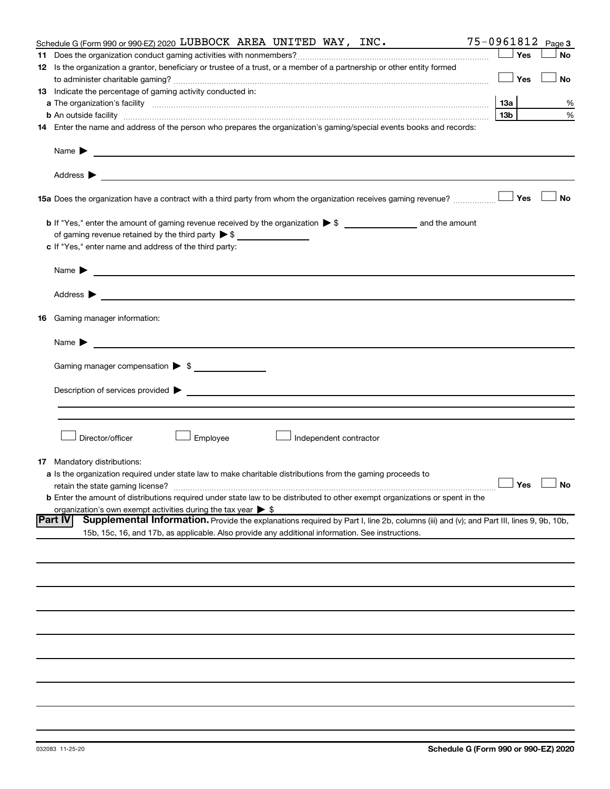|    | 75-0961812<br>Schedule G (Form 990 or 990-EZ) 2020 LUBBOCK AREA UNITED WAY, INC.                                                                                                                                                                                   |                 |     | Page 3               |
|----|--------------------------------------------------------------------------------------------------------------------------------------------------------------------------------------------------------------------------------------------------------------------|-----------------|-----|----------------------|
| 11 |                                                                                                                                                                                                                                                                    |                 | Yes | <b>No</b>            |
|    | 12 Is the organization a grantor, beneficiary or trustee of a trust, or a member of a partnership or other entity formed                                                                                                                                           |                 |     |                      |
|    |                                                                                                                                                                                                                                                                    |                 | Yes | <b>No</b>            |
|    | 13 Indicate the percentage of gaming activity conducted in:                                                                                                                                                                                                        |                 |     |                      |
|    |                                                                                                                                                                                                                                                                    | 13a             |     | %                    |
|    |                                                                                                                                                                                                                                                                    | 13 <sub>b</sub> |     | %                    |
|    | <b>b</b> An outside facility <i>www.communicality.communicality.communicality www.communicality.communicality.communicality.com</i><br>14 Enter the name and address of the person who prepares the organization's gaming/special events books and records:        |                 |     |                      |
|    |                                                                                                                                                                                                                                                                    |                 |     |                      |
|    | Name $\blacktriangleright$<br><u>and the state of the state of the state of the state of the state of the state of the state of the state of the state of the state of the state of the state of the state of the state of the state of the state of the state</u> |                 |     |                      |
|    |                                                                                                                                                                                                                                                                    |                 |     |                      |
|    | 15a Does the organization have a contract with a third party from whom the organization receives gaming revenue?                                                                                                                                                   |                 | Yes | <b>No</b>            |
|    |                                                                                                                                                                                                                                                                    |                 |     |                      |
|    | of gaming revenue retained by the third party $\triangleright$ \$                                                                                                                                                                                                  |                 |     |                      |
|    | c If "Yes," enter name and address of the third party:                                                                                                                                                                                                             |                 |     |                      |
|    |                                                                                                                                                                                                                                                                    |                 |     |                      |
|    | Name $\blacktriangleright$                                                                                                                                                                                                                                         |                 |     |                      |
|    |                                                                                                                                                                                                                                                                    |                 |     |                      |
|    | <b>16</b> Gaming manager information:                                                                                                                                                                                                                              |                 |     |                      |
|    | <u> 1989 - Johann Harry Harry Harry Harry Harry Harry Harry Harry Harry Harry Harry Harry Harry Harry Harry Harry</u><br>Name $\blacktriangleright$                                                                                                                |                 |     |                      |
|    | Gaming manager compensation > \$                                                                                                                                                                                                                                   |                 |     |                      |
|    | Description of services provided > example and the contract of the contract of the contract of the contract of                                                                                                                                                     |                 |     |                      |
|    |                                                                                                                                                                                                                                                                    |                 |     |                      |
|    | Director/officer<br>Employee<br>Independent contractor                                                                                                                                                                                                             |                 |     |                      |
|    | <b>17</b> Mandatory distributions:                                                                                                                                                                                                                                 |                 |     |                      |
|    | <b>a</b> Is the organization required under state law to make charitable distributions from the gaming proceeds to                                                                                                                                                 |                 |     |                      |
|    |                                                                                                                                                                                                                                                                    |                 |     | $\Box$ Yes $\Box$ No |
|    | b Enter the amount of distributions required under state law to be distributed to other exempt organizations or spent in the                                                                                                                                       |                 |     |                      |
|    | organization's own exempt activities during the tax year $\triangleright$ \$                                                                                                                                                                                       |                 |     |                      |
|    | Part IV<br>Supplemental Information. Provide the explanations required by Part I, line 2b, columns (iii) and (v); and Part III, lines 9, 9b, 10b,                                                                                                                  |                 |     |                      |
|    | 15b, 15c, 16, and 17b, as applicable. Also provide any additional information. See instructions.                                                                                                                                                                   |                 |     |                      |
|    |                                                                                                                                                                                                                                                                    |                 |     |                      |
|    |                                                                                                                                                                                                                                                                    |                 |     |                      |
|    |                                                                                                                                                                                                                                                                    |                 |     |                      |
|    |                                                                                                                                                                                                                                                                    |                 |     |                      |
|    |                                                                                                                                                                                                                                                                    |                 |     |                      |
|    |                                                                                                                                                                                                                                                                    |                 |     |                      |
|    |                                                                                                                                                                                                                                                                    |                 |     |                      |
|    |                                                                                                                                                                                                                                                                    |                 |     |                      |
|    |                                                                                                                                                                                                                                                                    |                 |     |                      |
|    |                                                                                                                                                                                                                                                                    |                 |     |                      |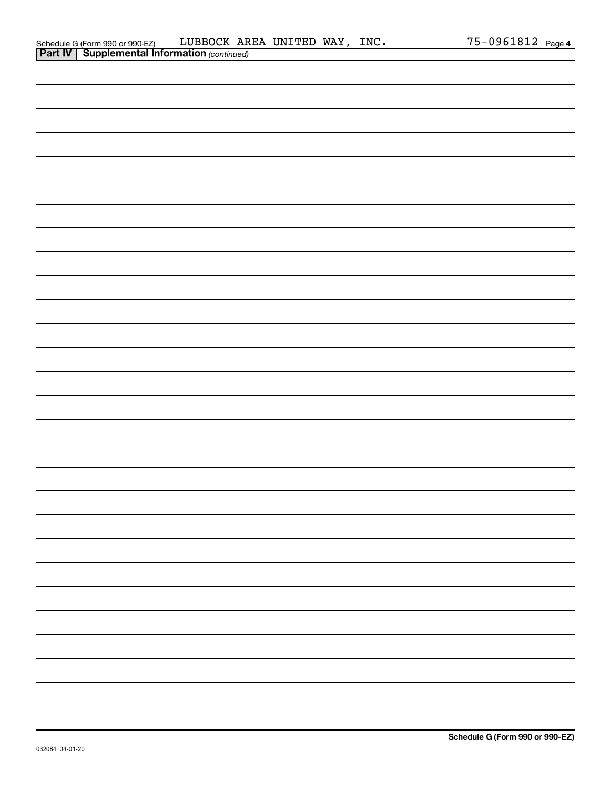| Schedule G (Form 990 or 990-EZ)                       | LUBBOCK AREA UNITED WAY, |  | INC. | 75-0961812 , | Page 4 |
|-------------------------------------------------------|--------------------------|--|------|--------------|--------|
| <b>Part IV   Supplemental Information (continued)</b> |                          |  |      |              |        |

| . |  |  |    |
|---|--|--|----|
|   |  |  |    |
|   |  |  |    |
|   |  |  |    |
|   |  |  |    |
|   |  |  |    |
|   |  |  |    |
|   |  |  |    |
|   |  |  |    |
|   |  |  |    |
|   |  |  |    |
|   |  |  |    |
|   |  |  |    |
|   |  |  |    |
|   |  |  |    |
|   |  |  |    |
|   |  |  |    |
|   |  |  |    |
|   |  |  |    |
|   |  |  |    |
|   |  |  |    |
|   |  |  |    |
|   |  |  | —  |
|   |  |  | —  |
|   |  |  | —  |
|   |  |  | —  |
|   |  |  | Ξ. |
|   |  |  | Ξ. |
|   |  |  | —  |
|   |  |  |    |

J.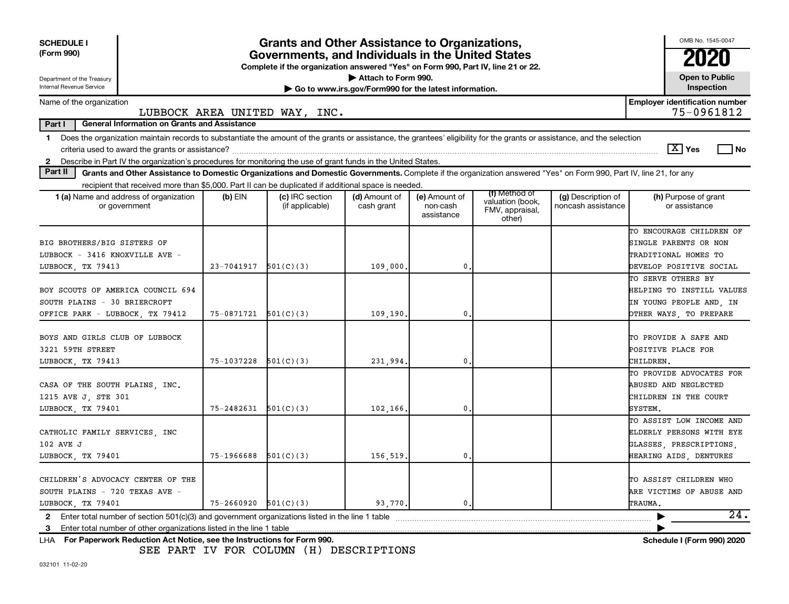| <b>SCHEDULE I</b><br>(Form 990)<br>Department of the Treasury<br>Internal Revenue Service                                                                                                                                                                                                                                 | <b>Grants and Other Assistance to Organizations,</b><br>Governments, and Individuals in the United States<br>Complete if the organization answered "Yes" on Form 990, Part IV, line 21 or 22.<br>Attach to Form 990.<br>Go to www.irs.gov/Form990 for the latest information. |                                    |                             |                                         |                                                                |                                          |                                                                                                           |  |  |  |
|---------------------------------------------------------------------------------------------------------------------------------------------------------------------------------------------------------------------------------------------------------------------------------------------------------------------------|-------------------------------------------------------------------------------------------------------------------------------------------------------------------------------------------------------------------------------------------------------------------------------|------------------------------------|-----------------------------|-----------------------------------------|----------------------------------------------------------------|------------------------------------------|-----------------------------------------------------------------------------------------------------------|--|--|--|
| Inspection<br><b>Employer identification number</b><br>Name of the organization                                                                                                                                                                                                                                           |                                                                                                                                                                                                                                                                               |                                    |                             |                                         |                                                                |                                          |                                                                                                           |  |  |  |
| 75-0961812<br>LUBBOCK AREA UNITED WAY, INC.                                                                                                                                                                                                                                                                               |                                                                                                                                                                                                                                                                               |                                    |                             |                                         |                                                                |                                          |                                                                                                           |  |  |  |
| Part I<br><b>General Information on Grants and Assistance</b>                                                                                                                                                                                                                                                             |                                                                                                                                                                                                                                                                               |                                    |                             |                                         |                                                                |                                          |                                                                                                           |  |  |  |
| Does the organization maintain records to substantiate the amount of the grants or assistance, the grantees' eligibility for the grants or assistance, and the selection<br>$\mathbf{1}$<br>Describe in Part IV the organization's procedures for monitoring the use of grant funds in the United States.<br>$\mathbf{2}$ |                                                                                                                                                                                                                                                                               |                                    |                             |                                         |                                                                |                                          | $\boxed{\text{X}}$ Yes<br>l No                                                                            |  |  |  |
| Part II<br>Grants and Other Assistance to Domestic Organizations and Domestic Governments. Complete if the organization answered "Yes" on Form 990, Part IV, line 21, for any                                                                                                                                             |                                                                                                                                                                                                                                                                               |                                    |                             |                                         |                                                                |                                          |                                                                                                           |  |  |  |
| recipient that received more than \$5,000. Part II can be duplicated if additional space is needed.                                                                                                                                                                                                                       |                                                                                                                                                                                                                                                                               |                                    |                             |                                         |                                                                |                                          |                                                                                                           |  |  |  |
| <b>1 (a)</b> Name and address of organization<br>or government                                                                                                                                                                                                                                                            | (b) EIN                                                                                                                                                                                                                                                                       | (c) IRC section<br>(if applicable) | (d) Amount of<br>cash grant | (e) Amount of<br>non-cash<br>assistance | (f) Method of<br>valuation (book,<br>FMV, appraisal,<br>other) | (g) Description of<br>noncash assistance | (h) Purpose of grant<br>or assistance                                                                     |  |  |  |
| BIG BROTHERS/BIG SISTERS OF<br>LUBBOCK - 3416 KNOXVILLE AVE -<br>LUBBOCK TX 79413                                                                                                                                                                                                                                         | 23-7041917                                                                                                                                                                                                                                                                    | 501(C)(3)                          | 109,000                     | 0                                       |                                                                |                                          | TO ENCOURAGE CHILDREN OF<br>SINGLE PARENTS OR NON<br>TRADITIONAL HOMES TO<br>DEVELOP POSITIVE SOCIAL      |  |  |  |
| BOY SCOUTS OF AMERICA COUNCIL 694<br>SOUTH PLAINS - 30 BRIERCROFT<br>OFFICE PARK - LUBBOCK, TX 79412                                                                                                                                                                                                                      | $75-0871721$ $501(C)(3)$                                                                                                                                                                                                                                                      |                                    | 109,190.                    | $\mathbf{0}$                            |                                                                |                                          | TO SERVE OTHERS BY<br>HELPING TO INSTILL VALUES<br>IN YOUNG PEOPLE AND, IN<br>OTHER WAYS, TO PREPARE      |  |  |  |
| BOYS AND GIRLS CLUB OF LUBBOCK<br>3221 59TH STREET<br>LUBBOCK, TX 79413                                                                                                                                                                                                                                                   | 75-1037228                                                                                                                                                                                                                                                                    | 501(C)(3)                          | 231,994.                    | 0                                       |                                                                |                                          | TO PROVIDE A SAFE AND<br>POSITIVE PLACE FOR<br>CHILDREN.                                                  |  |  |  |
| CASA OF THE SOUTH PLAINS, INC.<br>1215 AVE J, STE 301<br>LUBBOCK, TX 79401                                                                                                                                                                                                                                                | 75-2482631                                                                                                                                                                                                                                                                    | 501(C)(3)                          | 102,166.                    | $\mathbf{0}$                            |                                                                |                                          | TO PROVIDE ADVOCATES FOR<br>ABUSED AND NEGLECTED<br>CHILDREN IN THE COURT<br>SYSTEM.                      |  |  |  |
| CATHOLIC FAMILY SERVICES, INC<br>102 AVE J<br>LUBBOCK, TX 79401                                                                                                                                                                                                                                                           | 75-1966688                                                                                                                                                                                                                                                                    | 501(C)(3)                          | 156,519.                    | 0                                       |                                                                |                                          | TO ASSIST LOW INCOME AND<br>ELDERLY PERSONS WITH EYE<br>GLASSES, PRESCRIPTIONS,<br>HEARING AIDS, DENTURES |  |  |  |
| CHILDREN'S ADVOCACY CENTER OF THE<br>SOUTH PLAINS - 720 TEXAS AVE -<br>LUBBOCK TX 79401                                                                                                                                                                                                                                   | $75 - 2660920$ $501(C)(3)$                                                                                                                                                                                                                                                    |                                    | 93,770.                     | 0.                                      |                                                                |                                          | TO ASSIST CHILDREN WHO<br>ARE VICTIMS OF ABUSE AND<br>TRAUMA.                                             |  |  |  |
| Enter total number of section 501(c)(3) and government organizations listed in the line 1 table<br>$\mathbf{2}$                                                                                                                                                                                                           |                                                                                                                                                                                                                                                                               |                                    |                             |                                         |                                                                |                                          | 24.<br>▶                                                                                                  |  |  |  |
| 3                                                                                                                                                                                                                                                                                                                         |                                                                                                                                                                                                                                                                               |                                    |                             |                                         |                                                                |                                          |                                                                                                           |  |  |  |
| LHA For Paperwork Reduction Act Notice, see the Instructions for Form 990.                                                                                                                                                                                                                                                |                                                                                                                                                                                                                                                                               |                                    |                             |                                         |                                                                |                                          | <b>Schedule I (Form 990) 2020</b>                                                                         |  |  |  |

SEE PART IV FOR COLUMN (H) DESCRIPTIONS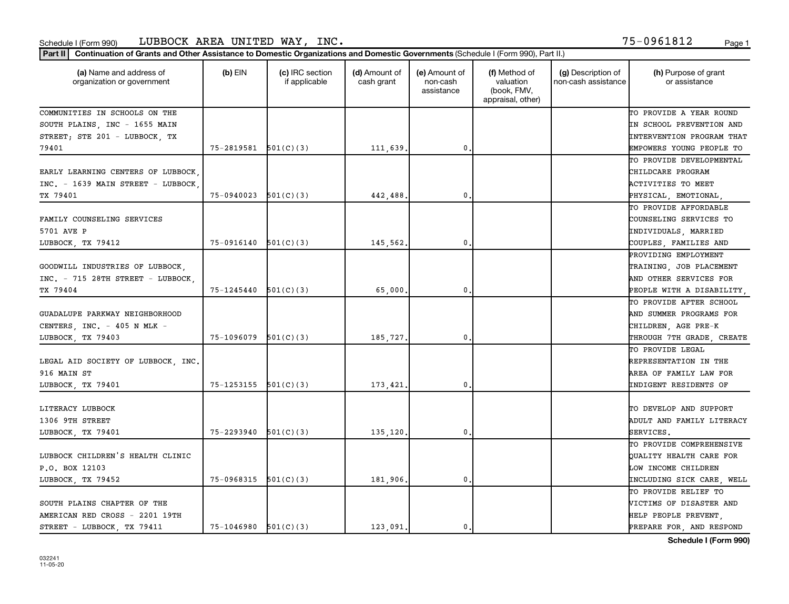### Schedule I (Form 990) Page 1 LUBBOCK AREA UNITED WAY, INC. 75-0961812

| (a) Name and address of<br>organization or government | $(b)$ EIN                  | (c) IRC section<br>if applicable | (d) Amount of<br>cash grant | (e) Amount of<br>non-cash<br>assistance | (f) Method of<br>valuation<br>(book, FMV,<br>appraisal, other) | (g) Description of<br>non-cash assistance | (h) Purpose of grant<br>or assistance |
|-------------------------------------------------------|----------------------------|----------------------------------|-----------------------------|-----------------------------------------|----------------------------------------------------------------|-------------------------------------------|---------------------------------------|
| COMMUNITIES IN SCHOOLS ON THE                         |                            |                                  |                             |                                         |                                                                |                                           | TO PROVIDE A YEAR ROUND               |
| SOUTH PLAINS, INC - 1655 MAIN                         |                            |                                  |                             |                                         |                                                                |                                           | IN SCHOOL PREVENTION AND              |
| STREET; STE 201 - LUBBOCK, TX                         |                            |                                  |                             |                                         |                                                                |                                           | <b>INTERVENTION PROGRAM THAT</b>      |
| 79401                                                 | $75-2819581$ $501(C)(3)$   |                                  | 111,639                     | $\mathbf 0$ .                           |                                                                |                                           | EMPOWERS YOUNG PEOPLE TO              |
|                                                       |                            |                                  |                             |                                         |                                                                |                                           | TO PROVIDE DEVELOPMENTAL              |
| EARLY LEARNING CENTERS OF LUBBOCK,                    |                            |                                  |                             |                                         |                                                                |                                           | CHILDCARE PROGRAM                     |
| INC. - 1639 MAIN STREET - LUBBOCK,                    |                            |                                  |                             |                                         |                                                                |                                           | ACTIVITIES TO MEET                    |
| TX 79401                                              | 75-0940023                 | 501(C)(3)                        | 442,488                     | $\mathbf{0}$ .                          |                                                                |                                           | PHYSICAL, EMOTIONAL,                  |
|                                                       |                            |                                  |                             |                                         |                                                                |                                           | TO PROVIDE AFFORDABLE                 |
| FAMILY COUNSELING SERVICES                            |                            |                                  |                             |                                         |                                                                |                                           | COUNSELING SERVICES TO                |
| 5701 AVE P                                            |                            |                                  |                             |                                         |                                                                |                                           | INDIVIDUALS, MARRIED                  |
| LUBBOCK, TX 79412                                     | $75-0916140$ $501(C)(3)$   |                                  | 145,562                     | 0.                                      |                                                                |                                           | COUPLES, FAMILIES AND                 |
|                                                       |                            |                                  |                             |                                         |                                                                |                                           | PROVIDING EMPLOYMENT                  |
| GOODWILL INDUSTRIES OF LUBBOCK,                       |                            |                                  |                             |                                         |                                                                |                                           | TRAINING, JOB PLACEMENT               |
| INC. - 715 28TH STREET - LUBBOCK,                     |                            |                                  |                             |                                         |                                                                |                                           | AND OTHER SERVICES FOR                |
| TX 79404                                              | $75 - 1245440$ $501(C)(3)$ |                                  | 65,000                      | 0.                                      |                                                                |                                           | PEOPLE WITH A DISABILITY,             |
|                                                       |                            |                                  |                             |                                         |                                                                |                                           | TO PROVIDE AFTER SCHOOL               |
| GUADALUPE PARKWAY NEIGHBORHOOD                        |                            |                                  |                             |                                         |                                                                |                                           | AND SUMMER PROGRAMS FOR               |
| CENTERS, INC. - 405 N MLK -                           |                            |                                  |                             |                                         |                                                                |                                           | CHILDREN, AGE PRE-K                   |
| LUBBOCK, TX 79403                                     | 75-1096079                 | 501(C)(3)                        | 185,727                     | $\mathbf{0}$ .                          |                                                                |                                           | THROUGH 7TH GRADE, CREATE             |
|                                                       |                            |                                  |                             |                                         |                                                                |                                           | TO PROVIDE LEGAL                      |
| LEGAL AID SOCIETY OF LUBBOCK, INC.                    |                            |                                  |                             |                                         |                                                                |                                           | REPRESENTATION IN THE                 |
| 916 MAIN ST                                           |                            |                                  |                             |                                         |                                                                |                                           | AREA OF FAMILY LAW FOR                |
| LUBBOCK, TX 79401                                     | $75-1253155$ $501(C)(3)$   |                                  | 173,421                     | 0.                                      |                                                                |                                           | INDIGENT RESIDENTS OF                 |
| LITERACY LUBBOCK                                      |                            |                                  |                             |                                         |                                                                |                                           | TO DEVELOP AND SUPPORT                |
| 1306 9TH STREET                                       |                            |                                  |                             |                                         |                                                                |                                           | ADULT AND FAMILY LITERACY             |
| LUBBOCK, TX 79401                                     | 75-2293940                 | 501(C)(3)                        | 135,120                     | $\mathbf{0}$ .                          |                                                                |                                           | SERVICES.                             |
|                                                       |                            |                                  |                             |                                         |                                                                |                                           | TO PROVIDE COMPREHENSIVE              |
| LUBBOCK CHILDREN'S HEALTH CLINIC                      |                            |                                  |                             |                                         |                                                                |                                           | QUALITY HEALTH CARE FOR               |
| P.O. BOX 12103                                        |                            |                                  |                             |                                         |                                                                |                                           | LOW INCOME CHILDREN                   |
| LUBBOCK, TX 79452                                     | 75-0968315                 | 501(C)(3)                        | 181,906                     | $\mathbf{0}$ .                          |                                                                |                                           | INCLUDING SICK CARE, WELL             |
|                                                       |                            |                                  |                             |                                         |                                                                |                                           | TO PROVIDE RELIEF TO                  |
| SOUTH PLAINS CHAPTER OF THE                           |                            |                                  |                             |                                         |                                                                |                                           | VICTIMS OF DISASTER AND               |
| AMERICAN RED CROSS - 2201 19TH                        |                            |                                  |                             |                                         |                                                                |                                           | HELP PEOPLE PREVENT,                  |
| STREET - LUBBOCK, TX 79411                            | $75-1046980$ $501(C)(3)$   |                                  | 123,091                     | $\mathbf{0}$ .                          |                                                                |                                           | PREPARE FOR, AND RESPOND              |
|                                                       |                            |                                  |                             |                                         |                                                                |                                           |                                       |

**Schedule I (Form 990)**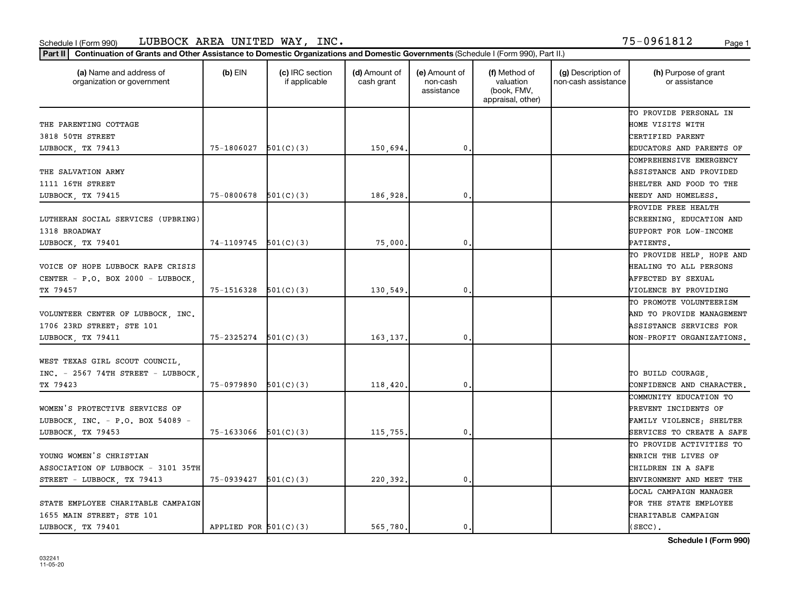### Schedule I (Form 990) Page 1 LUBBOCK AREA UNITED WAY, INC. 75-0961812

| (a) Name and address of<br>organization or government | $(b)$ EIN                | (c) IRC section<br>if applicable | (d) Amount of<br>cash grant | (e) Amount of<br>non-cash<br>assistance | (f) Method of<br>valuation<br>(book, FMV,<br>appraisal, other) | (g) Description of<br>non-cash assistance | (h) Purpose of grant<br>or assistance |
|-------------------------------------------------------|--------------------------|----------------------------------|-----------------------------|-----------------------------------------|----------------------------------------------------------------|-------------------------------------------|---------------------------------------|
|                                                       |                          |                                  |                             |                                         |                                                                |                                           | TO PROVIDE PERSONAL IN                |
| THE PARENTING COTTAGE                                 |                          |                                  |                             |                                         |                                                                |                                           | HOME VISITS WITH                      |
| 3818 50TH STREET                                      |                          |                                  |                             |                                         |                                                                |                                           | CERTIFIED PARENT                      |
| LUBBOCK, TX 79413                                     | 75-1806027               | 501(C)(3)                        | 150,694.                    | $\mathbf{0}$                            |                                                                |                                           | EDUCATORS AND PARENTS OF              |
|                                                       |                          |                                  |                             |                                         |                                                                |                                           | COMPREHENSIVE EMERGENCY               |
| THE SALVATION ARMY                                    |                          |                                  |                             |                                         |                                                                |                                           | ASSISTANCE AND PROVIDED               |
| 1111 16TH STREET                                      |                          |                                  |                             |                                         |                                                                |                                           | SHELTER AND FOOD TO THE               |
| LUBBOCK, TX 79415                                     | 75-0800678               | 501(C)(3)                        | 186,928.                    | 0.                                      |                                                                |                                           | NEEDY AND HOMELESS.                   |
|                                                       |                          |                                  |                             |                                         |                                                                |                                           | PROVIDE FREE HEALTH                   |
| LUTHERAN SOCIAL SERVICES (UPBRING)                    |                          |                                  |                             |                                         |                                                                |                                           | SCREENING, EDUCATION AND              |
| 1318 BROADWAY                                         |                          |                                  |                             |                                         |                                                                |                                           | SUPPORT FOR LOW-INCOME                |
| LUBBOCK, TX 79401                                     | $74-1109745$ $501(C)(3)$ |                                  | 75,000                      | $\mathbf{0}$                            |                                                                |                                           | PATIENTS.                             |
|                                                       |                          |                                  |                             |                                         |                                                                |                                           | TO PROVIDE HELP, HOPE AND             |
| VOICE OF HOPE LUBBOCK RAPE CRISIS                     |                          |                                  |                             |                                         |                                                                |                                           | HEALING TO ALL PERSONS                |
| CENTER - P.O. BOX 2000 - LUBBOCK,                     |                          |                                  |                             |                                         |                                                                |                                           | AFFECTED BY SEXUAL                    |
| TX 79457                                              | $75-1516328$ $501(C)(3)$ |                                  | 130,549.                    | 0                                       |                                                                |                                           | VIOLENCE BY PROVIDING                 |
|                                                       |                          |                                  |                             |                                         |                                                                |                                           | TO PROMOTE VOLUNTEERISM               |
| VOLUNTEER CENTER OF LUBBOCK, INC.                     |                          |                                  |                             |                                         |                                                                |                                           | AND TO PROVIDE MANAGEMENT             |
| 1706 23RD STREET; STE 101                             |                          |                                  |                             |                                         |                                                                |                                           | ASSISTANCE SERVICES FOR               |
| LUBBOCK, TX 79411                                     | 75-2325274               | 501(C)(3)                        | 163, 137.                   | $\mathbf{0}$                            |                                                                |                                           | NON-PROFIT ORGANIZATIONS.             |
| WEST TEXAS GIRL SCOUT COUNCIL.                        |                          |                                  |                             |                                         |                                                                |                                           |                                       |
| $INC. - 2567 74TH$ STREET - LUBBOCK                   |                          |                                  |                             |                                         |                                                                |                                           | TO BUILD COURAGE.                     |
| TX 79423                                              | 75-0979890               | 501(C)(3)                        | 118,420,                    | 0.                                      |                                                                |                                           | CONFIDENCE AND CHARACTER.             |
|                                                       |                          |                                  |                             |                                         |                                                                |                                           | COMMUNITY EDUCATION TO                |
| WOMEN'S PROTECTIVE SERVICES OF                        |                          |                                  |                             |                                         |                                                                |                                           | PREVENT INCIDENTS OF                  |
| LUBBOCK, INC. - P.O. BOX 54089 -                      |                          |                                  |                             |                                         |                                                                |                                           | FAMILY VIOLENCE; SHELTER              |
| LUBBOCK, TX 79453                                     | $75-1633066$ $501(C)(3)$ |                                  | 115,755,                    | $\mathbf{0}$                            |                                                                |                                           | SERVICES TO CREATE A SAFE             |
|                                                       |                          |                                  |                             |                                         |                                                                |                                           | TO PROVIDE ACTIVITIES TO              |
| YOUNG WOMEN'S CHRISTIAN                               |                          |                                  |                             |                                         |                                                                |                                           | ENRICH THE LIVES OF                   |
| ASSOCIATION OF LUBBOCK - 3101 35TH                    |                          |                                  |                             |                                         |                                                                |                                           | CHILDREN IN A SAFE                    |
| STREET - LUBBOCK, TX 79413                            | 75-0939427               | 501(C)(3)                        | 220,392.                    | 0.                                      |                                                                |                                           | ENVIRONMENT AND MEET THE              |
|                                                       |                          |                                  |                             |                                         |                                                                |                                           | LOCAL CAMPAIGN MANAGER                |
| STATE EMPLOYEE CHARITABLE CAMPAIGN                    |                          |                                  |                             |                                         |                                                                |                                           | FOR THE STATE EMPLOYEE                |
| 1655 MAIN STREET; STE 101                             |                          |                                  |                             |                                         |                                                                |                                           | CHARITABLE CAMPAIGN                   |
| LUBBOCK, TX 79401                                     | APPLIED FOR $501(C)(3)$  |                                  | 565,780.                    | 0.                                      |                                                                |                                           | $(SECC)$ .                            |

**Schedule I (Form 990)**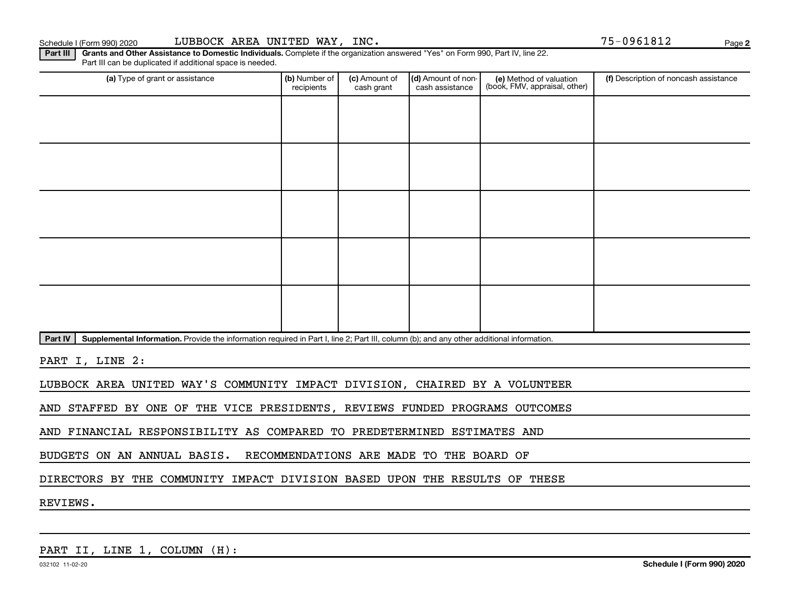**2**

Part III | Grants and Other Assistance to Domestic Individuals. Complete if the organization answered "Yes" on Form 990, Part IV, line 22. Part III can be duplicated if additional space is needed.

| (a) Type of grant or assistance                                                                                                                      | (b) Number of<br>recipients | (c) Amount of<br>cash grant | (d) Amount of non-<br>cash assistance | (e) Method of valuation<br>(book, FMV, appraisal, other) | (f) Description of noncash assistance |
|------------------------------------------------------------------------------------------------------------------------------------------------------|-----------------------------|-----------------------------|---------------------------------------|----------------------------------------------------------|---------------------------------------|
|                                                                                                                                                      |                             |                             |                                       |                                                          |                                       |
|                                                                                                                                                      |                             |                             |                                       |                                                          |                                       |
|                                                                                                                                                      |                             |                             |                                       |                                                          |                                       |
|                                                                                                                                                      |                             |                             |                                       |                                                          |                                       |
|                                                                                                                                                      |                             |                             |                                       |                                                          |                                       |
|                                                                                                                                                      |                             |                             |                                       |                                                          |                                       |
|                                                                                                                                                      |                             |                             |                                       |                                                          |                                       |
|                                                                                                                                                      |                             |                             |                                       |                                                          |                                       |
|                                                                                                                                                      |                             |                             |                                       |                                                          |                                       |
|                                                                                                                                                      |                             |                             |                                       |                                                          |                                       |
| Part IV<br>Supplemental Information. Provide the information required in Part I, line 2; Part III, column (b); and any other additional information. |                             |                             |                                       |                                                          |                                       |

PART I, LINE 2:

LUBBOCK AREA UNITED WAY'S COMMUNITY IMPACT DIVISION, CHAIRED BY A VOLUNTEER

AND STAFFED BY ONE OF THE VICE PRESIDENTS, REVIEWS FUNDED PROGRAMS OUTCOMES

AND FINANCIAL RESPONSIBILITY AS COMPARED TO PREDETERMINED ESTIMATES AND

BUDGETS ON AN ANNUAL BASIS. RECOMMENDATIONS ARE MADE TO THE BOARD OF

DIRECTORS BY THE COMMUNITY IMPACT DIVISION BASED UPON THE RESULTS OF THESE

REVIEWS.

PART II, LINE 1, COLUMN (H):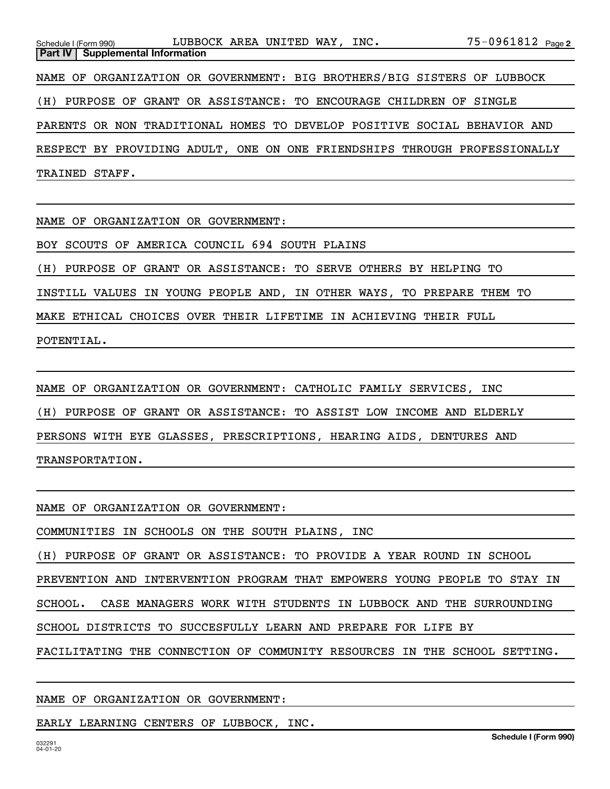| Schedule I (Form 990) $LUBBOCK \t{ AREA} \t{ UNITED} \t{ WAY, \t{ INC.}}$ |  |  |  |  |  |  |  |  | 75-0961812 <sub>Page 2</sub> |
|---------------------------------------------------------------------------|--|--|--|--|--|--|--|--|------------------------------|
| <b>Part IV   Supplemental Information</b>                                 |  |  |  |  |  |  |  |  |                              |
| NAME OF ORGANIZATION OR GOVERNMENT: BIG BROTHERS/BIG SISTERS OF LUBBOCK   |  |  |  |  |  |  |  |  |                              |
| (H) PURPOSE OF GRANT OR ASSISTANCE: TO ENCOURAGE CHILDREN OF SINGLE       |  |  |  |  |  |  |  |  |                              |
| PARENTS OR NON TRADITIONAL HOMES TO DEVELOP POSITIVE SOCIAL BEHAVIOR AND  |  |  |  |  |  |  |  |  |                              |
| RESPECT BY PROVIDING ADULT, ONE ON ONE FRIENDSHIPS THROUGH PROFESSIONALLY |  |  |  |  |  |  |  |  |                              |
| TRAINED STAFF.                                                            |  |  |  |  |  |  |  |  |                              |

NAME OF ORGANIZATION OR GOVERNMENT:

BOY SCOUTS OF AMERICA COUNCIL 694 SOUTH PLAINS

(H) PURPOSE OF GRANT OR ASSISTANCE: TO SERVE OTHERS BY HELPING TO

INSTILL VALUES IN YOUNG PEOPLE AND, IN OTHER WAYS, TO PREPARE THEM TO

MAKE ETHICAL CHOICES OVER THEIR LIFETIME IN ACHIEVING THEIR FULL

POTENTIAL.

NAME OF ORGANIZATION OR GOVERNMENT: CATHOLIC FAMILY SERVICES, INC (H) PURPOSE OF GRANT OR ASSISTANCE: TO ASSIST LOW INCOME AND ELDERLY PERSONS WITH EYE GLASSES, PRESCRIPTIONS, HEARING AIDS, DENTURES AND TRANSPORTATION.

### NAME OF ORGANIZATION OR GOVERNMENT:

EARLY LEARNING CENTERS OF LUBBOCK, INC.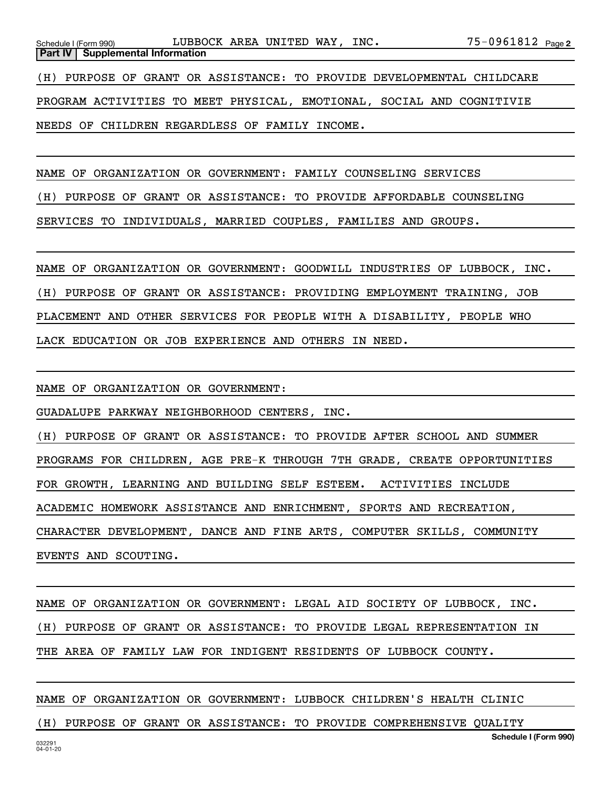NAME OF ORGANIZATION OR GOVERNMENT: FAMILY COUNSELING SERVICES

(H) PURPOSE OF GRANT OR ASSISTANCE: TO PROVIDE AFFORDABLE COUNSELING

SERVICES TO INDIVIDUALS, MARRIED COUPLES, FAMILIES AND GROUPS.

NAME OF ORGANIZATION OR GOVERNMENT: GOODWILL INDUSTRIES OF LUBBOCK, INC. (H) PURPOSE OF GRANT OR ASSISTANCE: PROVIDING EMPLOYMENT TRAINING, JOB PLACEMENT AND OTHER SERVICES FOR PEOPLE WITH A DISABILITY, PEOPLE WHO LACK EDUCATION OR JOB EXPERIENCE AND OTHERS IN NEED.

NAME OF ORGANIZATION OR GOVERNMENT:

GUADALUPE PARKWAY NEIGHBORHOOD CENTERS, INC.

NEEDS OF CHILDREN REGARDLESS OF FAMILY INCOME.

(H) PURPOSE OF GRANT OR ASSISTANCE: TO PROVIDE AFTER SCHOOL AND SUMMER PROGRAMS FOR CHILDREN, AGE PRE-K THROUGH 7TH GRADE, CREATE OPPORTUNITIES FOR GROWTH, LEARNING AND BUILDING SELF ESTEEM. ACTIVITIES INCLUDE ACADEMIC HOMEWORK ASSISTANCE AND ENRICHMENT, SPORTS AND RECREATION, CHARACTER DEVELOPMENT, DANCE AND FINE ARTS, COMPUTER SKILLS, COMMUNITY EVENTS AND SCOUTING.

NAME OF ORGANIZATION OR GOVERNMENT: LEGAL AID SOCIETY OF LUBBOCK, INC. (H) PURPOSE OF GRANT OR ASSISTANCE: TO PROVIDE LEGAL REPRESENTATION IN THE AREA OF FAMILY LAW FOR INDIGENT RESIDENTS OF LUBBOCK COUNTY.

NAME OF ORGANIZATION OR GOVERNMENT: LUBBOCK CHILDREN'S HEALTH CLINIC

(H) PURPOSE OF GRANT OR ASSISTANCE: TO PROVIDE COMPREHENSIVE QUALITY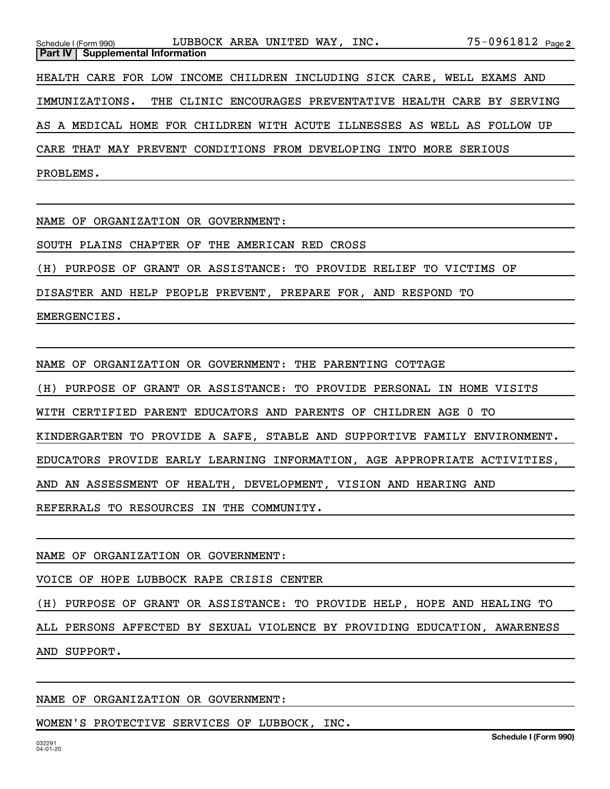|           | Schedule I (Form 990)                   |  | LUBBOCK AREA UNITED WAY, INC.                                            |  |  |  |  | $75 - 0961812$ Page 2 |  |
|-----------|-----------------------------------------|--|--------------------------------------------------------------------------|--|--|--|--|-----------------------|--|
|           | <b>Part IV Supplemental Information</b> |  |                                                                          |  |  |  |  |                       |  |
|           |                                         |  | HEALTH CARE FOR LOW INCOME CHILDREN INCLUDING SICK CARE, WELL EXAMS AND  |  |  |  |  |                       |  |
|           | IMMUNIZATIONS.                          |  | THE CLINIC ENCOURAGES PREVENTATIVE HEALTH CARE BY SERVING                |  |  |  |  |                       |  |
|           |                                         |  | AS A MEDICAL HOME FOR CHILDREN WITH ACUTE ILLNESSES AS WELL AS FOLLOW UP |  |  |  |  |                       |  |
|           |                                         |  | CARE THAT MAY PREVENT CONDITIONS FROM DEVELOPING INTO MORE SERIOUS       |  |  |  |  |                       |  |
| PROBLEMS. |                                         |  |                                                                          |  |  |  |  |                       |  |

NAME OF ORGANIZATION OR GOVERNMENT:

SOUTH PLAINS CHAPTER OF THE AMERICAN RED CROSS

(H) PURPOSE OF GRANT OR ASSISTANCE: TO PROVIDE RELIEF TO VICTIMS OF

DISASTER AND HELP PEOPLE PREVENT, PREPARE FOR, AND RESPOND TO

EMERGENCIES.

NAME OF ORGANIZATION OR GOVERNMENT: THE PARENTING COTTAGE

(H) PURPOSE OF GRANT OR ASSISTANCE: TO PROVIDE PERSONAL IN HOME VISITS

WITH CERTIFIED PARENT EDUCATORS AND PARENTS OF CHILDREN AGE 0 TO

KINDERGARTEN TO PROVIDE A SAFE, STABLE AND SUPPORTIVE FAMILY ENVIRONMENT.

EDUCATORS PROVIDE EARLY LEARNING INFORMATION, AGE APPROPRIATE ACTIVITIES,

AND AN ASSESSMENT OF HEALTH, DEVELOPMENT, VISION AND HEARING AND

REFERRALS TO RESOURCES IN THE COMMUNITY.

### NAME OF ORGANIZATION OR GOVERNMENT:

VOICE OF HOPE LUBBOCK RAPE CRISIS CENTER

(H) PURPOSE OF GRANT OR ASSISTANCE: TO PROVIDE HELP, HOPE AND HEALING TO

ALL PERSONS AFFECTED BY SEXUAL VIOLENCE BY PROVIDING EDUCATION, AWARENESS AND SUPPORT.

### NAME OF ORGANIZATION OR GOVERNMENT:

WOMEN'S PROTECTIVE SERVICES OF LUBBOCK, INC.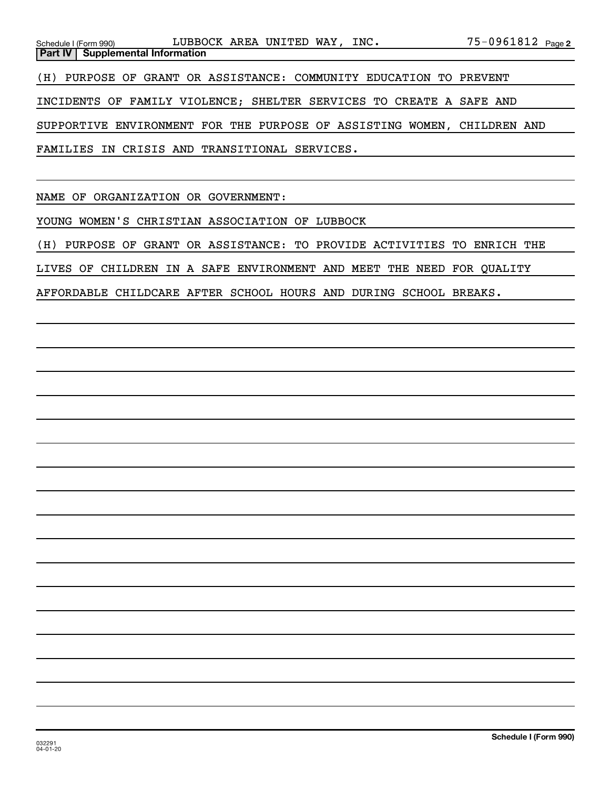| Schedule I (Form 990) LUBBOCK AREA UNITED WAY, INC.                     | $75 - 0961812$ $_{\text{Page 2}}$ |
|-------------------------------------------------------------------------|-----------------------------------|
| <b>Part IV   Supplemental Information</b>                               |                                   |
| (H) PURPOSE OF GRANT OR ASSISTANCE: COMMUNITY EDUCATION TO PREVENT      |                                   |
| INCIDENTS OF FAMILY VIOLENCE; SHELTER SERVICES TO CREATE A SAFE AND     |                                   |
| SUPPORTIVE ENVIRONMENT FOR THE PURPOSE OF ASSISTING WOMEN, CHILDREN AND |                                   |
| FAMILIES IN CRISIS AND TRANSITIONAL SERVICES.                           |                                   |

NAME OF ORGANIZATION OR GOVERNMENT:

YOUNG WOMEN'S CHRISTIAN ASSOCIATION OF LUBBOCK

(H) PURPOSE OF GRANT OR ASSISTANCE: TO PROVIDE ACTIVITIES TO ENRICH THE

LIVES OF CHILDREN IN A SAFE ENVIRONMENT AND MEET THE NEED FOR QUALITY

AFFORDABLE CHILDCARE AFTER SCHOOL HOURS AND DURING SCHOOL BREAKS.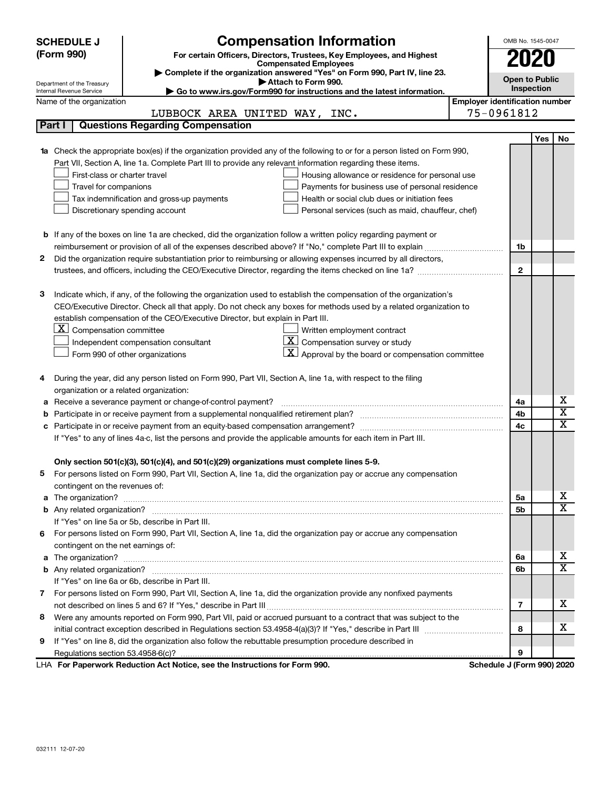| <b>Compensation Information</b><br><b>SCHEDULE J</b>                                                                             |                                       | OMB No. 1545-0047       |  |  |  |  |
|----------------------------------------------------------------------------------------------------------------------------------|---------------------------------------|-------------------------|--|--|--|--|
| (Form 990)<br>For certain Officers, Directors, Trustees, Key Employees, and Highest                                              |                                       |                         |  |  |  |  |
| <b>Compensated Employees</b>                                                                                                     |                                       | 2020                    |  |  |  |  |
| Complete if the organization answered "Yes" on Form 990, Part IV, line 23.<br>Attach to Form 990.                                |                                       | <b>Open to Public</b>   |  |  |  |  |
| Department of the Treasury<br>Go to www.irs.gov/Form990 for instructions and the latest information.<br>Internal Revenue Service |                                       | Inspection              |  |  |  |  |
| Name of the organization                                                                                                         | <b>Employer identification number</b> |                         |  |  |  |  |
| LUBBOCK AREA UNITED WAY, INC.                                                                                                    | 75-0961812                            |                         |  |  |  |  |
| <b>Questions Regarding Compensation</b><br>Part I                                                                                |                                       |                         |  |  |  |  |
|                                                                                                                                  |                                       | Yes<br>No               |  |  |  |  |
| 1a Check the appropriate box(es) if the organization provided any of the following to or for a person listed on Form 990,        |                                       |                         |  |  |  |  |
| Part VII, Section A, line 1a. Complete Part III to provide any relevant information regarding these items.                       |                                       |                         |  |  |  |  |
| First-class or charter travel<br>Housing allowance or residence for personal use                                                 |                                       |                         |  |  |  |  |
| Travel for companions<br>Payments for business use of personal residence                                                         |                                       |                         |  |  |  |  |
| Health or social club dues or initiation fees<br>Tax indemnification and gross-up payments                                       |                                       |                         |  |  |  |  |
| Discretionary spending account<br>Personal services (such as maid, chauffeur, chef)                                              |                                       |                         |  |  |  |  |
|                                                                                                                                  |                                       |                         |  |  |  |  |
| <b>b</b> If any of the boxes on line 1a are checked, did the organization follow a written policy regarding payment or           |                                       |                         |  |  |  |  |
| reimbursement or provision of all of the expenses described above? If "No," complete Part III to explain                         | 1b                                    |                         |  |  |  |  |
| Did the organization require substantiation prior to reimbursing or allowing expenses incurred by all directors,<br>2            |                                       |                         |  |  |  |  |
|                                                                                                                                  | $\mathbf{2}$                          |                         |  |  |  |  |
|                                                                                                                                  |                                       |                         |  |  |  |  |
| Indicate which, if any, of the following the organization used to establish the compensation of the organization's<br>з          |                                       |                         |  |  |  |  |
| CEO/Executive Director. Check all that apply. Do not check any boxes for methods used by a related organization to               |                                       |                         |  |  |  |  |
| establish compensation of the CEO/Executive Director, but explain in Part III.                                                   |                                       |                         |  |  |  |  |
| $ \mathbf{X} $ Compensation committee<br>Written employment contract                                                             |                                       |                         |  |  |  |  |
| $ \mathbf{X} $ Compensation survey or study<br>Independent compensation consultant                                               |                                       |                         |  |  |  |  |
| $\underline{\mathbf{X}}$ Approval by the board or compensation committee<br>Form 990 of other organizations                      |                                       |                         |  |  |  |  |
|                                                                                                                                  |                                       |                         |  |  |  |  |
| During the year, did any person listed on Form 990, Part VII, Section A, line 1a, with respect to the filing<br>4                |                                       |                         |  |  |  |  |
| organization or a related organization:                                                                                          |                                       |                         |  |  |  |  |
| Receive a severance payment or change-of-control payment?<br>а                                                                   | 4a                                    | х                       |  |  |  |  |
| b                                                                                                                                | 4b                                    | $\overline{\mathbf{X}}$ |  |  |  |  |
| с                                                                                                                                | 4c                                    | $\mathbf x$             |  |  |  |  |
| If "Yes" to any of lines 4a-c, list the persons and provide the applicable amounts for each item in Part III.                    |                                       |                         |  |  |  |  |
|                                                                                                                                  |                                       |                         |  |  |  |  |
| Only section 501(c)(3), 501(c)(4), and 501(c)(29) organizations must complete lines 5-9.                                         |                                       |                         |  |  |  |  |
| For persons listed on Form 990, Part VII, Section A, line 1a, did the organization pay or accrue any compensation                |                                       |                         |  |  |  |  |
| contingent on the revenues of:                                                                                                   |                                       |                         |  |  |  |  |
|                                                                                                                                  | 5a                                    | х<br>X                  |  |  |  |  |
|                                                                                                                                  | 5b                                    |                         |  |  |  |  |
| If "Yes" on line 5a or 5b, describe in Part III.                                                                                 |                                       |                         |  |  |  |  |
| For persons listed on Form 990, Part VII, Section A, line 1a, did the organization pay or accrue any compensation<br>6           |                                       |                         |  |  |  |  |
| contingent on the net earnings of:                                                                                               |                                       | х                       |  |  |  |  |
| a                                                                                                                                | 6а<br>6b                              | $\overline{\mathbf{X}}$ |  |  |  |  |
| If "Yes" on line 6a or 6b, describe in Part III.                                                                                 |                                       |                         |  |  |  |  |
| 7 For persons listed on Form 990, Part VII, Section A, line 1a, did the organization provide any nonfixed payments               |                                       |                         |  |  |  |  |
|                                                                                                                                  | 7                                     | x.                      |  |  |  |  |
| Were any amounts reported on Form 990, Part VII, paid or accrued pursuant to a contract that was subject to the                  |                                       |                         |  |  |  |  |
| 8                                                                                                                                | 8                                     | х                       |  |  |  |  |
| If "Yes" on line 8, did the organization also follow the rebuttable presumption procedure described in                           |                                       |                         |  |  |  |  |
| 9                                                                                                                                | 9                                     |                         |  |  |  |  |
| LHA For Paperwork Reduction Act Notice, see the Instructions for Form 990.                                                       | Schedule J (Form 990) 2020            |                         |  |  |  |  |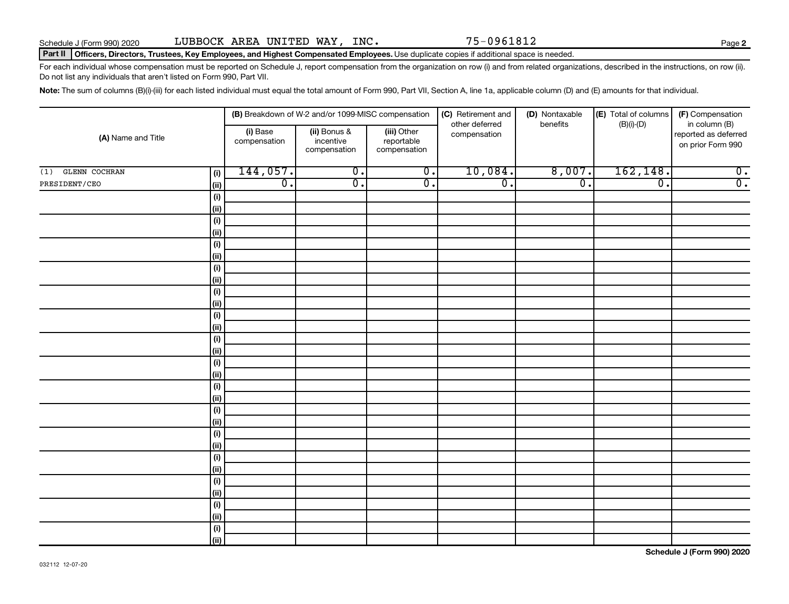**2**

### Part II | Officers, Directors, Trustees, Key Employees, and Highest Compensated Employees. Use duplicate copies if additional space is needed.

For each individual whose compensation must be reported on Schedule J, report compensation from the organization on row (i) and from related organizations, described in the instructions, on row (ii). Do not list any individuals that aren't listed on Form 990, Part VII.

Note: The sum of columns (B)(i)-(iii) for each listed individual must equal the total amount of Form 990, Part VII, Section A, line 1a, applicable column (D) and (E) amounts for that individual.

| (A) Name and Title          |                    |                          | (B) Breakdown of W-2 and/or 1099-MISC compensation |                                           | (C) Retirement and             | (D) Nontaxable   | (E) Total of columns        | (F) Compensation                                           |  |
|-----------------------------|--------------------|--------------------------|----------------------------------------------------|-------------------------------------------|--------------------------------|------------------|-----------------------------|------------------------------------------------------------|--|
|                             |                    | (i) Base<br>compensation | (ii) Bonus &<br>incentive<br>compensation          | (iii) Other<br>reportable<br>compensation | other deferred<br>compensation | benefits         | $(B)(i)$ - $(D)$            | in column (B)<br>reported as deferred<br>on prior Form 990 |  |
| <b>GLENN COCHRAN</b><br>(1) | (i)                | 144,057.                 | $\overline{\mathfrak{o}}$ .                        | $\overline{0}$ .                          | 10,084.                        | 8,007.           | 162, 148.                   | $\overline{0}$ .                                           |  |
| PRESIDENT/CEO               | (ii)               | $\overline{0}$ .         | $\overline{\mathfrak{o}}$ .                        | $\overline{0}$ .                          | $\overline{0}$ .               | $\overline{0}$ . | $\overline{\mathfrak{o}}$ . | $\overline{0}$ .                                           |  |
|                             | (i)                |                          |                                                    |                                           |                                |                  |                             |                                                            |  |
|                             | $\vert$ (ii)       |                          |                                                    |                                           |                                |                  |                             |                                                            |  |
|                             | (i)                |                          |                                                    |                                           |                                |                  |                             |                                                            |  |
|                             | $\vert$ (ii)       |                          |                                                    |                                           |                                |                  |                             |                                                            |  |
|                             | (i)                |                          |                                                    |                                           |                                |                  |                             |                                                            |  |
|                             | (ii)               |                          |                                                    |                                           |                                |                  |                             |                                                            |  |
|                             | (i)                |                          |                                                    |                                           |                                |                  |                             |                                                            |  |
|                             | (ii)               |                          |                                                    |                                           |                                |                  |                             |                                                            |  |
|                             | (i)                |                          |                                                    |                                           |                                |                  |                             |                                                            |  |
|                             | (ii)               |                          |                                                    |                                           |                                |                  |                             |                                                            |  |
|                             | (i)                |                          |                                                    |                                           |                                |                  |                             |                                                            |  |
|                             | (ii)               |                          |                                                    |                                           |                                |                  |                             |                                                            |  |
|                             | $(\sf{i})$         |                          |                                                    |                                           |                                |                  |                             |                                                            |  |
|                             | (ii)               |                          |                                                    |                                           |                                |                  |                             |                                                            |  |
|                             | $(\sf{i})$<br>(ii) |                          |                                                    |                                           |                                |                  |                             |                                                            |  |
|                             | $(\sf{i})$         |                          |                                                    |                                           |                                |                  |                             |                                                            |  |
|                             | (ii)               |                          |                                                    |                                           |                                |                  |                             |                                                            |  |
|                             | (i)                |                          |                                                    |                                           |                                |                  |                             |                                                            |  |
|                             | (ii)               |                          |                                                    |                                           |                                |                  |                             |                                                            |  |
|                             | (i)                |                          |                                                    |                                           |                                |                  |                             |                                                            |  |
|                             | (ii)               |                          |                                                    |                                           |                                |                  |                             |                                                            |  |
|                             | (i)                |                          |                                                    |                                           |                                |                  |                             |                                                            |  |
|                             | (ii)               |                          |                                                    |                                           |                                |                  |                             |                                                            |  |
|                             | (i)                |                          |                                                    |                                           |                                |                  |                             |                                                            |  |
|                             | (ii)               |                          |                                                    |                                           |                                |                  |                             |                                                            |  |
|                             | (i)                |                          |                                                    |                                           |                                |                  |                             |                                                            |  |
|                             | (ii)               |                          |                                                    |                                           |                                |                  |                             |                                                            |  |
|                             | $(\sf{i})$         |                          |                                                    |                                           |                                |                  |                             |                                                            |  |
|                             | (ii)               |                          |                                                    |                                           |                                |                  |                             |                                                            |  |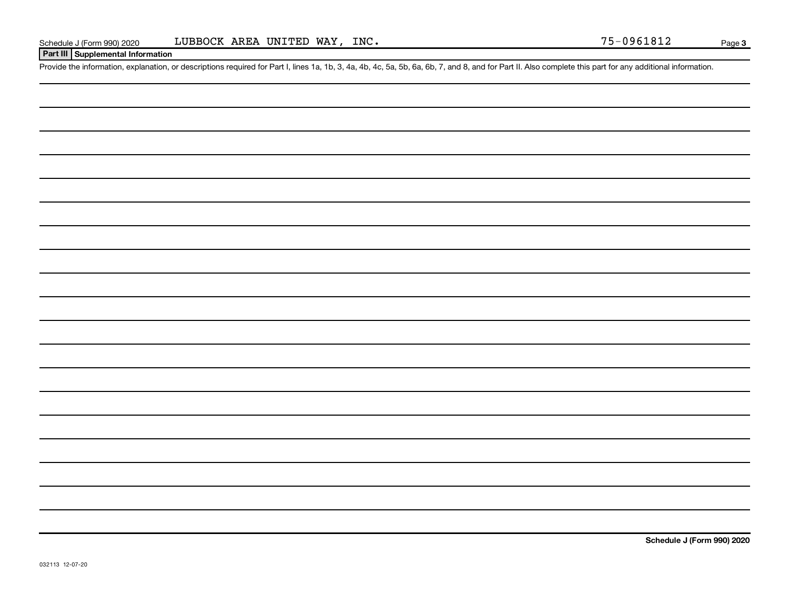### **Part III Supplemental Information**

Provide the information, explanation, or descriptions required for Part I, lines 1a, 1b, 3, 4a, 4b, 4c, 5a, 5b, 6a, 6b, 7, and 8, and for Part II. Also complete this part for any additional information.

**Schedule J (Form 990) 2020**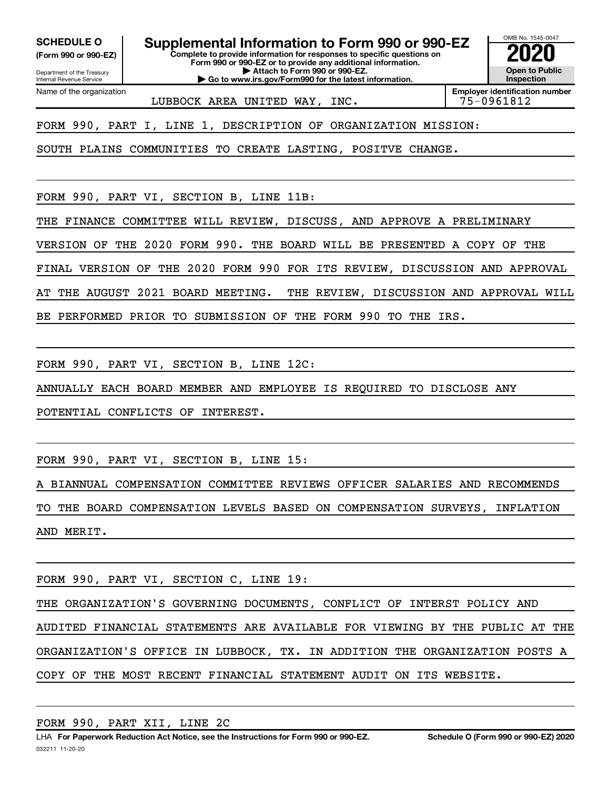**(Form 990 or 990-EZ)**

Department of the Treasury Internal Revenue Service Name of the organization

**Complete to provide information for responses to specific questions on Form 990 or 990-EZ or to provide any additional information. | Attach to Form 990 or 990-EZ. | Go to www.irs.gov/Form990 for the latest information. SCHEDULE O Supplemental Information to Form 990 or 990-EZ 2020**<br>(Form 990 or 990-EZ) Complete to provide information for responses to specific questions on

OMB No. 1545-0047 **Open to Public Inspection**

LUBBOCK AREA UNITED WAY, INC.  $|75-0961812$ 

**Employer identification number**

FORM 990, PART I, LINE 1, DESCRIPTION OF ORGANIZATION MISSION:

SOUTH PLAINS COMMUNITIES TO CREATE LASTING, POSITVE CHANGE.

FORM 990, PART VI, SECTION B, LINE 11B:

THE FINANCE COMMITTEE WILL REVIEW, DISCUSS, AND APPROVE A PRELIMINARY

VERSION OF THE 2020 FORM 990. THE BOARD WILL BE PRESENTED A COPY OF THE

FINAL VERSION OF THE 2020 FORM 990 FOR ITS REVIEW, DISCUSSION AND APPROVAL

AT THE AUGUST 2021 BOARD MEETING. THE REVIEW, DISCUSSION AND APPROVAL WILL

BE PERFORMED PRIOR TO SUBMISSION OF THE FORM 990 TO THE IRS.

FORM 990, PART VI, SECTION B, LINE 12C:

ANNUALLY EACH BOARD MEMBER AND EMPLOYEE IS REQUIRED TO DISCLOSE ANY

POTENTIAL CONFLICTS OF INTEREST.

FORM 990, PART VI, SECTION B, LINE 15:

A BIANNUAL COMPENSATION COMMITTEE REVIEWS OFFICER SALARIES AND RECOMMENDS

TO THE BOARD COMPENSATION LEVELS BASED ON COMPENSATION SURVEYS, INFLATION AND MERIT.

FORM 990, PART VI, SECTION C, LINE 19:

THE ORGANIZATION'S GOVERNING DOCUMENTS, CONFLICT OF INTERST POLICY AND

AUDITED FINANCIAL STATEMENTS ARE AVAILABLE FOR VIEWING BY THE PUBLIC AT THE ORGANIZATION'S OFFICE IN LUBBOCK, TX. IN ADDITION THE ORGANIZATION POSTS A COPY OF THE MOST RECENT FINANCIAL STATEMENT AUDIT ON ITS WEBSITE.